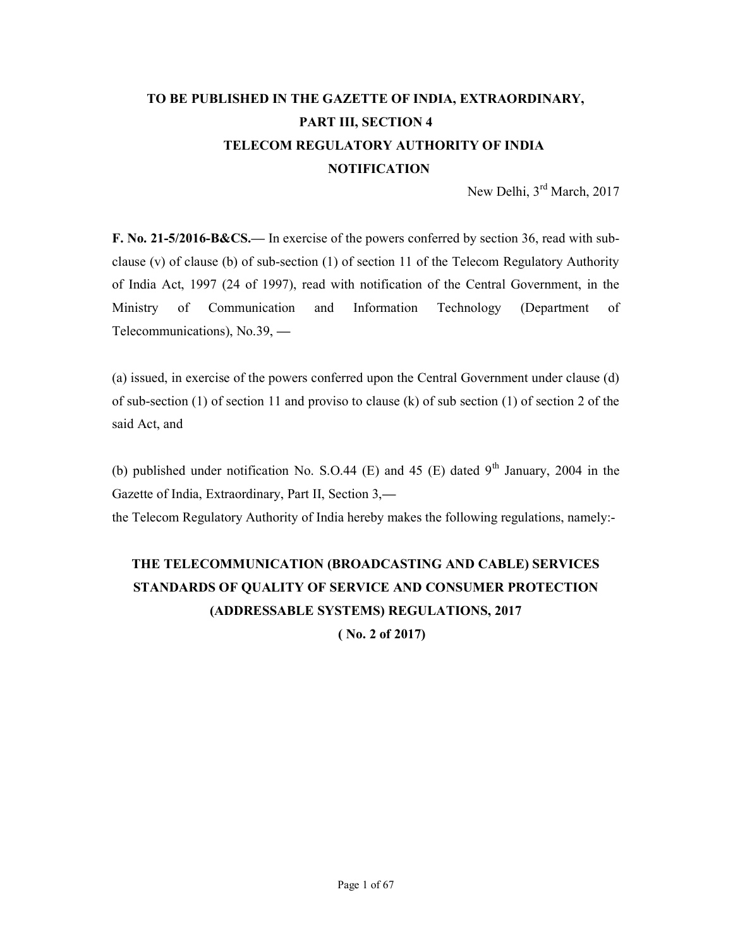# TO BE PUBLISHED IN THE GAZETTE OF INDIA, EXTRAORDINARY, PART III, SECTION 4 TELECOM REGULATORY AUTHORITY OF INDIA **NOTIFICATION**

New Delhi, 3<sup>rd</sup> March, 2017

F. No. 21-5/2016-B&CS.— In exercise of the powers conferred by section 36, read with subclause (v) of clause (b) of sub-section (1) of section 11 of the Telecom Regulatory Authority of India Act, 1997 (24 of 1997), read with notification of the Central Government, in the Ministry of Communication and Information Technology (Department of Telecommunications), No.39, —

(a) issued, in exercise of the powers conferred upon the Central Government under clause (d) of sub-section (1) of section 11 and proviso to clause (k) of sub section (1) of section 2 of the said Act, and

(b) published under notification No. S.O.44 (E) and 45 (E) dated  $9<sup>th</sup>$  January, 2004 in the Gazette of India, Extraordinary, Part II, Section 3, the Telecom Regulatory Authority of India hereby makes the following regulations, namely:-

# THE TELECOMMUNICATION (BROADCASTING AND CABLE) SERVICES STANDARDS OF QUALITY OF SERVICE AND CONSUMER PROTECTION

(ADDRESSABLE SYSTEMS) REGULATIONS, 2017

( No. 2 of 2017)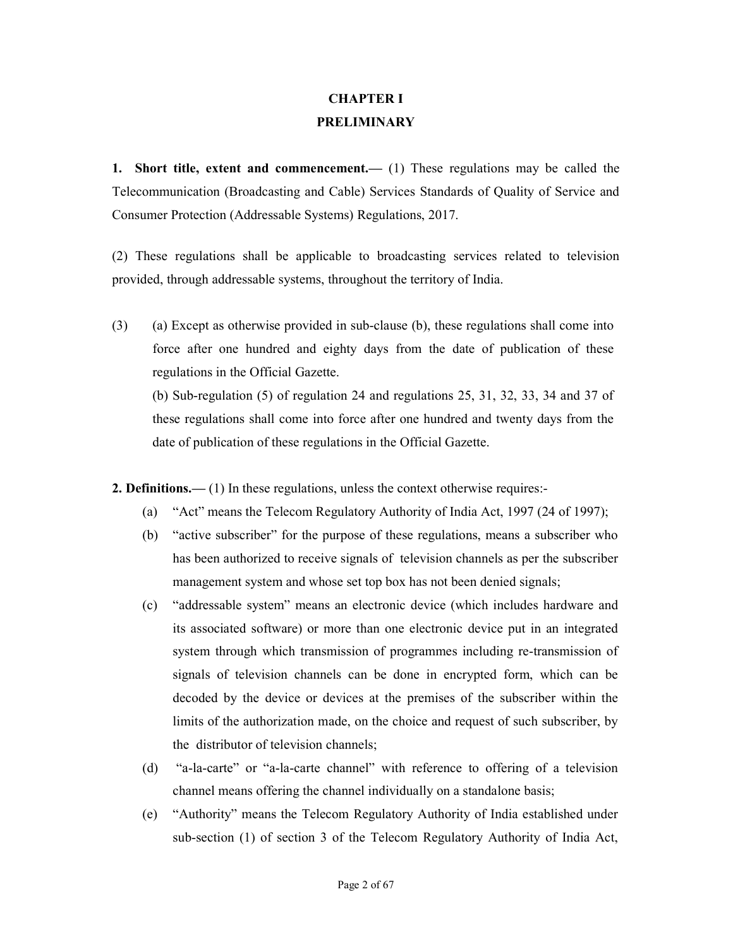### CHAPTER I PRELIMINARY

1. Short title, extent and commencement.— (1) These regulations may be called the Telecommunication (Broadcasting and Cable) Services Standards of Quality of Service and Consumer Protection (Addressable Systems) Regulations, 2017.

(2) These regulations shall be applicable to broadcasting services related to television provided, through addressable systems, throughout the territory of India.

(3) (a) Except as otherwise provided in sub-clause (b), these regulations shall come into force after one hundred and eighty days from the date of publication of these regulations in the Official Gazette. (b) Sub-regulation (5) of regulation 24 and regulations 25, 31, 32, 33, 34 and 37 of these regulations shall come into force after one hundred and twenty days from the date of publication of these regulations in the Official Gazette.

2. Definitions.— (1) In these regulations, unless the context otherwise requires:-

- (a) "Act" means the Telecom Regulatory Authority of India Act, 1997 (24 of 1997);
- (b) "active subscriber" for the purpose of these regulations, means a subscriber who has been authorized to receive signals of television channels as per the subscriber management system and whose set top box has not been denied signals;
- (c) "addressable system" means an electronic device (which includes hardware and its associated software) or more than one electronic device put in an integrated system through which transmission of programmes including re-transmission of signals of television channels can be done in encrypted form, which can be decoded by the device or devices at the premises of the subscriber within the limits of the authorization made, on the choice and request of such subscriber, by the distributor of television channels;
- (d) "a-la-carte" or "a-la-carte channel" with reference to offering of a television channel means offering the channel individually on a standalone basis;
- (e) "Authority" means the Telecom Regulatory Authority of India established under sub-section (1) of section 3 of the Telecom Regulatory Authority of India Act,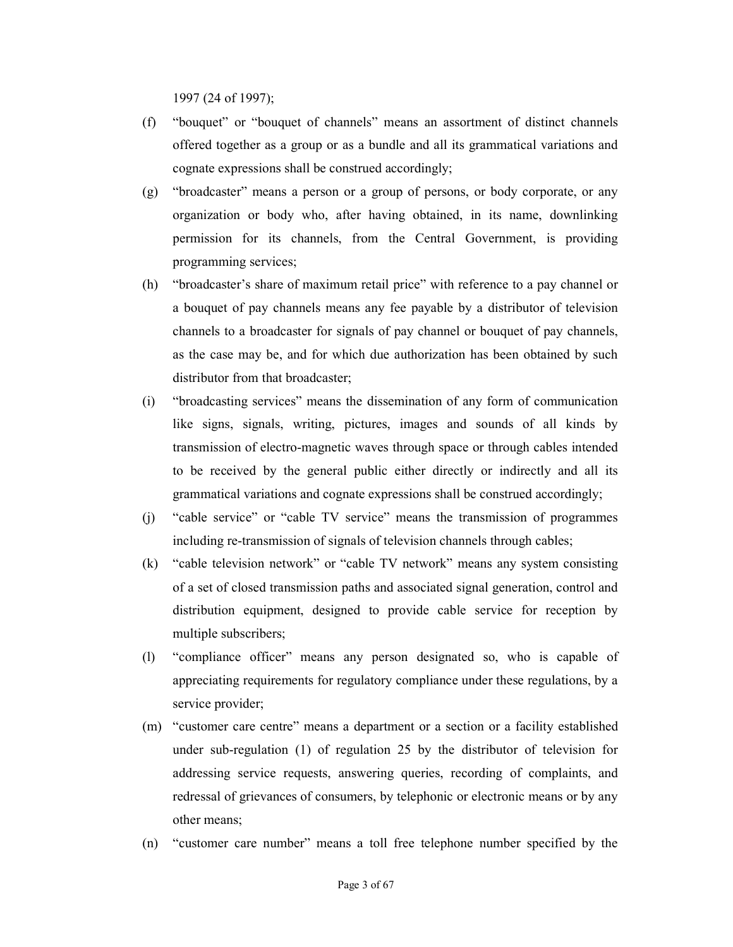1997 (24 of 1997);

- (f) "bouquet" or "bouquet of channels" means an assortment of distinct channels offered together as a group or as a bundle and all its grammatical variations and cognate expressions shall be construed accordingly;
- (g) "broadcaster" means a person or a group of persons, or body corporate, or any organization or body who, after having obtained, in its name, downlinking permission for its channels, from the Central Government, is providing programming services;
- (h) "broadcaster's share of maximum retail price" with reference to a pay channel or a bouquet of pay channels means any fee payable by a distributor of television channels to a broadcaster for signals of pay channel or bouquet of pay channels, as the case may be, and for which due authorization has been obtained by such distributor from that broadcaster;
- (i) "broadcasting services" means the dissemination of any form of communication like signs, signals, writing, pictures, images and sounds of all kinds by transmission of electro-magnetic waves through space or through cables intended to be received by the general public either directly or indirectly and all its grammatical variations and cognate expressions shall be construed accordingly;
- (j) "cable service" or "cable TV service" means the transmission of programmes including re-transmission of signals of television channels through cables;
- (k) "cable television network" or "cable TV network" means any system consisting of a set of closed transmission paths and associated signal generation, control and distribution equipment, designed to provide cable service for reception by multiple subscribers;
- (l) "compliance officer" means any person designated so, who is capable of appreciating requirements for regulatory compliance under these regulations, by a service provider;
- (m) "customer care centre" means a department or a section or a facility established under sub-regulation (1) of regulation 25 by the distributor of television for addressing service requests, answering queries, recording of complaints, and redressal of grievances of consumers, by telephonic or electronic means or by any other means;
- (n) "customer care number" means a toll free telephone number specified by the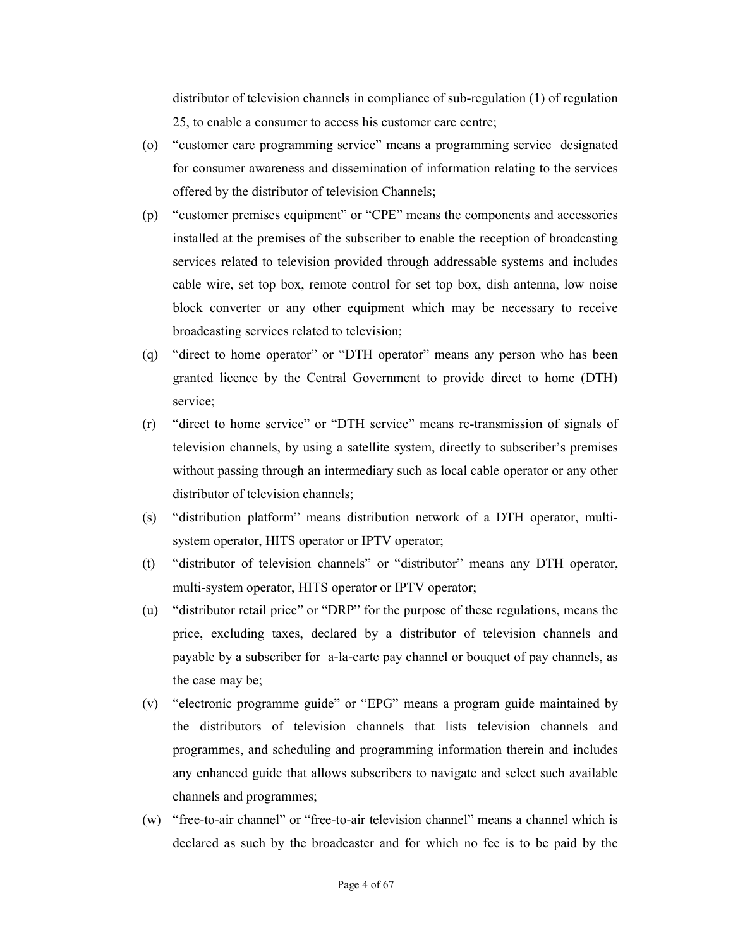distributor of television channels in compliance of sub-regulation (1) of regulation 25, to enable a consumer to access his customer care centre;

- (o) "customer care programming service" means a programming service designated for consumer awareness and dissemination of information relating to the services offered by the distributor of television Channels;
- (p) "customer premises equipment" or "CPE" means the components and accessories installed at the premises of the subscriber to enable the reception of broadcasting services related to television provided through addressable systems and includes cable wire, set top box, remote control for set top box, dish antenna, low noise block converter or any other equipment which may be necessary to receive broadcasting services related to television;
- (q) "direct to home operator" or "DTH operator" means any person who has been granted licence by the Central Government to provide direct to home (DTH) service;
- (r) "direct to home service" or "DTH service" means re-transmission of signals of television channels, by using a satellite system, directly to subscriber's premises without passing through an intermediary such as local cable operator or any other distributor of television channels;
- (s) "distribution platform" means distribution network of a DTH operator, multisystem operator, HITS operator or IPTV operator;
- (t) "distributor of television channels" or "distributor" means any DTH operator, multi-system operator, HITS operator or IPTV operator;
- (u) "distributor retail price" or "DRP" for the purpose of these regulations, means the price, excluding taxes, declared by a distributor of television channels and payable by a subscriber for a-la-carte pay channel or bouquet of pay channels, as the case may be;
- (v) "electronic programme guide" or "EPG" means a program guide maintained by the distributors of television channels that lists television channels and programmes, and scheduling and programming information therein and includes any enhanced guide that allows subscribers to navigate and select such available channels and programmes;
- (w) "free-to-air channel" or "free-to-air television channel" means a channel which is declared as such by the broadcaster and for which no fee is to be paid by the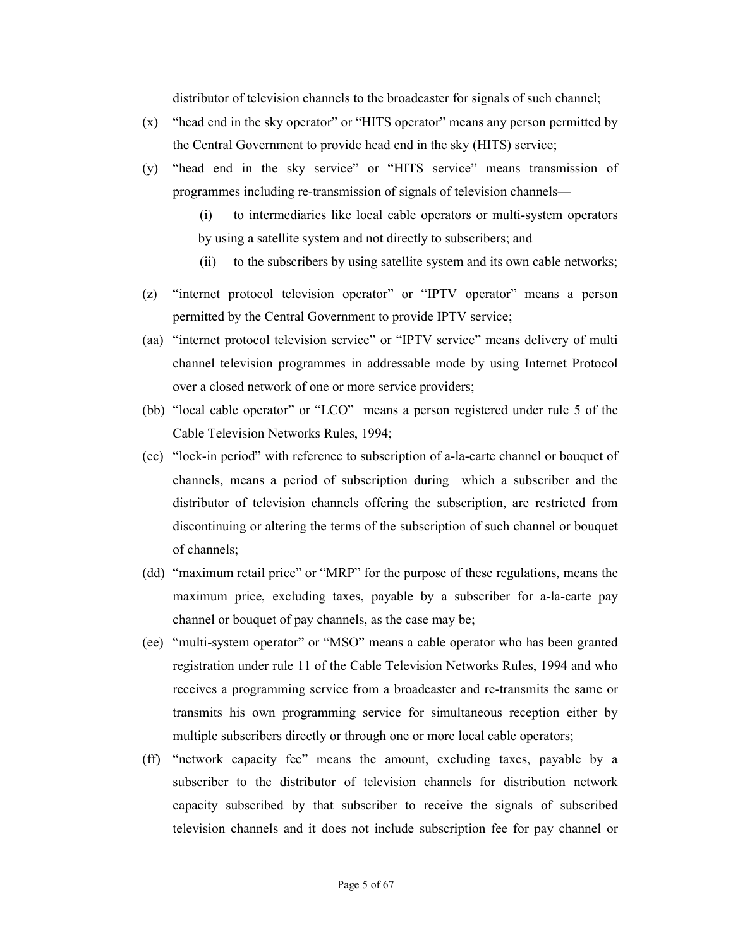distributor of television channels to the broadcaster for signals of such channel;

- (x) "head end in the sky operator" or "HITS operator" means any person permitted by the Central Government to provide head end in the sky (HITS) service;
- (y) "head end in the sky service" or "HITS service" means transmission of programmes including re-transmission of signals of television channels—
	- (i) to intermediaries like local cable operators or multi-system operators by using a satellite system and not directly to subscribers; and
	- (ii) to the subscribers by using satellite system and its own cable networks;
- (z) "internet protocol television operator" or "IPTV operator" means a person permitted by the Central Government to provide IPTV service;
- (aa) "internet protocol television service" or "IPTV service" means delivery of multi channel television programmes in addressable mode by using Internet Protocol over a closed network of one or more service providers;
- (bb) "local cable operator" or "LCO" means a person registered under rule 5 of the Cable Television Networks Rules, 1994;
- (cc) "lock-in period" with reference to subscription of a-la-carte channel or bouquet of channels, means a period of subscription during which a subscriber and the distributor of television channels offering the subscription, are restricted from discontinuing or altering the terms of the subscription of such channel or bouquet of channels;
- (dd) "maximum retail price" or "MRP" for the purpose of these regulations, means the maximum price, excluding taxes, payable by a subscriber for a-la-carte pay channel or bouquet of pay channels, as the case may be;
- (ee) "multi-system operator" or "MSO" means a cable operator who has been granted registration under rule 11 of the Cable Television Networks Rules, 1994 and who receives a programming service from a broadcaster and re-transmits the same or transmits his own programming service for simultaneous reception either by multiple subscribers directly or through one or more local cable operators;
- (ff) "network capacity fee" means the amount, excluding taxes, payable by a subscriber to the distributor of television channels for distribution network capacity subscribed by that subscriber to receive the signals of subscribed television channels and it does not include subscription fee for pay channel or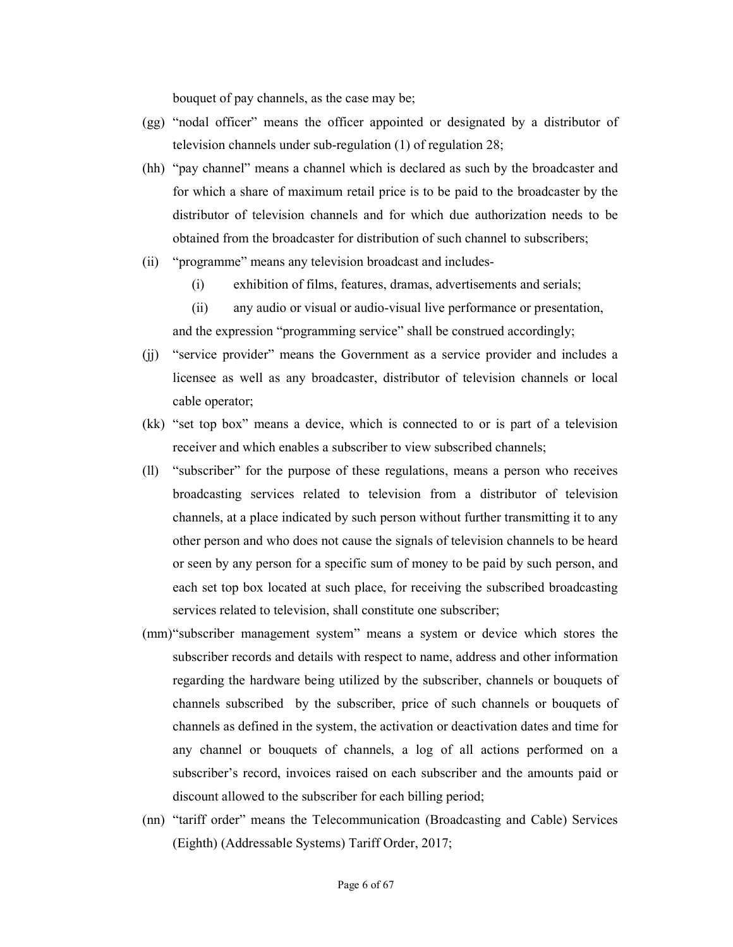bouquet of pay channels, as the case may be;

- (gg) "nodal officer" means the officer appointed or designated by a distributor of television channels under sub-regulation (1) of regulation 28;
- (hh) "pay channel" means a channel which is declared as such by the broadcaster and for which a share of maximum retail price is to be paid to the broadcaster by the distributor of television channels and for which due authorization needs to be obtained from the broadcaster for distribution of such channel to subscribers;
- (ii) "programme" means any television broadcast and includes-
	- (i) exhibition of films, features, dramas, advertisements and serials;
	- (ii) any audio or visual or audio-visual live performance or presentation, and the expression "programming service" shall be construed accordingly;
- (jj) "service provider" means the Government as a service provider and includes a licensee as well as any broadcaster, distributor of television channels or local cable operator;
- (kk) "set top box" means a device, which is connected to or is part of a television receiver and which enables a subscriber to view subscribed channels;
- (ll) "subscriber" for the purpose of these regulations, means a person who receives broadcasting services related to television from a distributor of television channels, at a place indicated by such person without further transmitting it to any other person and who does not cause the signals of television channels to be heard or seen by any person for a specific sum of money to be paid by such person, and each set top box located at such place, for receiving the subscribed broadcasting services related to television, shall constitute one subscriber;
- (mm)"subscriber management system" means a system or device which stores the subscriber records and details with respect to name, address and other information regarding the hardware being utilized by the subscriber, channels or bouquets of channels subscribed by the subscriber, price of such channels or bouquets of channels as defined in the system, the activation or deactivation dates and time for any channel or bouquets of channels, a log of all actions performed on a subscriber's record, invoices raised on each subscriber and the amounts paid or discount allowed to the subscriber for each billing period;
- (nn) "tariff order" means the Telecommunication (Broadcasting and Cable) Services (Eighth) (Addressable Systems) Tariff Order, 2017;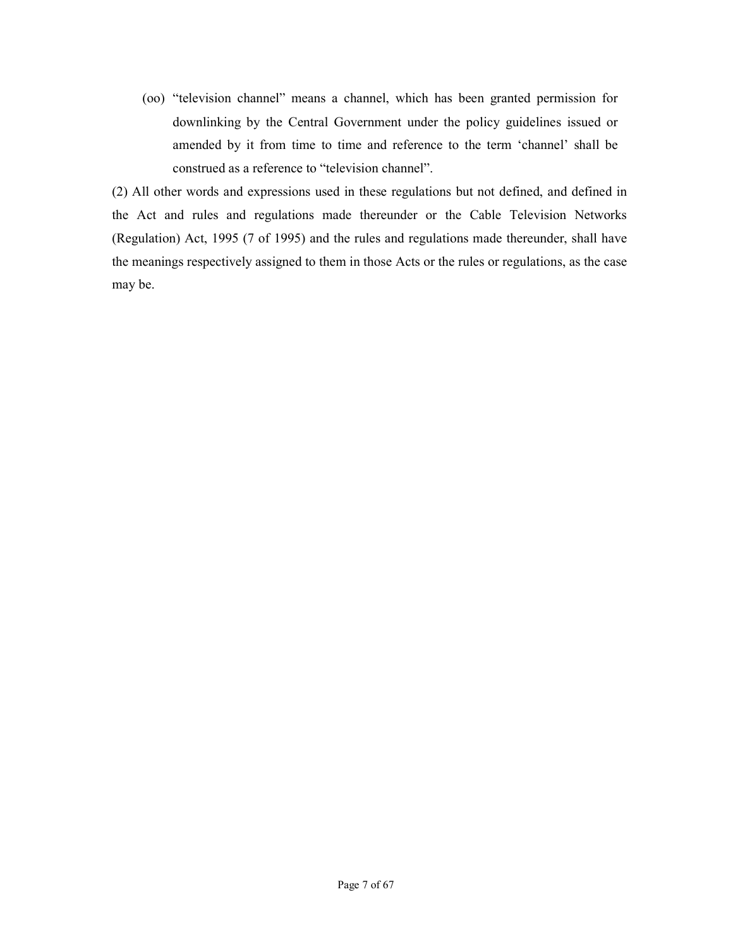(oo) "television channel" means a channel, which has been granted permission for downlinking by the Central Government under the policy guidelines issued or amended by it from time to time and reference to the term 'channel' shall be construed as a reference to "television channel".

(2) All other words and expressions used in these regulations but not defined, and defined in the Act and rules and regulations made thereunder or the Cable Television Networks (Regulation) Act, 1995 (7 of 1995) and the rules and regulations made thereunder, shall have the meanings respectively assigned to them in those Acts or the rules or regulations, as the case may be.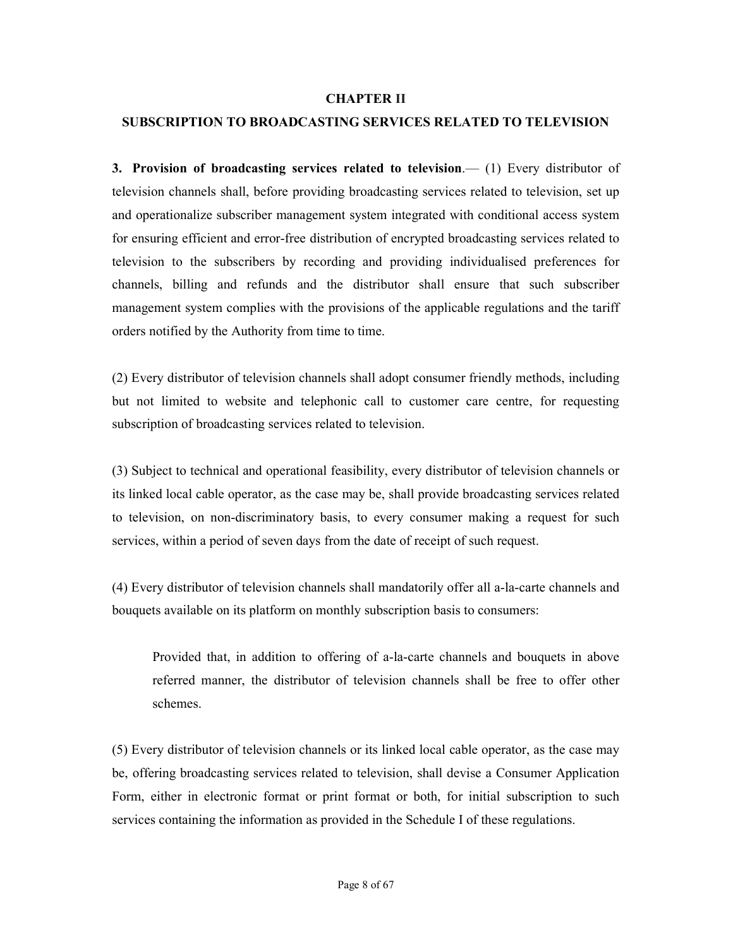#### CHAPTER II

#### SUBSCRIPTION TO BROADCASTING SERVICES RELATED TO TELEVISION

3. Provision of broadcasting services related to television.—  $(1)$  Every distributor of television channels shall, before providing broadcasting services related to television, set up and operationalize subscriber management system integrated with conditional access system for ensuring efficient and error-free distribution of encrypted broadcasting services related to television to the subscribers by recording and providing individualised preferences for channels, billing and refunds and the distributor shall ensure that such subscriber management system complies with the provisions of the applicable regulations and the tariff orders notified by the Authority from time to time.

(2) Every distributor of television channels shall adopt consumer friendly methods, including but not limited to website and telephonic call to customer care centre, for requesting subscription of broadcasting services related to television.

(3) Subject to technical and operational feasibility, every distributor of television channels or its linked local cable operator, as the case may be, shall provide broadcasting services related to television, on non-discriminatory basis, to every consumer making a request for such services, within a period of seven days from the date of receipt of such request.

(4) Every distributor of television channels shall mandatorily offer all a-la-carte channels and bouquets available on its platform on monthly subscription basis to consumers:

Provided that, in addition to offering of a-la-carte channels and bouquets in above referred manner, the distributor of television channels shall be free to offer other schemes.

(5) Every distributor of television channels or its linked local cable operator, as the case may be, offering broadcasting services related to television, shall devise a Consumer Application Form, either in electronic format or print format or both, for initial subscription to such services containing the information as provided in the Schedule I of these regulations.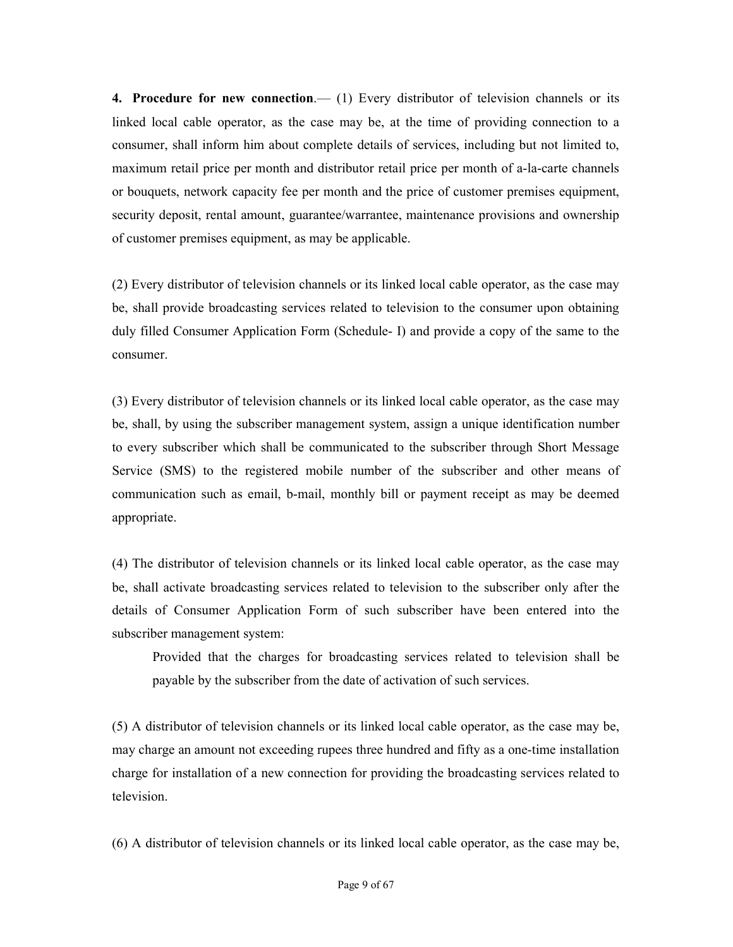**4. Procedure for new connection.**—  $(1)$  Every distributor of television channels or its linked local cable operator, as the case may be, at the time of providing connection to a consumer, shall inform him about complete details of services, including but not limited to, maximum retail price per month and distributor retail price per month of a-la-carte channels or bouquets, network capacity fee per month and the price of customer premises equipment, security deposit, rental amount, guarantee/warrantee, maintenance provisions and ownership of customer premises equipment, as may be applicable.

(2) Every distributor of television channels or its linked local cable operator, as the case may be, shall provide broadcasting services related to television to the consumer upon obtaining duly filled Consumer Application Form (Schedule- I) and provide a copy of the same to the consumer.

(3) Every distributor of television channels or its linked local cable operator, as the case may be, shall, by using the subscriber management system, assign a unique identification number to every subscriber which shall be communicated to the subscriber through Short Message Service (SMS) to the registered mobile number of the subscriber and other means of communication such as email, b-mail, monthly bill or payment receipt as may be deemed appropriate.

(4) The distributor of television channels or its linked local cable operator, as the case may be, shall activate broadcasting services related to television to the subscriber only after the details of Consumer Application Form of such subscriber have been entered into the subscriber management system:

Provided that the charges for broadcasting services related to television shall be payable by the subscriber from the date of activation of such services.

(5) A distributor of television channels or its linked local cable operator, as the case may be, may charge an amount not exceeding rupees three hundred and fifty as a one-time installation charge for installation of a new connection for providing the broadcasting services related to television.

(6) A distributor of television channels or its linked local cable operator, as the case may be,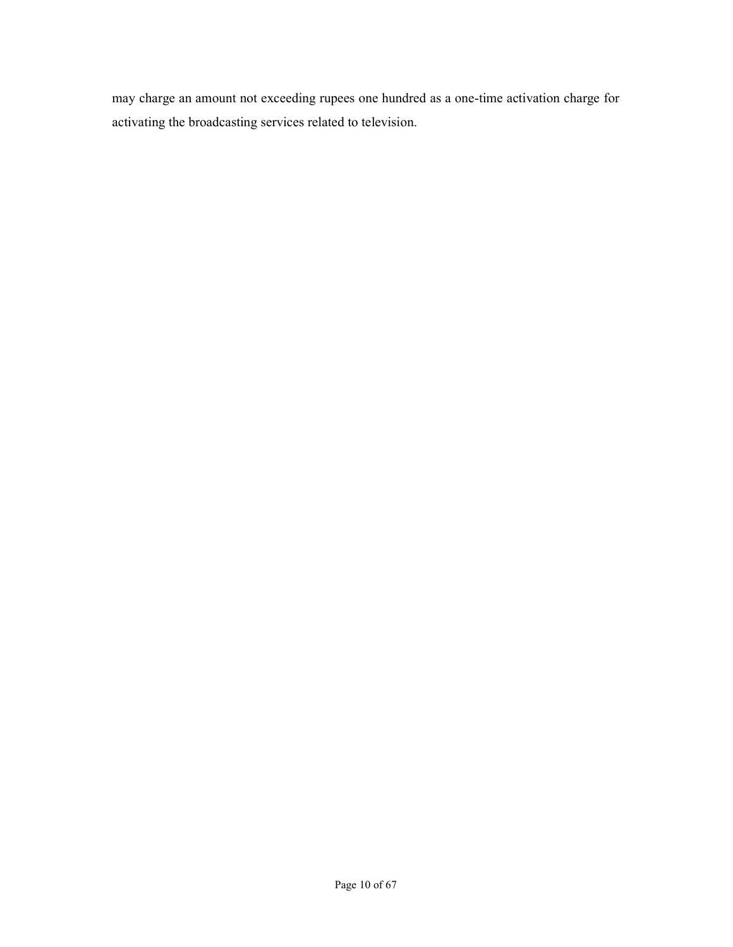may charge an amount not exceeding rupees one hundred as a one-time activation charge for activating the broadcasting services related to television.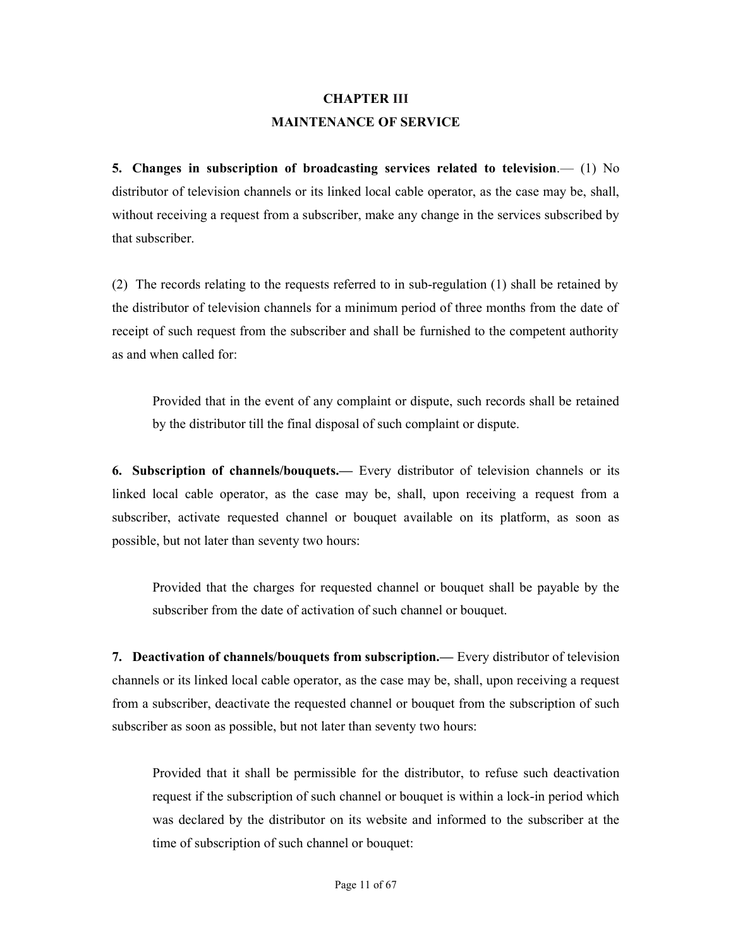### CHAPTER III MAINTENANCE OF SERVICE

5. Changes in subscription of broadcasting services related to television.— (1) No distributor of television channels or its linked local cable operator, as the case may be, shall, without receiving a request from a subscriber, make any change in the services subscribed by that subscriber.

(2) The records relating to the requests referred to in sub-regulation (1) shall be retained by the distributor of television channels for a minimum period of three months from the date of receipt of such request from the subscriber and shall be furnished to the competent authority as and when called for:

Provided that in the event of any complaint or dispute, such records shall be retained by the distributor till the final disposal of such complaint or dispute.

6. Subscription of channels/bouquets.— Every distributor of television channels or its linked local cable operator, as the case may be, shall, upon receiving a request from a subscriber, activate requested channel or bouquet available on its platform, as soon as possible, but not later than seventy two hours:

Provided that the charges for requested channel or bouquet shall be payable by the subscriber from the date of activation of such channel or bouquet.

7. Deactivation of channels/bouquets from subscription.— Every distributor of television channels or its linked local cable operator, as the case may be, shall, upon receiving a request from a subscriber, deactivate the requested channel or bouquet from the subscription of such subscriber as soon as possible, but not later than seventy two hours:

Provided that it shall be permissible for the distributor, to refuse such deactivation request if the subscription of such channel or bouquet is within a lock-in period which was declared by the distributor on its website and informed to the subscriber at the time of subscription of such channel or bouquet: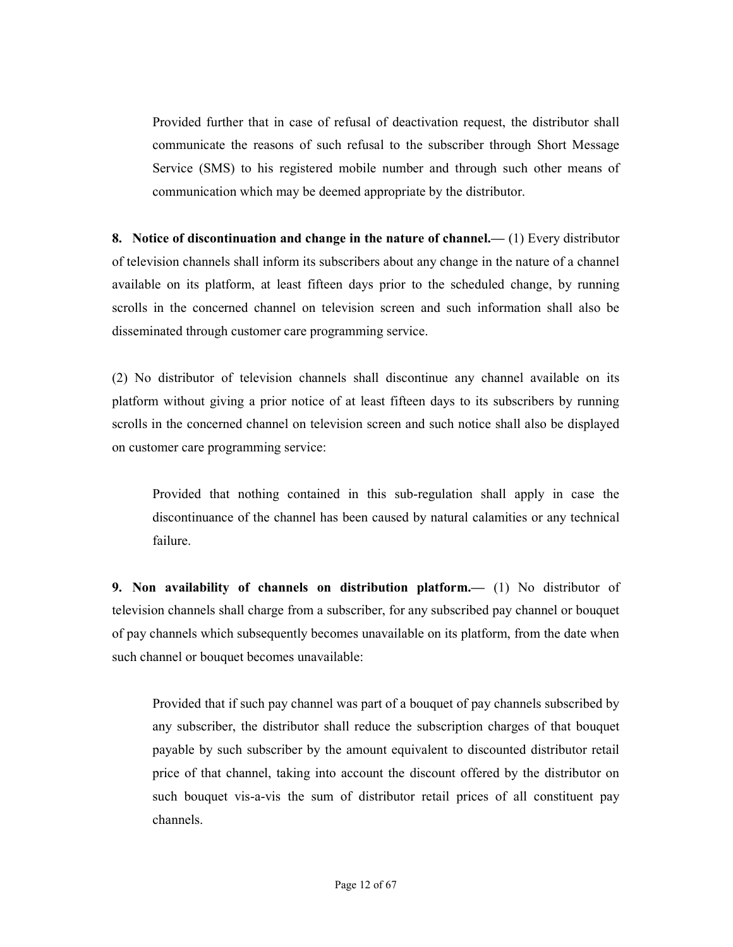Provided further that in case of refusal of deactivation request, the distributor shall communicate the reasons of such refusal to the subscriber through Short Message Service (SMS) to his registered mobile number and through such other means of communication which may be deemed appropriate by the distributor.

8. Notice of discontinuation and change in the nature of channel.— (1) Every distributor of television channels shall inform its subscribers about any change in the nature of a channel available on its platform, at least fifteen days prior to the scheduled change, by running scrolls in the concerned channel on television screen and such information shall also be disseminated through customer care programming service.

(2) No distributor of television channels shall discontinue any channel available on its platform without giving a prior notice of at least fifteen days to its subscribers by running scrolls in the concerned channel on television screen and such notice shall also be displayed on customer care programming service:

Provided that nothing contained in this sub-regulation shall apply in case the discontinuance of the channel has been caused by natural calamities or any technical failure.

9. Non availability of channels on distribution platform.— (1) No distributor of television channels shall charge from a subscriber, for any subscribed pay channel or bouquet of pay channels which subsequently becomes unavailable on its platform, from the date when such channel or bouquet becomes unavailable:

Provided that if such pay channel was part of a bouquet of pay channels subscribed by any subscriber, the distributor shall reduce the subscription charges of that bouquet payable by such subscriber by the amount equivalent to discounted distributor retail price of that channel, taking into account the discount offered by the distributor on such bouquet vis-a-vis the sum of distributor retail prices of all constituent pay channels.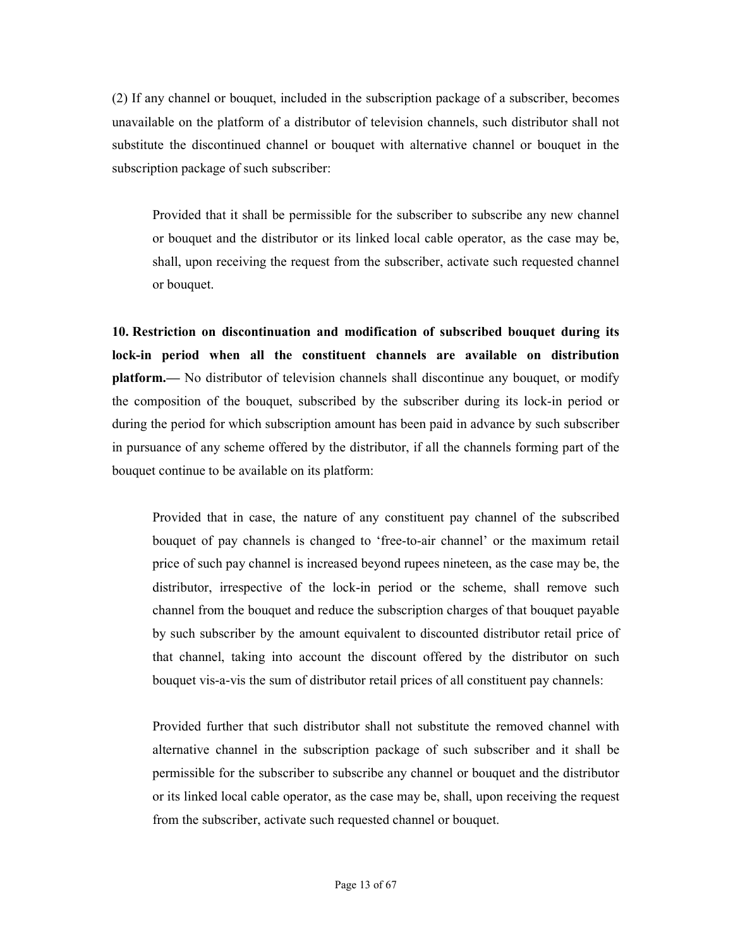(2) If any channel or bouquet, included in the subscription package of a subscriber, becomes unavailable on the platform of a distributor of television channels, such distributor shall not substitute the discontinued channel or bouquet with alternative channel or bouquet in the subscription package of such subscriber:

Provided that it shall be permissible for the subscriber to subscribe any new channel or bouquet and the distributor or its linked local cable operator, as the case may be, shall, upon receiving the request from the subscriber, activate such requested channel or bouquet.

10. Restriction on discontinuation and modification of subscribed bouquet during its lock-in period when all the constituent channels are available on distribution platform.— No distributor of television channels shall discontinue any bouquet, or modify the composition of the bouquet, subscribed by the subscriber during its lock-in period or during the period for which subscription amount has been paid in advance by such subscriber in pursuance of any scheme offered by the distributor, if all the channels forming part of the bouquet continue to be available on its platform:

Provided that in case, the nature of any constituent pay channel of the subscribed bouquet of pay channels is changed to 'free-to-air channel' or the maximum retail price of such pay channel is increased beyond rupees nineteen, as the case may be, the distributor, irrespective of the lock-in period or the scheme, shall remove such channel from the bouquet and reduce the subscription charges of that bouquet payable by such subscriber by the amount equivalent to discounted distributor retail price of that channel, taking into account the discount offered by the distributor on such bouquet vis-a-vis the sum of distributor retail prices of all constituent pay channels:

Provided further that such distributor shall not substitute the removed channel with alternative channel in the subscription package of such subscriber and it shall be permissible for the subscriber to subscribe any channel or bouquet and the distributor or its linked local cable operator, as the case may be, shall, upon receiving the request from the subscriber, activate such requested channel or bouquet.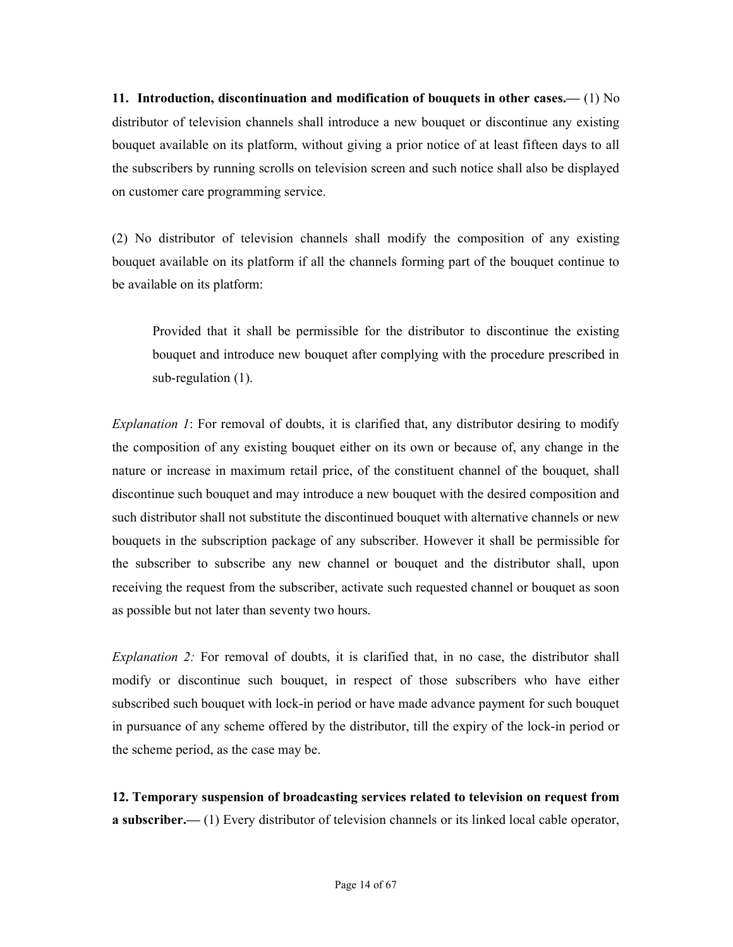11. Introduction, discontinuation and modification of bouquets in other cases.—  $(1)$  No distributor of television channels shall introduce a new bouquet or discontinue any existing bouquet available on its platform, without giving a prior notice of at least fifteen days to all the subscribers by running scrolls on television screen and such notice shall also be displayed on customer care programming service.

(2) No distributor of television channels shall modify the composition of any existing bouquet available on its platform if all the channels forming part of the bouquet continue to be available on its platform:

Provided that it shall be permissible for the distributor to discontinue the existing bouquet and introduce new bouquet after complying with the procedure prescribed in sub-regulation (1).

Explanation 1: For removal of doubts, it is clarified that, any distributor desiring to modify the composition of any existing bouquet either on its own or because of, any change in the nature or increase in maximum retail price, of the constituent channel of the bouquet, shall discontinue such bouquet and may introduce a new bouquet with the desired composition and such distributor shall not substitute the discontinued bouquet with alternative channels or new bouquets in the subscription package of any subscriber. However it shall be permissible for the subscriber to subscribe any new channel or bouquet and the distributor shall, upon receiving the request from the subscriber, activate such requested channel or bouquet as soon as possible but not later than seventy two hours.

Explanation 2: For removal of doubts, it is clarified that, in no case, the distributor shall modify or discontinue such bouquet, in respect of those subscribers who have either subscribed such bouquet with lock-in period or have made advance payment for such bouquet in pursuance of any scheme offered by the distributor, till the expiry of the lock-in period or the scheme period, as the case may be.

12. Temporary suspension of broadcasting services related to television on request from a subscriber.— (1) Every distributor of television channels or its linked local cable operator,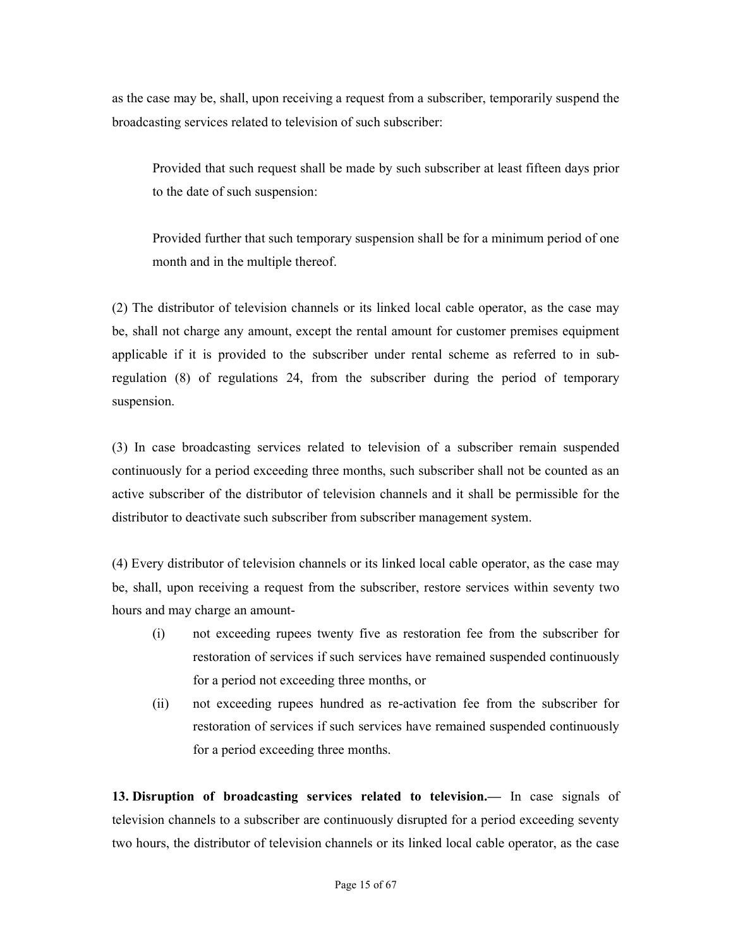as the case may be, shall, upon receiving a request from a subscriber, temporarily suspend the broadcasting services related to television of such subscriber:

Provided that such request shall be made by such subscriber at least fifteen days prior to the date of such suspension:

Provided further that such temporary suspension shall be for a minimum period of one month and in the multiple thereof.

(2) The distributor of television channels or its linked local cable operator, as the case may be, shall not charge any amount, except the rental amount for customer premises equipment applicable if it is provided to the subscriber under rental scheme as referred to in subregulation (8) of regulations 24, from the subscriber during the period of temporary suspension.

(3) In case broadcasting services related to television of a subscriber remain suspended continuously for a period exceeding three months, such subscriber shall not be counted as an active subscriber of the distributor of television channels and it shall be permissible for the distributor to deactivate such subscriber from subscriber management system.

(4) Every distributor of television channels or its linked local cable operator, as the case may be, shall, upon receiving a request from the subscriber, restore services within seventy two hours and may charge an amount-

- (i) not exceeding rupees twenty five as restoration fee from the subscriber for restoration of services if such services have remained suspended continuously for a period not exceeding three months, or
- (ii) not exceeding rupees hundred as re-activation fee from the subscriber for restoration of services if such services have remained suspended continuously for a period exceeding three months.

13. Disruption of broadcasting services related to television.— In case signals of television channels to a subscriber are continuously disrupted for a period exceeding seventy two hours, the distributor of television channels or its linked local cable operator, as the case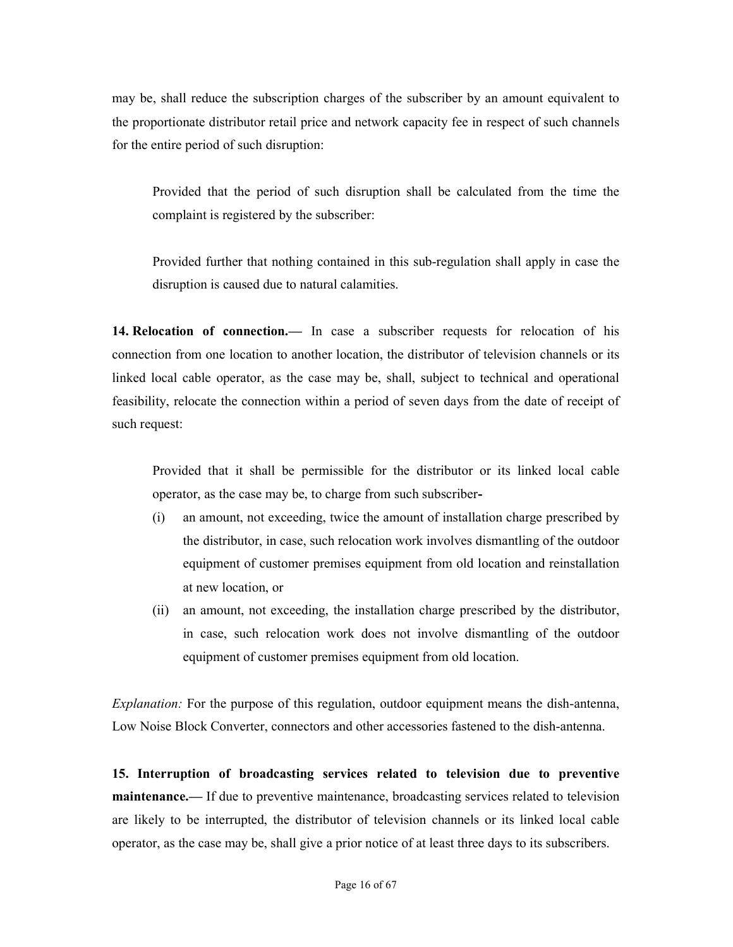may be, shall reduce the subscription charges of the subscriber by an amount equivalent to the proportionate distributor retail price and network capacity fee in respect of such channels for the entire period of such disruption:

Provided that the period of such disruption shall be calculated from the time the complaint is registered by the subscriber:

Provided further that nothing contained in this sub-regulation shall apply in case the disruption is caused due to natural calamities.

14. Relocation of connection.— In case a subscriber requests for relocation of his connection from one location to another location, the distributor of television channels or its linked local cable operator, as the case may be, shall, subject to technical and operational feasibility, relocate the connection within a period of seven days from the date of receipt of such request:

Provided that it shall be permissible for the distributor or its linked local cable operator, as the case may be, to charge from such subscriber-

- (i) an amount, not exceeding, twice the amount of installation charge prescribed by the distributor, in case, such relocation work involves dismantling of the outdoor equipment of customer premises equipment from old location and reinstallation at new location, or
- (ii) an amount, not exceeding, the installation charge prescribed by the distributor, in case, such relocation work does not involve dismantling of the outdoor equipment of customer premises equipment from old location.

Explanation: For the purpose of this regulation, outdoor equipment means the dish-antenna, Low Noise Block Converter, connectors and other accessories fastened to the dish-antenna.

15. Interruption of broadcasting services related to television due to preventive maintenance.— If due to preventive maintenance, broadcasting services related to television are likely to be interrupted, the distributor of television channels or its linked local cable operator, as the case may be, shall give a prior notice of at least three days to its subscribers.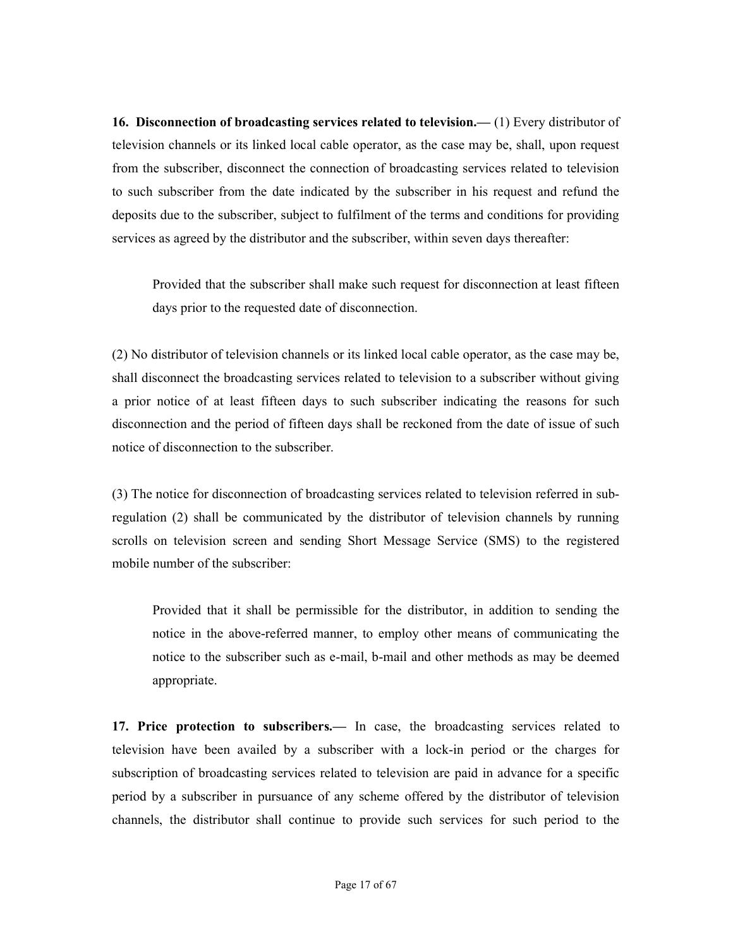16. Disconnection of broadcasting services related to television.— (1) Every distributor of television channels or its linked local cable operator, as the case may be, shall, upon request from the subscriber, disconnect the connection of broadcasting services related to television to such subscriber from the date indicated by the subscriber in his request and refund the deposits due to the subscriber, subject to fulfilment of the terms and conditions for providing services as agreed by the distributor and the subscriber, within seven days thereafter:

Provided that the subscriber shall make such request for disconnection at least fifteen days prior to the requested date of disconnection.

(2) No distributor of television channels or its linked local cable operator, as the case may be, shall disconnect the broadcasting services related to television to a subscriber without giving a prior notice of at least fifteen days to such subscriber indicating the reasons for such disconnection and the period of fifteen days shall be reckoned from the date of issue of such notice of disconnection to the subscriber.

(3) The notice for disconnection of broadcasting services related to television referred in subregulation (2) shall be communicated by the distributor of television channels by running scrolls on television screen and sending Short Message Service (SMS) to the registered mobile number of the subscriber:

Provided that it shall be permissible for the distributor, in addition to sending the notice in the above-referred manner, to employ other means of communicating the notice to the subscriber such as e-mail, b-mail and other methods as may be deemed appropriate.

17. Price protection to subscribers.— In case, the broadcasting services related to television have been availed by a subscriber with a lock-in period or the charges for subscription of broadcasting services related to television are paid in advance for a specific period by a subscriber in pursuance of any scheme offered by the distributor of television channels, the distributor shall continue to provide such services for such period to the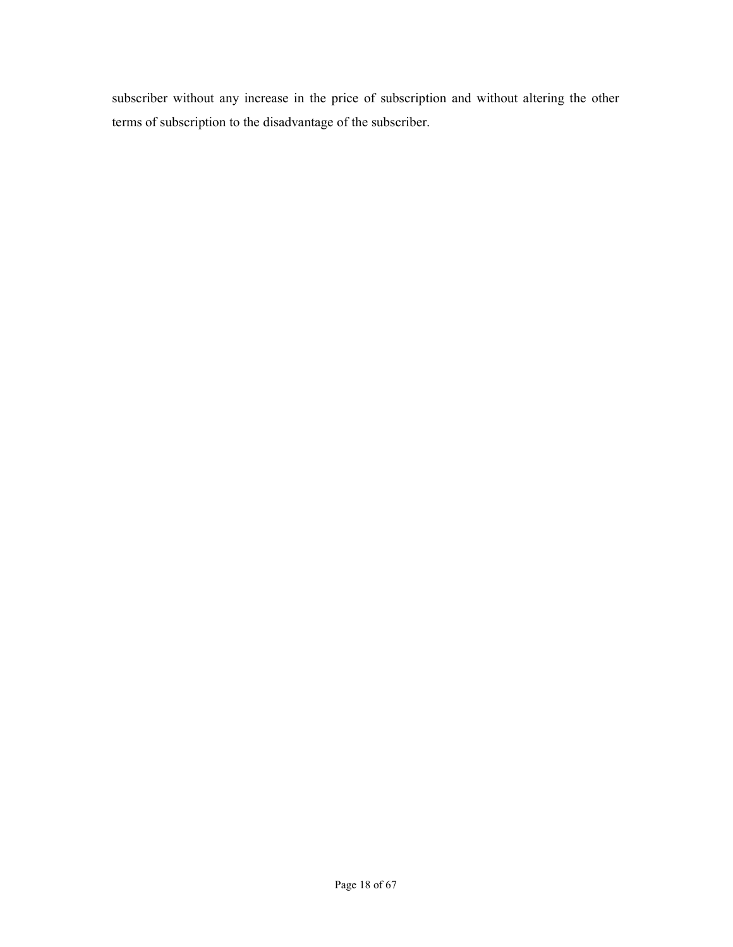subscriber without any increase in the price of subscription and without altering the other terms of subscription to the disadvantage of the subscriber.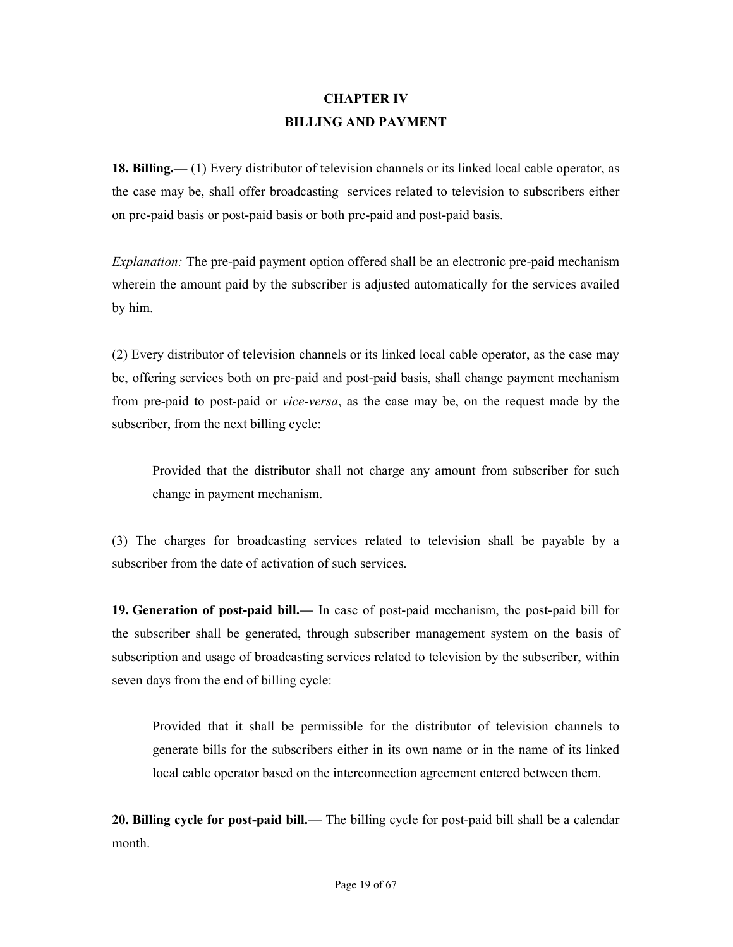### CHAPTER IV BILLING AND PAYMENT

18. Billing.— (1) Every distributor of television channels or its linked local cable operator, as the case may be, shall offer broadcasting services related to television to subscribers either on pre-paid basis or post-paid basis or both pre-paid and post-paid basis.

Explanation: The pre-paid payment option offered shall be an electronic pre-paid mechanism wherein the amount paid by the subscriber is adjusted automatically for the services availed by him.

(2) Every distributor of television channels or its linked local cable operator, as the case may be, offering services both on pre-paid and post-paid basis, shall change payment mechanism from pre-paid to post-paid or vice-versa, as the case may be, on the request made by the subscriber, from the next billing cycle:

Provided that the distributor shall not charge any amount from subscriber for such change in payment mechanism.

(3) The charges for broadcasting services related to television shall be payable by a subscriber from the date of activation of such services.

19. Generation of post-paid bill.— In case of post-paid mechanism, the post-paid bill for the subscriber shall be generated, through subscriber management system on the basis of subscription and usage of broadcasting services related to television by the subscriber, within seven days from the end of billing cycle:

Provided that it shall be permissible for the distributor of television channels to generate bills for the subscribers either in its own name or in the name of its linked local cable operator based on the interconnection agreement entered between them.

20. Billing cycle for post-paid bill.— The billing cycle for post-paid bill shall be a calendar month.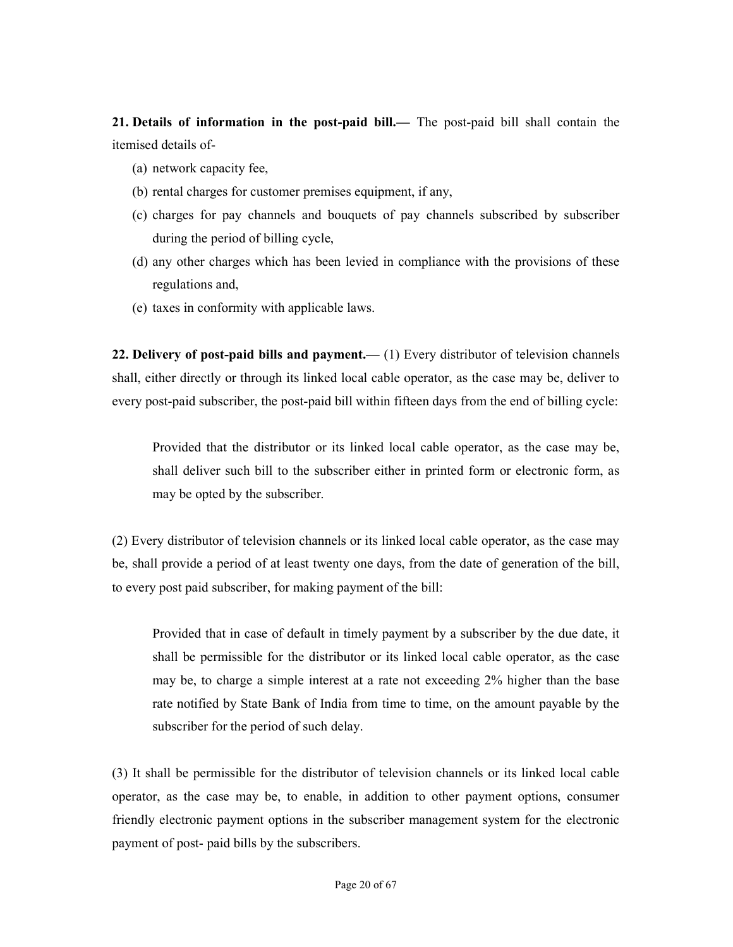21. Details of information in the post-paid bill.— The post-paid bill shall contain the itemised details of-

- (a) network capacity fee,
- (b) rental charges for customer premises equipment, if any,
- (c) charges for pay channels and bouquets of pay channels subscribed by subscriber during the period of billing cycle,
- (d) any other charges which has been levied in compliance with the provisions of these regulations and,
- (e) taxes in conformity with applicable laws.

22. Delivery of post-paid bills and payment.— (1) Every distributor of television channels shall, either directly or through its linked local cable operator, as the case may be, deliver to every post-paid subscriber, the post-paid bill within fifteen days from the end of billing cycle:

Provided that the distributor or its linked local cable operator, as the case may be, shall deliver such bill to the subscriber either in printed form or electronic form, as may be opted by the subscriber.

(2) Every distributor of television channels or its linked local cable operator, as the case may be, shall provide a period of at least twenty one days, from the date of generation of the bill, to every post paid subscriber, for making payment of the bill:

Provided that in case of default in timely payment by a subscriber by the due date, it shall be permissible for the distributor or its linked local cable operator, as the case may be, to charge a simple interest at a rate not exceeding 2% higher than the base rate notified by State Bank of India from time to time, on the amount payable by the subscriber for the period of such delay.

(3) It shall be permissible for the distributor of television channels or its linked local cable operator, as the case may be, to enable, in addition to other payment options, consumer friendly electronic payment options in the subscriber management system for the electronic payment of post- paid bills by the subscribers.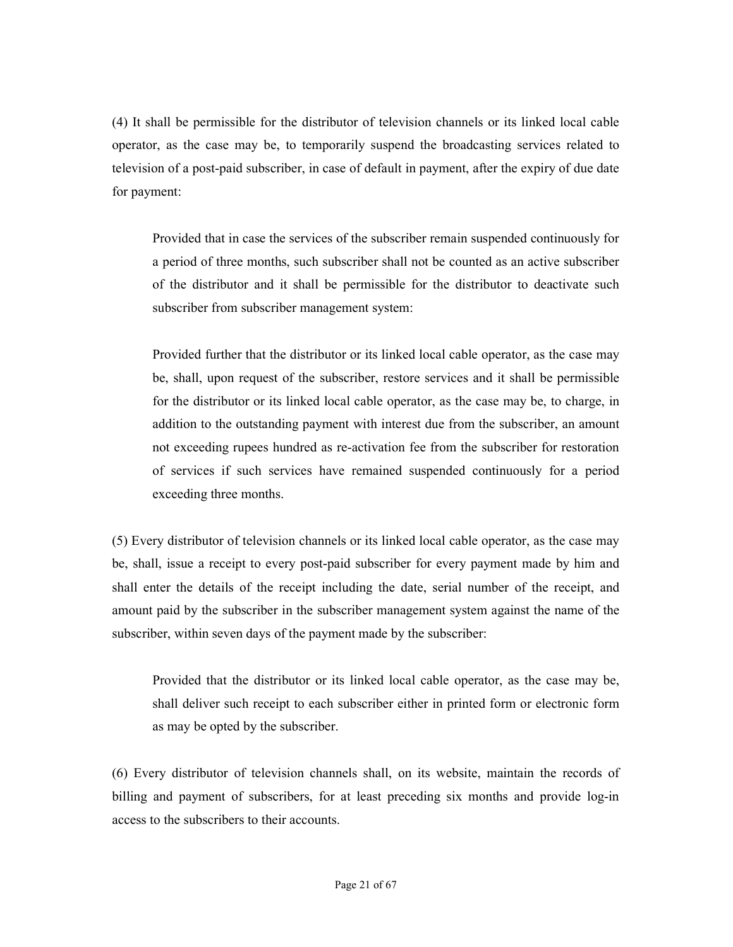(4) It shall be permissible for the distributor of television channels or its linked local cable operator, as the case may be, to temporarily suspend the broadcasting services related to television of a post-paid subscriber, in case of default in payment, after the expiry of due date for payment:

Provided that in case the services of the subscriber remain suspended continuously for a period of three months, such subscriber shall not be counted as an active subscriber of the distributor and it shall be permissible for the distributor to deactivate such subscriber from subscriber management system:

Provided further that the distributor or its linked local cable operator, as the case may be, shall, upon request of the subscriber, restore services and it shall be permissible for the distributor or its linked local cable operator, as the case may be, to charge, in addition to the outstanding payment with interest due from the subscriber, an amount not exceeding rupees hundred as re-activation fee from the subscriber for restoration of services if such services have remained suspended continuously for a period exceeding three months.

(5) Every distributor of television channels or its linked local cable operator, as the case may be, shall, issue a receipt to every post-paid subscriber for every payment made by him and shall enter the details of the receipt including the date, serial number of the receipt, and amount paid by the subscriber in the subscriber management system against the name of the subscriber, within seven days of the payment made by the subscriber:

Provided that the distributor or its linked local cable operator, as the case may be, shall deliver such receipt to each subscriber either in printed form or electronic form as may be opted by the subscriber.

(6) Every distributor of television channels shall, on its website, maintain the records of billing and payment of subscribers, for at least preceding six months and provide log-in access to the subscribers to their accounts.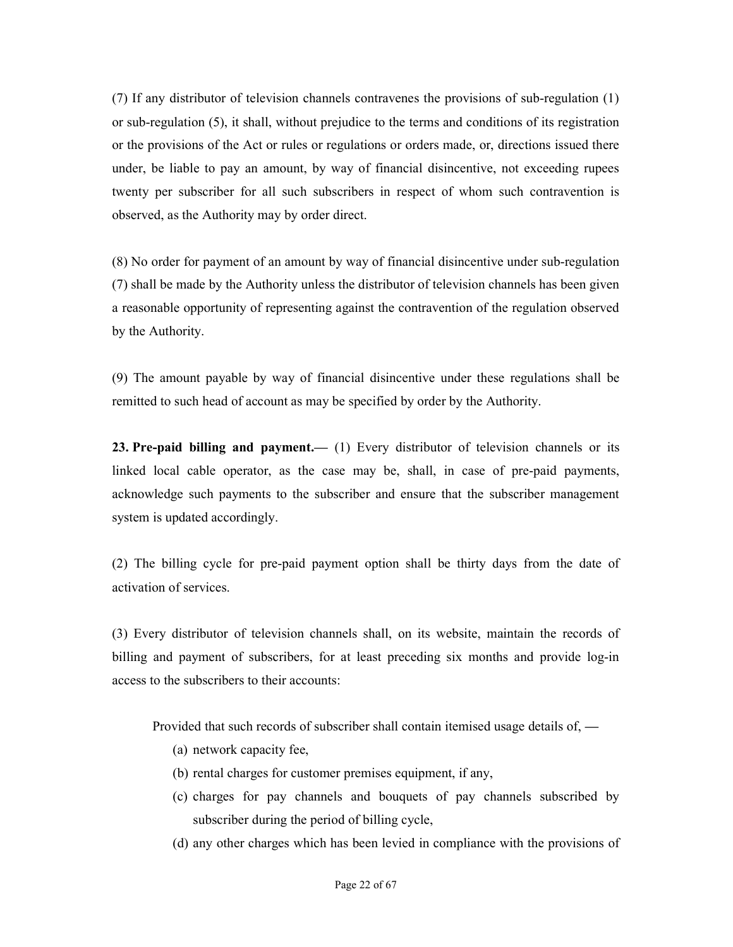(7) If any distributor of television channels contravenes the provisions of sub-regulation (1) or sub-regulation (5), it shall, without prejudice to the terms and conditions of its registration or the provisions of the Act or rules or regulations or orders made, or, directions issued there under, be liable to pay an amount, by way of financial disincentive, not exceeding rupees twenty per subscriber for all such subscribers in respect of whom such contravention is observed, as the Authority may by order direct.

(8) No order for payment of an amount by way of financial disincentive under sub-regulation (7) shall be made by the Authority unless the distributor of television channels has been given a reasonable opportunity of representing against the contravention of the regulation observed by the Authority.

(9) The amount payable by way of financial disincentive under these regulations shall be remitted to such head of account as may be specified by order by the Authority.

23. Pre-paid billing and payment.— (1) Every distributor of television channels or its linked local cable operator, as the case may be, shall, in case of pre-paid payments, acknowledge such payments to the subscriber and ensure that the subscriber management system is updated accordingly.

(2) The billing cycle for pre-paid payment option shall be thirty days from the date of activation of services.

(3) Every distributor of television channels shall, on its website, maintain the records of billing and payment of subscribers, for at least preceding six months and provide log-in access to the subscribers to their accounts:

Provided that such records of subscriber shall contain itemised usage details of, —

- (a) network capacity fee,
- (b) rental charges for customer premises equipment, if any,
- (c) charges for pay channels and bouquets of pay channels subscribed by subscriber during the period of billing cycle,
- (d) any other charges which has been levied in compliance with the provisions of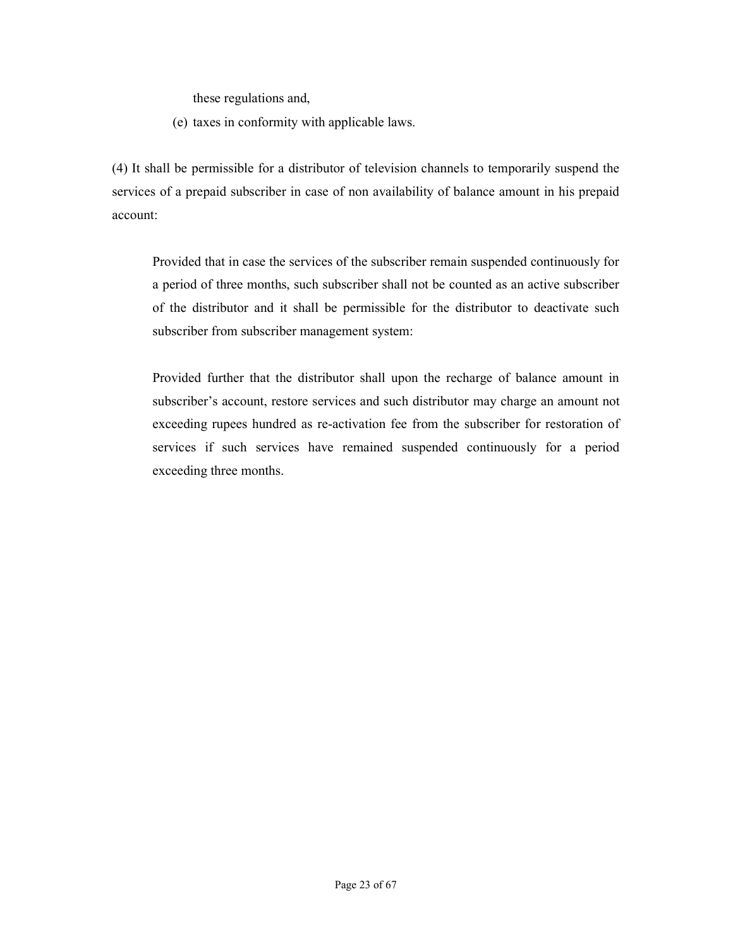these regulations and,

(e) taxes in conformity with applicable laws.

(4) It shall be permissible for a distributor of television channels to temporarily suspend the services of a prepaid subscriber in case of non availability of balance amount in his prepaid account:

Provided that in case the services of the subscriber remain suspended continuously for a period of three months, such subscriber shall not be counted as an active subscriber of the distributor and it shall be permissible for the distributor to deactivate such subscriber from subscriber management system:

Provided further that the distributor shall upon the recharge of balance amount in subscriber's account, restore services and such distributor may charge an amount not exceeding rupees hundred as re-activation fee from the subscriber for restoration of services if such services have remained suspended continuously for a period exceeding three months.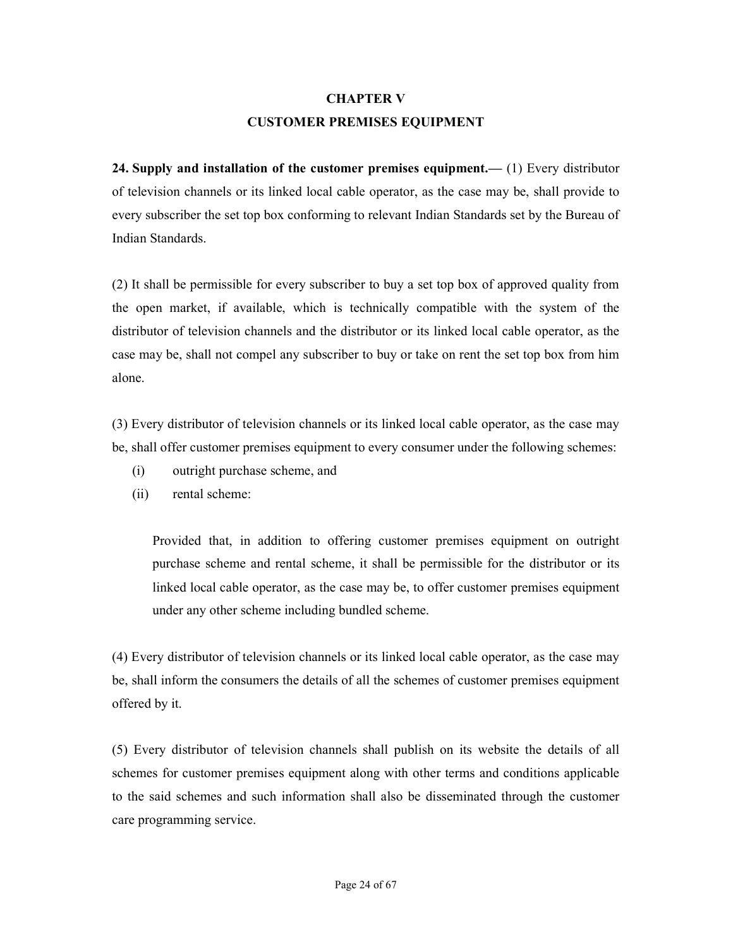### CHAPTER V CUSTOMER PREMISES EQUIPMENT

24. Supply and installation of the customer premises equipment.— (1) Every distributor of television channels or its linked local cable operator, as the case may be, shall provide to every subscriber the set top box conforming to relevant Indian Standards set by the Bureau of Indian Standards.

(2) It shall be permissible for every subscriber to buy a set top box of approved quality from the open market, if available, which is technically compatible with the system of the distributor of television channels and the distributor or its linked local cable operator, as the case may be, shall not compel any subscriber to buy or take on rent the set top box from him alone.

(3) Every distributor of television channels or its linked local cable operator, as the case may be, shall offer customer premises equipment to every consumer under the following schemes:

- (i) outright purchase scheme, and
- (ii) rental scheme:

Provided that, in addition to offering customer premises equipment on outright purchase scheme and rental scheme, it shall be permissible for the distributor or its linked local cable operator, as the case may be, to offer customer premises equipment under any other scheme including bundled scheme.

(4) Every distributor of television channels or its linked local cable operator, as the case may be, shall inform the consumers the details of all the schemes of customer premises equipment offered by it.

(5) Every distributor of television channels shall publish on its website the details of all schemes for customer premises equipment along with other terms and conditions applicable to the said schemes and such information shall also be disseminated through the customer care programming service.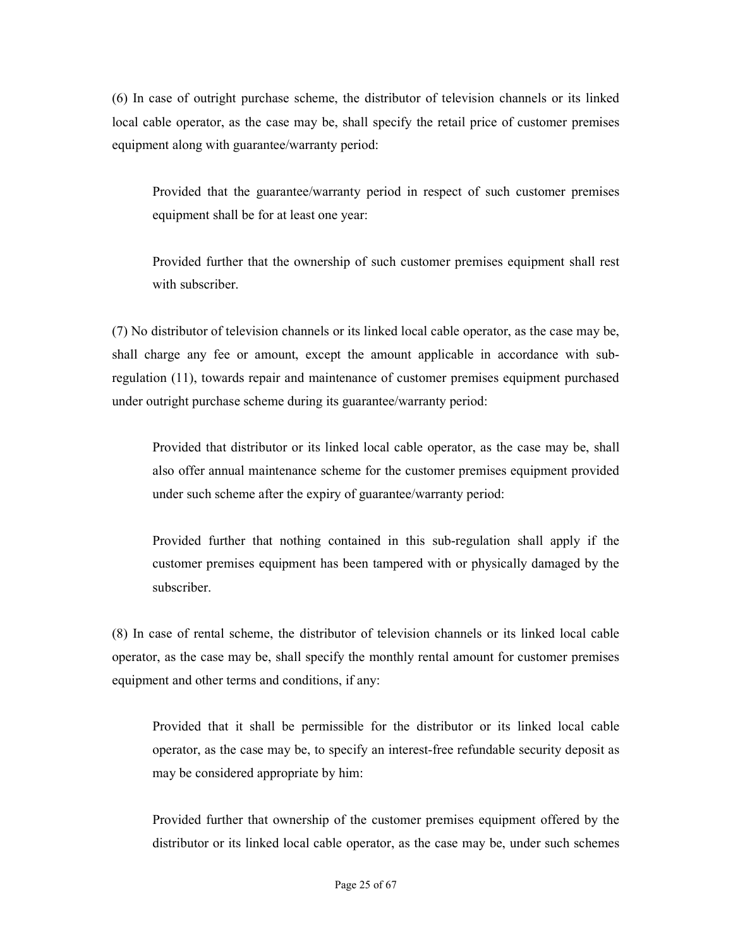(6) In case of outright purchase scheme, the distributor of television channels or its linked local cable operator, as the case may be, shall specify the retail price of customer premises equipment along with guarantee/warranty period:

Provided that the guarantee/warranty period in respect of such customer premises equipment shall be for at least one year:

Provided further that the ownership of such customer premises equipment shall rest with subscriber.

(7) No distributor of television channels or its linked local cable operator, as the case may be, shall charge any fee or amount, except the amount applicable in accordance with subregulation (11), towards repair and maintenance of customer premises equipment purchased under outright purchase scheme during its guarantee/warranty period:

Provided that distributor or its linked local cable operator, as the case may be, shall also offer annual maintenance scheme for the customer premises equipment provided under such scheme after the expiry of guarantee/warranty period:

Provided further that nothing contained in this sub-regulation shall apply if the customer premises equipment has been tampered with or physically damaged by the subscriber.

(8) In case of rental scheme, the distributor of television channels or its linked local cable operator, as the case may be, shall specify the monthly rental amount for customer premises equipment and other terms and conditions, if any:

Provided that it shall be permissible for the distributor or its linked local cable operator, as the case may be, to specify an interest-free refundable security deposit as may be considered appropriate by him:

Provided further that ownership of the customer premises equipment offered by the distributor or its linked local cable operator, as the case may be, under such schemes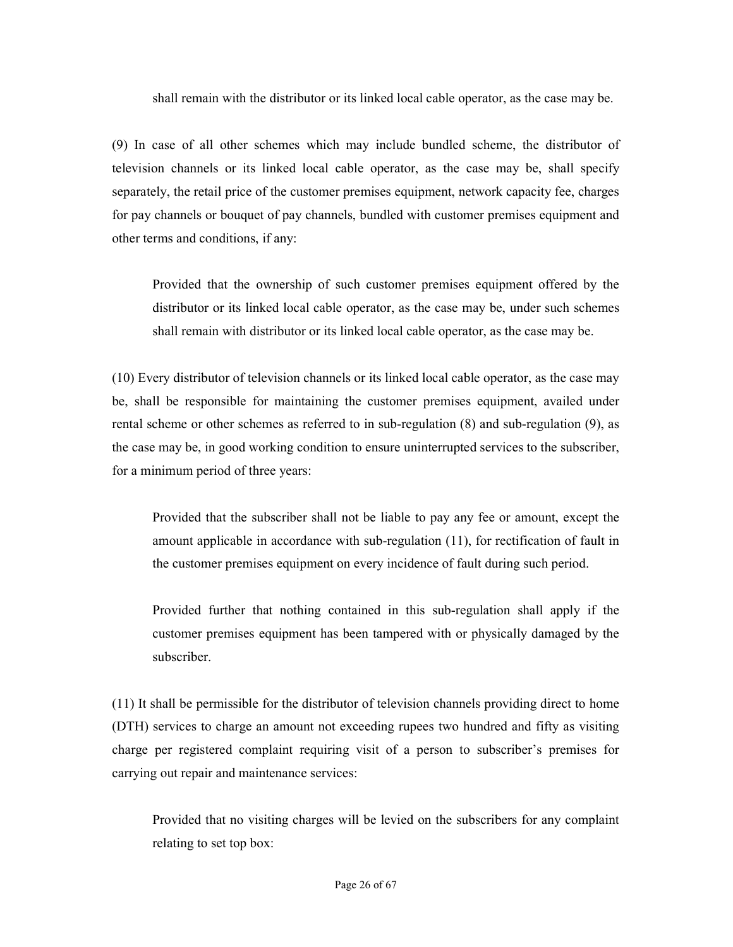shall remain with the distributor or its linked local cable operator, as the case may be.

(9) In case of all other schemes which may include bundled scheme, the distributor of television channels or its linked local cable operator, as the case may be, shall specify separately, the retail price of the customer premises equipment, network capacity fee, charges for pay channels or bouquet of pay channels, bundled with customer premises equipment and other terms and conditions, if any:

Provided that the ownership of such customer premises equipment offered by the distributor or its linked local cable operator, as the case may be, under such schemes shall remain with distributor or its linked local cable operator, as the case may be.

(10) Every distributor of television channels or its linked local cable operator, as the case may be, shall be responsible for maintaining the customer premises equipment, availed under rental scheme or other schemes as referred to in sub-regulation (8) and sub-regulation (9), as the case may be, in good working condition to ensure uninterrupted services to the subscriber, for a minimum period of three years:

Provided that the subscriber shall not be liable to pay any fee or amount, except the amount applicable in accordance with sub-regulation (11), for rectification of fault in the customer premises equipment on every incidence of fault during such period.

Provided further that nothing contained in this sub-regulation shall apply if the customer premises equipment has been tampered with or physically damaged by the subscriber.

(11) It shall be permissible for the distributor of television channels providing direct to home (DTH) services to charge an amount not exceeding rupees two hundred and fifty as visiting charge per registered complaint requiring visit of a person to subscriber's premises for carrying out repair and maintenance services:

Provided that no visiting charges will be levied on the subscribers for any complaint relating to set top box: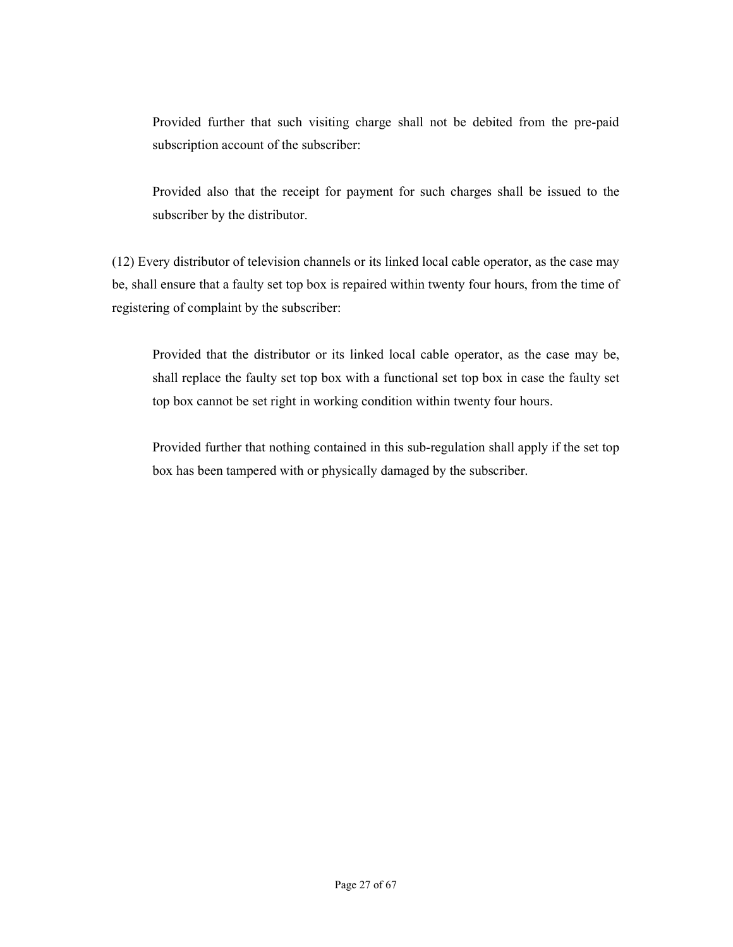Provided further that such visiting charge shall not be debited from the pre-paid subscription account of the subscriber:

Provided also that the receipt for payment for such charges shall be issued to the subscriber by the distributor.

(12) Every distributor of television channels or its linked local cable operator, as the case may be, shall ensure that a faulty set top box is repaired within twenty four hours, from the time of registering of complaint by the subscriber:

Provided that the distributor or its linked local cable operator, as the case may be, shall replace the faulty set top box with a functional set top box in case the faulty set top box cannot be set right in working condition within twenty four hours.

Provided further that nothing contained in this sub-regulation shall apply if the set top box has been tampered with or physically damaged by the subscriber.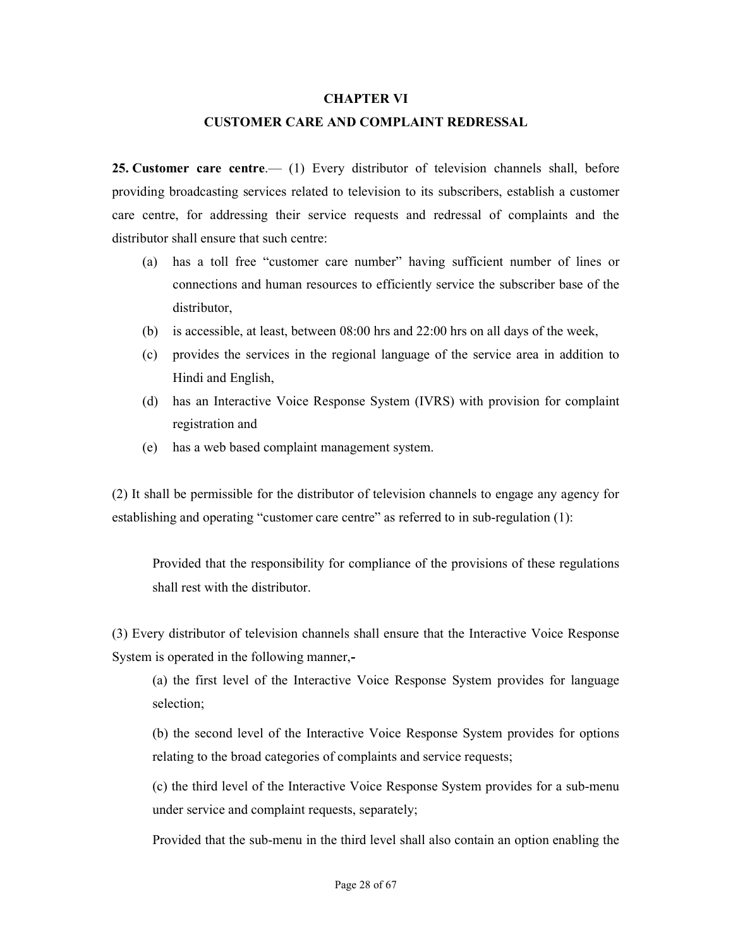#### CHAPTER VI

#### CUSTOMER CARE AND COMPLAINT REDRESSAL

25. Customer care centre.— (1) Every distributor of television channels shall, before providing broadcasting services related to television to its subscribers, establish a customer care centre, for addressing their service requests and redressal of complaints and the distributor shall ensure that such centre:

- (a) has a toll free "customer care number" having sufficient number of lines or connections and human resources to efficiently service the subscriber base of the distributor,
- (b) is accessible, at least, between 08:00 hrs and 22:00 hrs on all days of the week,
- (c) provides the services in the regional language of the service area in addition to Hindi and English,
- (d) has an Interactive Voice Response System (IVRS) with provision for complaint registration and
- (e) has a web based complaint management system.

(2) It shall be permissible for the distributor of television channels to engage any agency for establishing and operating "customer care centre" as referred to in sub-regulation (1):

Provided that the responsibility for compliance of the provisions of these regulations shall rest with the distributor.

(3) Every distributor of television channels shall ensure that the Interactive Voice Response System is operated in the following manner,-

(a) the first level of the Interactive Voice Response System provides for language selection;

(b) the second level of the Interactive Voice Response System provides for options relating to the broad categories of complaints and service requests;

(c) the third level of the Interactive Voice Response System provides for a sub-menu under service and complaint requests, separately;

Provided that the sub-menu in the third level shall also contain an option enabling the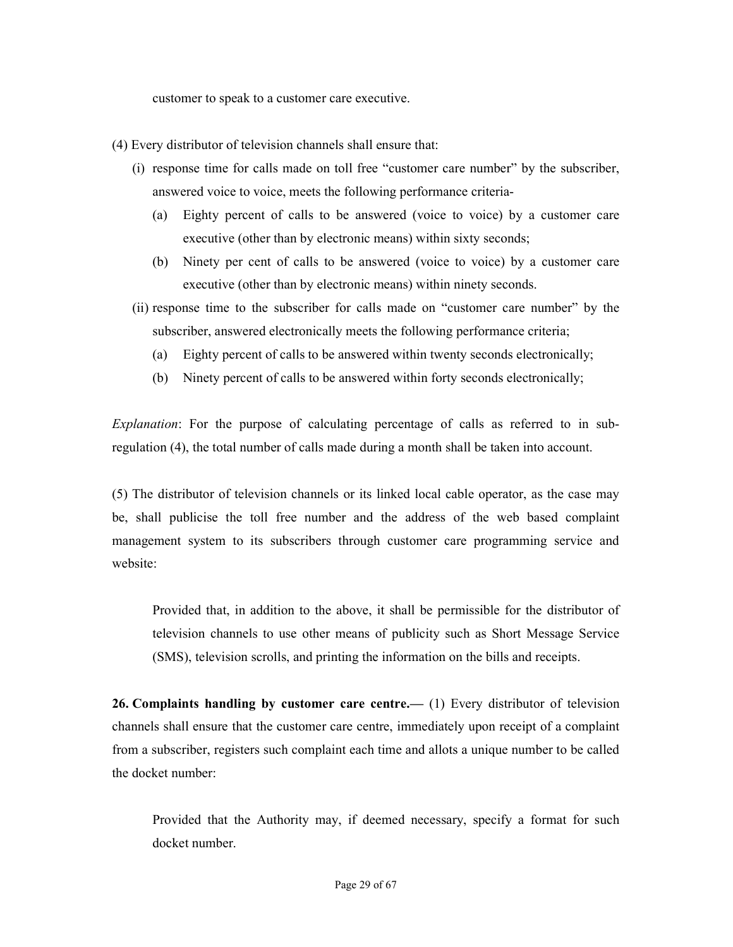customer to speak to a customer care executive.

- (4) Every distributor of television channels shall ensure that:
	- (i) response time for calls made on toll free "customer care number" by the subscriber, answered voice to voice, meets the following performance criteria-
		- (a) Eighty percent of calls to be answered (voice to voice) by a customer care executive (other than by electronic means) within sixty seconds;
		- (b) Ninety per cent of calls to be answered (voice to voice) by a customer care executive (other than by electronic means) within ninety seconds.
	- (ii) response time to the subscriber for calls made on "customer care number" by the subscriber, answered electronically meets the following performance criteria;
		- (a) Eighty percent of calls to be answered within twenty seconds electronically;
		- (b) Ninety percent of calls to be answered within forty seconds electronically;

Explanation: For the purpose of calculating percentage of calls as referred to in subregulation (4), the total number of calls made during a month shall be taken into account.

(5) The distributor of television channels or its linked local cable operator, as the case may be, shall publicise the toll free number and the address of the web based complaint management system to its subscribers through customer care programming service and website:

Provided that, in addition to the above, it shall be permissible for the distributor of television channels to use other means of publicity such as Short Message Service (SMS), television scrolls, and printing the information on the bills and receipts.

26. Complaints handling by customer care centre.— (1) Every distributor of television channels shall ensure that the customer care centre, immediately upon receipt of a complaint from a subscriber, registers such complaint each time and allots a unique number to be called the docket number:

Provided that the Authority may, if deemed necessary, specify a format for such docket number.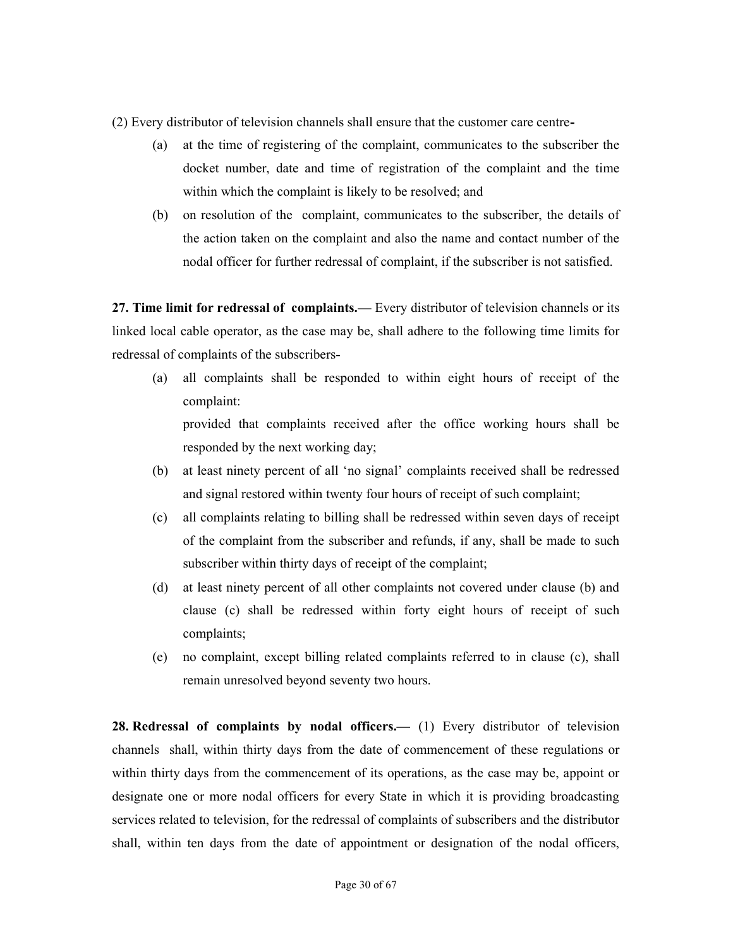(2) Every distributor of television channels shall ensure that the customer care centre-

- (a) at the time of registering of the complaint, communicates to the subscriber the docket number, date and time of registration of the complaint and the time within which the complaint is likely to be resolved; and
- (b) on resolution of the complaint, communicates to the subscriber, the details of the action taken on the complaint and also the name and contact number of the nodal officer for further redressal of complaint, if the subscriber is not satisfied.

27. Time limit for redressal of complaints.— Every distributor of television channels or its linked local cable operator, as the case may be, shall adhere to the following time limits for redressal of complaints of the subscribers-

- (a) all complaints shall be responded to within eight hours of receipt of the complaint: provided that complaints received after the office working hours shall be responded by the next working day;
- (b) at least ninety percent of all 'no signal' complaints received shall be redressed and signal restored within twenty four hours of receipt of such complaint;
- (c) all complaints relating to billing shall be redressed within seven days of receipt of the complaint from the subscriber and refunds, if any, shall be made to such subscriber within thirty days of receipt of the complaint;
- (d) at least ninety percent of all other complaints not covered under clause (b) and clause (c) shall be redressed within forty eight hours of receipt of such complaints;
- (e) no complaint, except billing related complaints referred to in clause (c), shall remain unresolved beyond seventy two hours.

28. Redressal of complaints by nodal officers.— (1) Every distributor of television channels shall, within thirty days from the date of commencement of these regulations or within thirty days from the commencement of its operations, as the case may be, appoint or designate one or more nodal officers for every State in which it is providing broadcasting services related to television, for the redressal of complaints of subscribers and the distributor shall, within ten days from the date of appointment or designation of the nodal officers,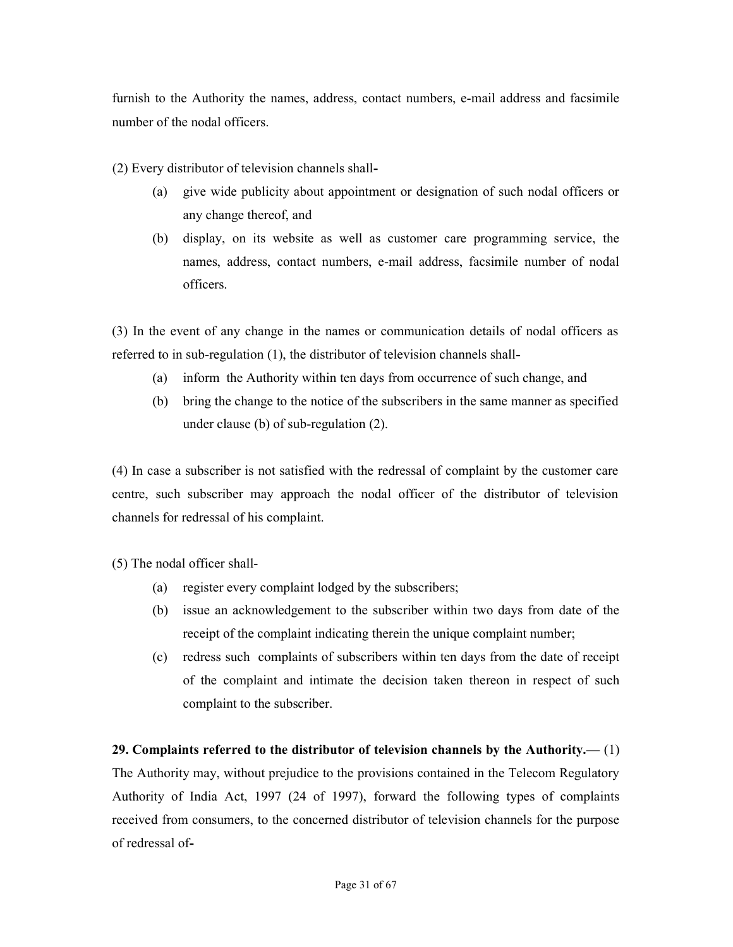furnish to the Authority the names, address, contact numbers, e-mail address and facsimile number of the nodal officers.

(2) Every distributor of television channels shall-

- (a) give wide publicity about appointment or designation of such nodal officers or any change thereof, and
- (b) display, on its website as well as customer care programming service, the names, address, contact numbers, e-mail address, facsimile number of nodal officers.

(3) In the event of any change in the names or communication details of nodal officers as referred to in sub-regulation (1), the distributor of television channels shall-

- (a) inform the Authority within ten days from occurrence of such change, and
- (b) bring the change to the notice of the subscribers in the same manner as specified under clause (b) of sub-regulation (2).

(4) In case a subscriber is not satisfied with the redressal of complaint by the customer care centre, such subscriber may approach the nodal officer of the distributor of television channels for redressal of his complaint.

(5) The nodal officer shall-

- (a) register every complaint lodged by the subscribers;
- (b) issue an acknowledgement to the subscriber within two days from date of the receipt of the complaint indicating therein the unique complaint number;
- (c) redress such complaints of subscribers within ten days from the date of receipt of the complaint and intimate the decision taken thereon in respect of such complaint to the subscriber.

29. Complaints referred to the distributor of television channels by the Authority.— $(1)$ The Authority may, without prejudice to the provisions contained in the Telecom Regulatory Authority of India Act, 1997 (24 of 1997), forward the following types of complaints received from consumers, to the concerned distributor of television channels for the purpose of redressal of-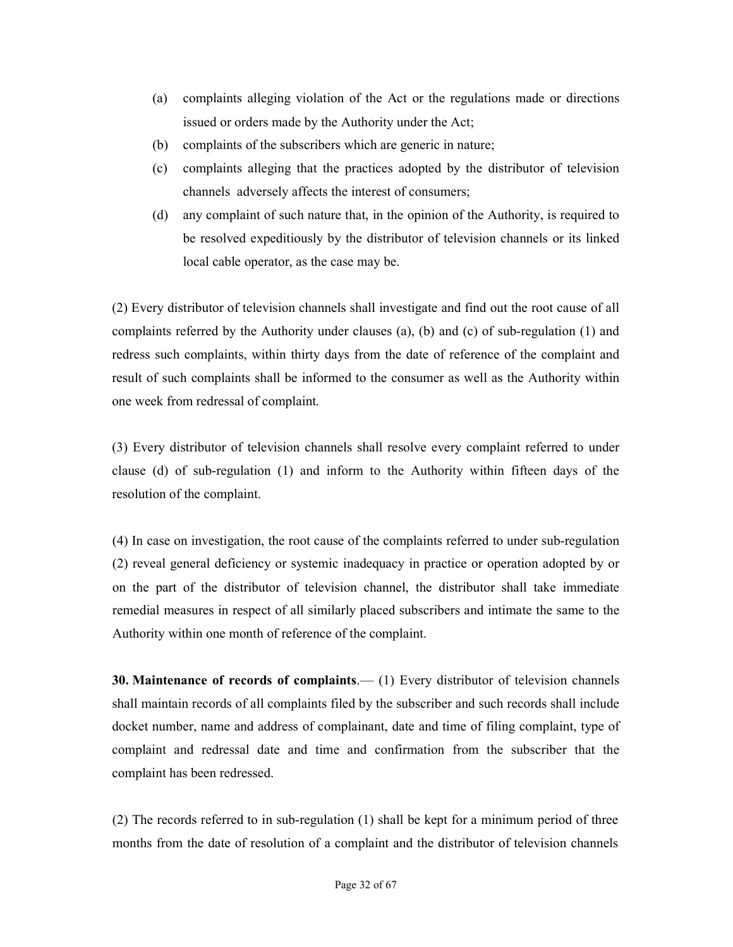- (a) complaints alleging violation of the Act or the regulations made or directions issued or orders made by the Authority under the Act;
- (b) complaints of the subscribers which are generic in nature;
- (c) complaints alleging that the practices adopted by the distributor of television channels adversely affects the interest of consumers;
- (d) any complaint of such nature that, in the opinion of the Authority, is required to be resolved expeditiously by the distributor of television channels or its linked local cable operator, as the case may be.

(2) Every distributor of television channels shall investigate and find out the root cause of all complaints referred by the Authority under clauses (a), (b) and (c) of sub-regulation (1) and redress such complaints, within thirty days from the date of reference of the complaint and result of such complaints shall be informed to the consumer as well as the Authority within one week from redressal of complaint.

(3) Every distributor of television channels shall resolve every complaint referred to under clause (d) of sub-regulation (1) and inform to the Authority within fifteen days of the resolution of the complaint.

(4) In case on investigation, the root cause of the complaints referred to under sub-regulation (2) reveal general deficiency or systemic inadequacy in practice or operation adopted by or on the part of the distributor of television channel, the distributor shall take immediate remedial measures in respect of all similarly placed subscribers and intimate the same to the Authority within one month of reference of the complaint.

30. Maintenance of records of complaints.— (1) Every distributor of television channels shall maintain records of all complaints filed by the subscriber and such records shall include docket number, name and address of complainant, date and time of filing complaint, type of complaint and redressal date and time and confirmation from the subscriber that the complaint has been redressed.

(2) The records referred to in sub-regulation (1) shall be kept for a minimum period of three months from the date of resolution of a complaint and the distributor of television channels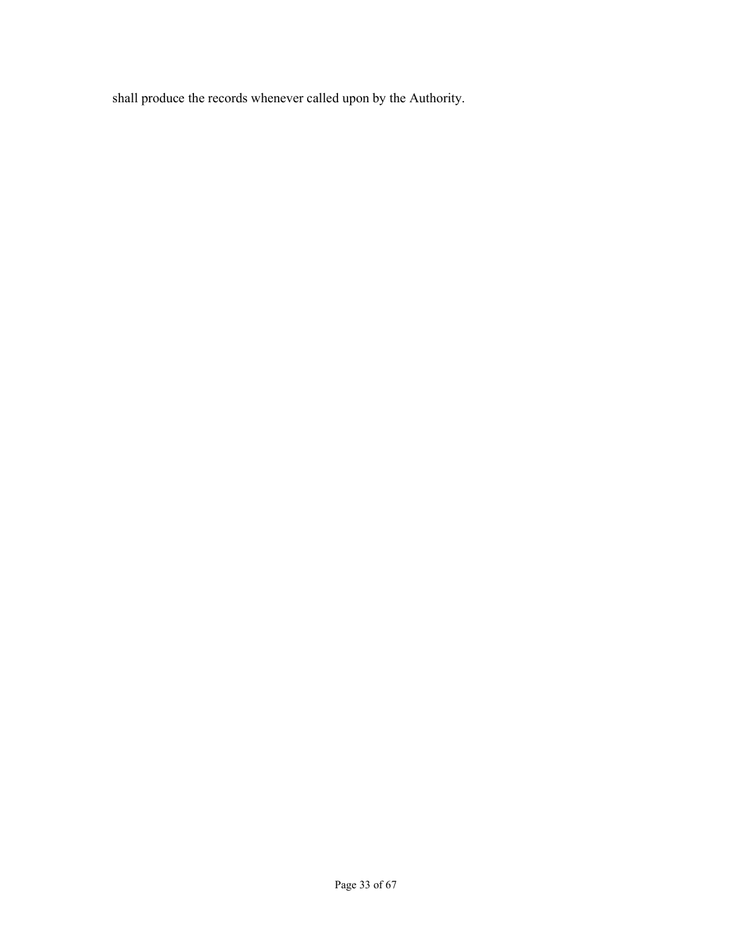shall produce the records whenever called upon by the Authority.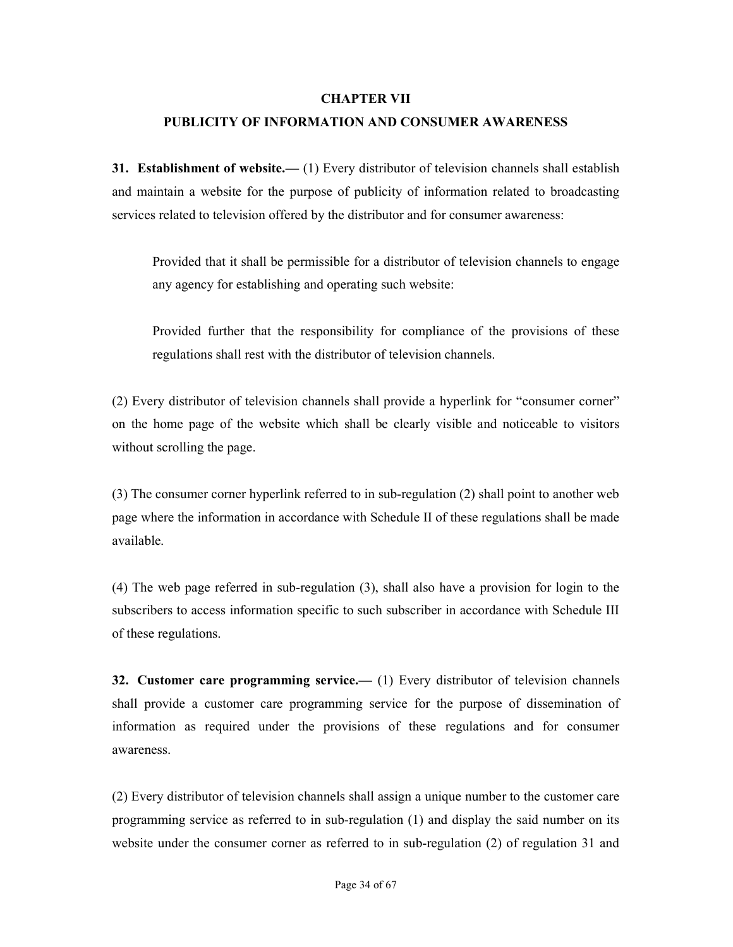#### CHAPTER VII

#### PUBLICITY OF INFORMATION AND CONSUMER AWARENESS

31. Establishment of website.— (1) Every distributor of television channels shall establish and maintain a website for the purpose of publicity of information related to broadcasting services related to television offered by the distributor and for consumer awareness:

Provided that it shall be permissible for a distributor of television channels to engage any agency for establishing and operating such website:

Provided further that the responsibility for compliance of the provisions of these regulations shall rest with the distributor of television channels.

(2) Every distributor of television channels shall provide a hyperlink for "consumer corner" on the home page of the website which shall be clearly visible and noticeable to visitors without scrolling the page.

(3) The consumer corner hyperlink referred to in sub-regulation (2) shall point to another web page where the information in accordance with Schedule II of these regulations shall be made available.

(4) The web page referred in sub-regulation (3), shall also have a provision for login to the subscribers to access information specific to such subscriber in accordance with Schedule III of these regulations.

32. Customer care programming service.— (1) Every distributor of television channels shall provide a customer care programming service for the purpose of dissemination of information as required under the provisions of these regulations and for consumer awareness.

(2) Every distributor of television channels shall assign a unique number to the customer care programming service as referred to in sub-regulation (1) and display the said number on its website under the consumer corner as referred to in sub-regulation (2) of regulation 31 and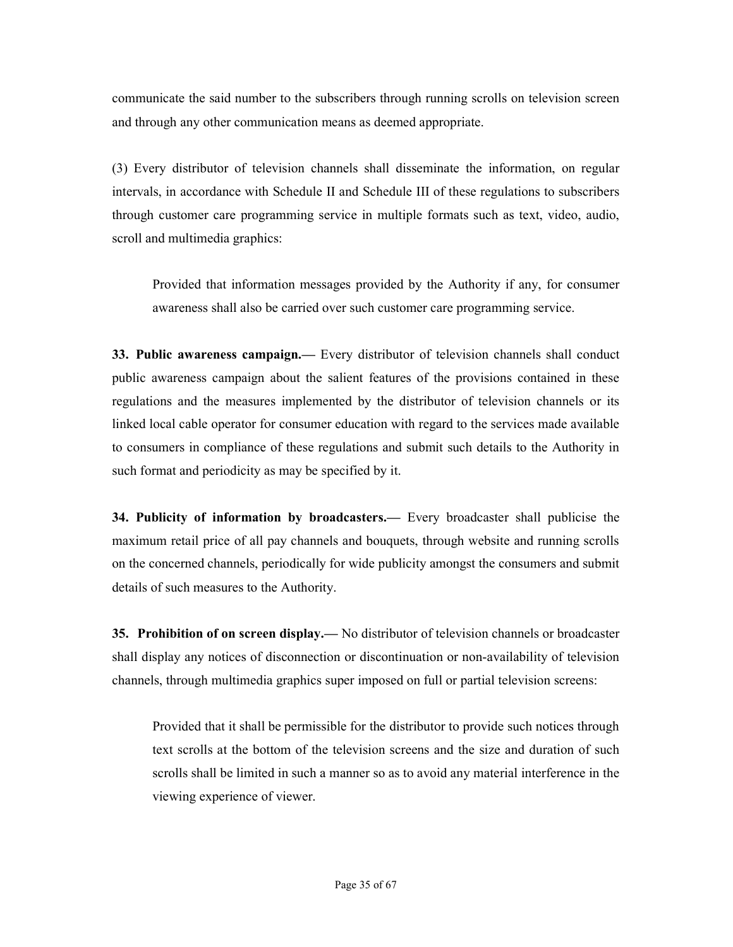communicate the said number to the subscribers through running scrolls on television screen and through any other communication means as deemed appropriate.

(3) Every distributor of television channels shall disseminate the information, on regular intervals, in accordance with Schedule II and Schedule III of these regulations to subscribers through customer care programming service in multiple formats such as text, video, audio, scroll and multimedia graphics:

Provided that information messages provided by the Authority if any, for consumer awareness shall also be carried over such customer care programming service.

33. Public awareness campaign.— Every distributor of television channels shall conduct public awareness campaign about the salient features of the provisions contained in these regulations and the measures implemented by the distributor of television channels or its linked local cable operator for consumer education with regard to the services made available to consumers in compliance of these regulations and submit such details to the Authority in such format and periodicity as may be specified by it.

34. Publicity of information by broadcasters.— Every broadcaster shall publicise the maximum retail price of all pay channels and bouquets, through website and running scrolls on the concerned channels, periodically for wide publicity amongst the consumers and submit details of such measures to the Authority.

35. Prohibition of on screen display.— No distributor of television channels or broadcaster shall display any notices of disconnection or discontinuation or non-availability of television channels, through multimedia graphics super imposed on full or partial television screens:

Provided that it shall be permissible for the distributor to provide such notices through text scrolls at the bottom of the television screens and the size and duration of such scrolls shall be limited in such a manner so as to avoid any material interference in the viewing experience of viewer.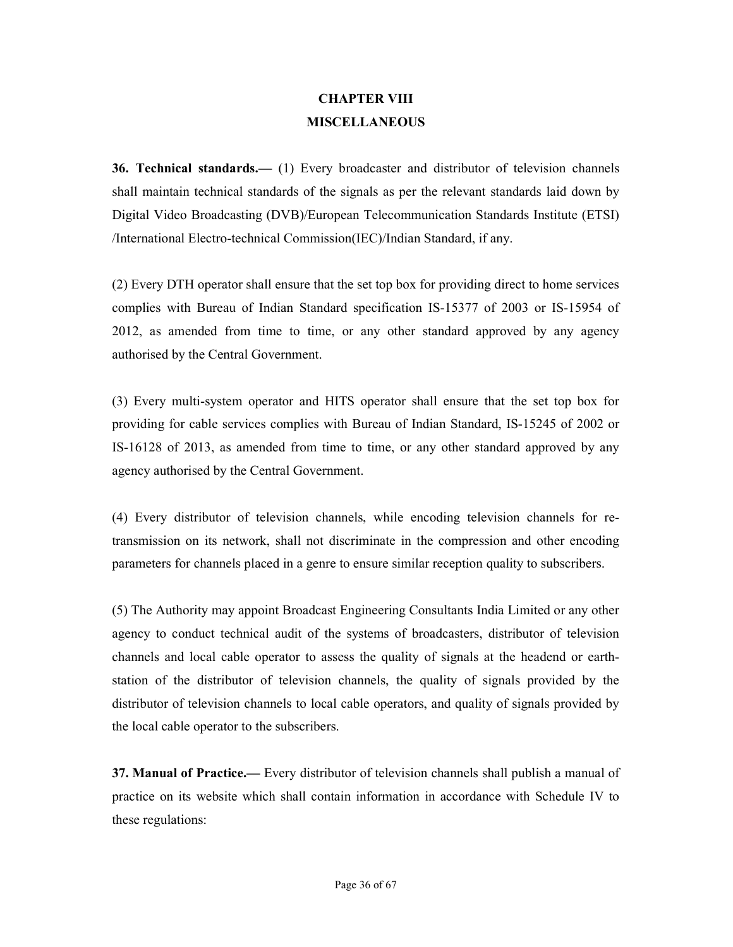### CHAPTER VIII MISCELLANEOUS

36. Technical standards.— (1) Every broadcaster and distributor of television channels shall maintain technical standards of the signals as per the relevant standards laid down by Digital Video Broadcasting (DVB)/European Telecommunication Standards Institute (ETSI) /International Electro-technical Commission(IEC)/Indian Standard, if any.

(2) Every DTH operator shall ensure that the set top box for providing direct to home services complies with Bureau of Indian Standard specification IS-15377 of 2003 or IS-15954 of 2012, as amended from time to time, or any other standard approved by any agency authorised by the Central Government.

(3) Every multi-system operator and HITS operator shall ensure that the set top box for providing for cable services complies with Bureau of Indian Standard, IS-15245 of 2002 or IS-16128 of 2013, as amended from time to time, or any other standard approved by any agency authorised by the Central Government.

(4) Every distributor of television channels, while encoding television channels for retransmission on its network, shall not discriminate in the compression and other encoding parameters for channels placed in a genre to ensure similar reception quality to subscribers.

(5) The Authority may appoint Broadcast Engineering Consultants India Limited or any other agency to conduct technical audit of the systems of broadcasters, distributor of television channels and local cable operator to assess the quality of signals at the headend or earthstation of the distributor of television channels, the quality of signals provided by the distributor of television channels to local cable operators, and quality of signals provided by the local cable operator to the subscribers.

37. Manual of Practice.— Every distributor of television channels shall publish a manual of practice on its website which shall contain information in accordance with Schedule IV to these regulations: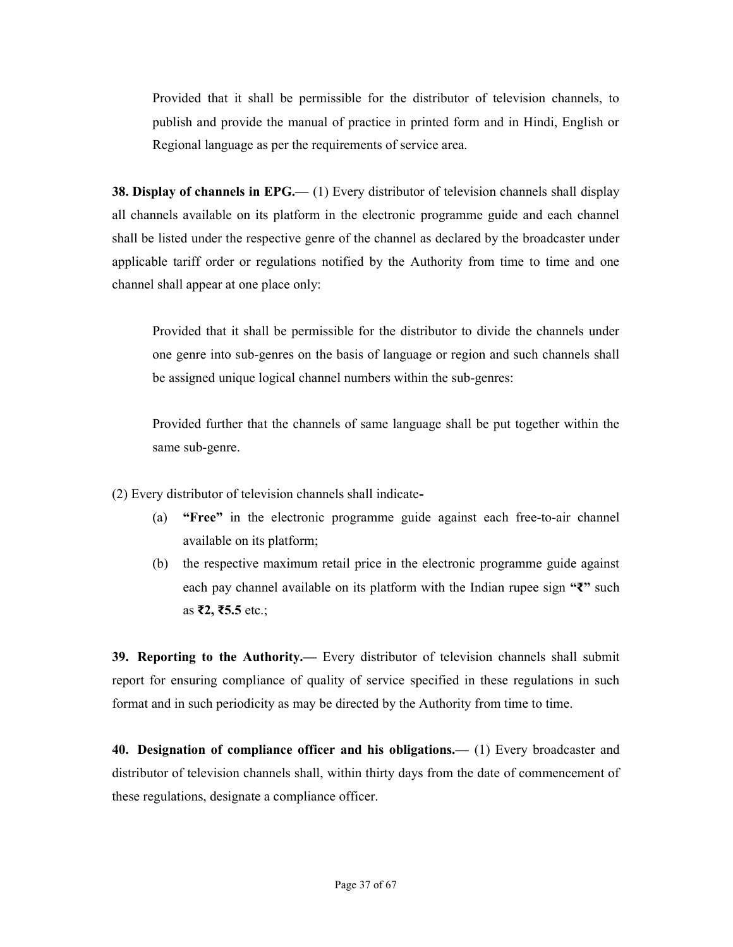Provided that it shall be permissible for the distributor of television channels, to publish and provide the manual of practice in printed form and in Hindi, English or Regional language as per the requirements of service area.

38. Display of channels in EPG.— (1) Every distributor of television channels shall display all channels available on its platform in the electronic programme guide and each channel shall be listed under the respective genre of the channel as declared by the broadcaster under applicable tariff order or regulations notified by the Authority from time to time and one channel shall appear at one place only:

Provided that it shall be permissible for the distributor to divide the channels under one genre into sub-genres on the basis of language or region and such channels shall be assigned unique logical channel numbers within the sub-genres:

Provided further that the channels of same language shall be put together within the same sub-genre.

(2) Every distributor of television channels shall indicate-

- (a) "Free" in the electronic programme guide against each free-to-air channel available on its platform;
- (b) the respective maximum retail price in the electronic programme guide against each pay channel available on its platform with the Indian rupee sign "₹" such as ₹2, ₹5.5 etc.;

39. Reporting to the Authority.— Every distributor of television channels shall submit report for ensuring compliance of quality of service specified in these regulations in such format and in such periodicity as may be directed by the Authority from time to time.

**40. Designation of compliance officer and his obligations.**—  $(1)$  Every broadcaster and distributor of television channels shall, within thirty days from the date of commencement of these regulations, designate a compliance officer.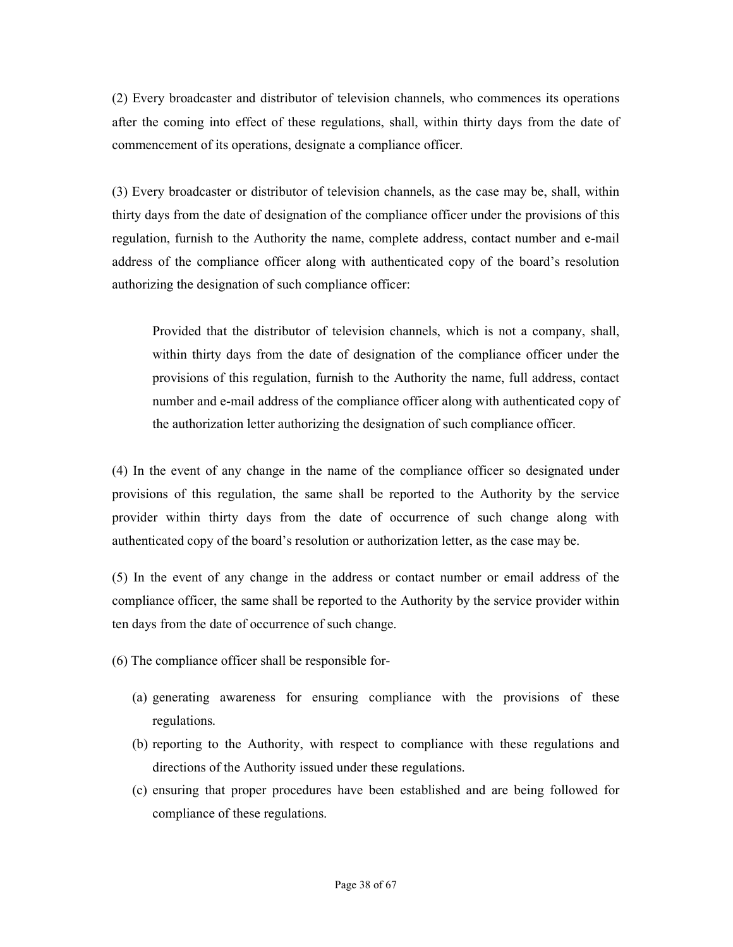(2) Every broadcaster and distributor of television channels, who commences its operations after the coming into effect of these regulations, shall, within thirty days from the date of commencement of its operations, designate a compliance officer.

(3) Every broadcaster or distributor of television channels, as the case may be, shall, within thirty days from the date of designation of the compliance officer under the provisions of this regulation, furnish to the Authority the name, complete address, contact number and e-mail address of the compliance officer along with authenticated copy of the board's resolution authorizing the designation of such compliance officer:

Provided that the distributor of television channels, which is not a company, shall, within thirty days from the date of designation of the compliance officer under the provisions of this regulation, furnish to the Authority the name, full address, contact number and e-mail address of the compliance officer along with authenticated copy of the authorization letter authorizing the designation of such compliance officer.

(4) In the event of any change in the name of the compliance officer so designated under provisions of this regulation, the same shall be reported to the Authority by the service provider within thirty days from the date of occurrence of such change along with authenticated copy of the board's resolution or authorization letter, as the case may be.

(5) In the event of any change in the address or contact number or email address of the compliance officer, the same shall be reported to the Authority by the service provider within ten days from the date of occurrence of such change.

(6) The compliance officer shall be responsible for-

- (a) generating awareness for ensuring compliance with the provisions of these regulations.
- (b) reporting to the Authority, with respect to compliance with these regulations and directions of the Authority issued under these regulations.
- (c) ensuring that proper procedures have been established and are being followed for compliance of these regulations.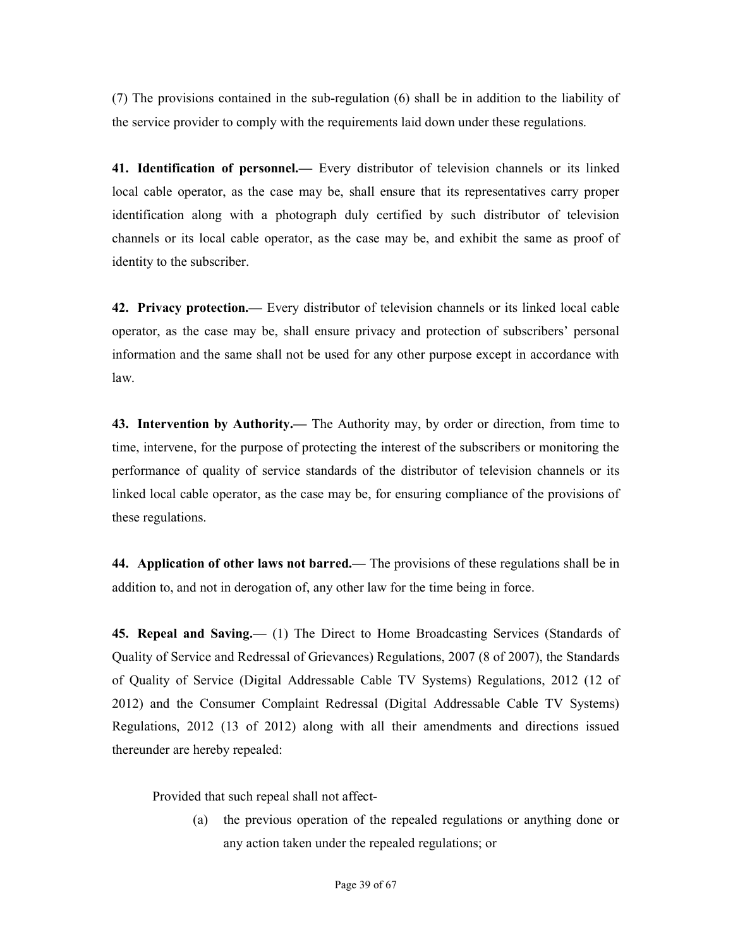(7) The provisions contained in the sub-regulation (6) shall be in addition to the liability of the service provider to comply with the requirements laid down under these regulations.

41. Identification of personnel.— Every distributor of television channels or its linked local cable operator, as the case may be, shall ensure that its representatives carry proper identification along with a photograph duly certified by such distributor of television channels or its local cable operator, as the case may be, and exhibit the same as proof of identity to the subscriber.

42. Privacy protection.— Every distributor of television channels or its linked local cable operator, as the case may be, shall ensure privacy and protection of subscribers' personal information and the same shall not be used for any other purpose except in accordance with law.

43. Intervention by Authority.— The Authority may, by order or direction, from time to time, intervene, for the purpose of protecting the interest of the subscribers or monitoring the performance of quality of service standards of the distributor of television channels or its linked local cable operator, as the case may be, for ensuring compliance of the provisions of these regulations.

44. Application of other laws not barred.— The provisions of these regulations shall be in addition to, and not in derogation of, any other law for the time being in force.

45. Repeal and Saving.— (1) The Direct to Home Broadcasting Services (Standards of Quality of Service and Redressal of Grievances) Regulations, 2007 (8 of 2007), the Standards of Quality of Service (Digital Addressable Cable TV Systems) Regulations, 2012 (12 of 2012) and the Consumer Complaint Redressal (Digital Addressable Cable TV Systems) Regulations, 2012 (13 of 2012) along with all their amendments and directions issued thereunder are hereby repealed:

Provided that such repeal shall not affect-

(a) the previous operation of the repealed regulations or anything done or any action taken under the repealed regulations; or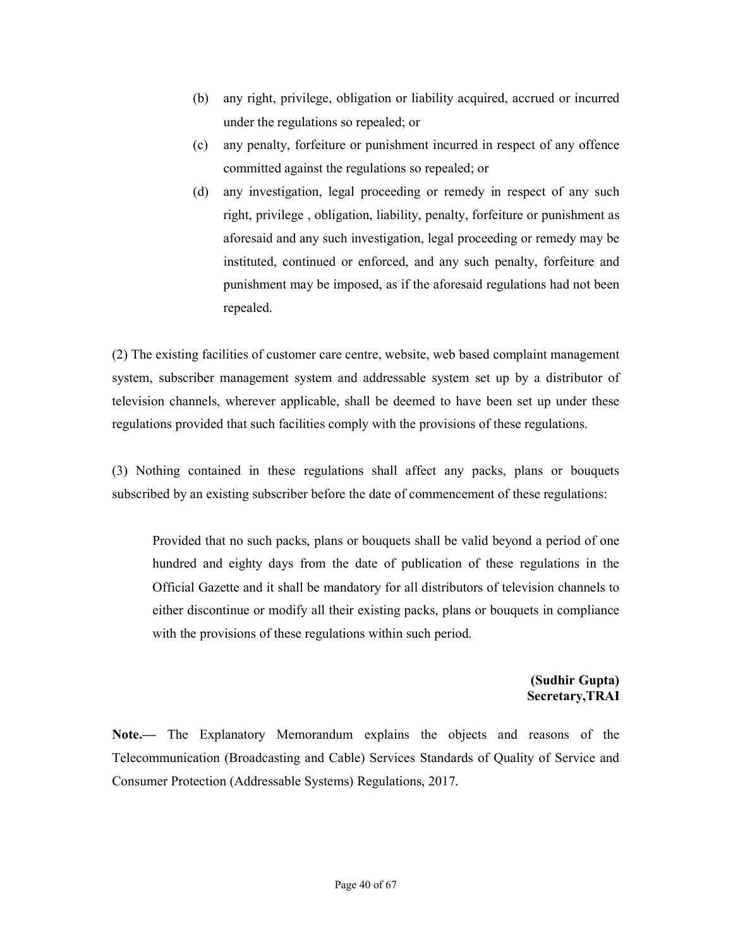- (b) any right, privilege, obligation or liability acquired, accrued or incurred under the regulations so repealed; or
- (c) any penalty, forfeiture or punishment incurred in respect of any offence committed against the regulations so repealed; or
- (d) any investigation, legal proceeding or remedy in respect of any such right, privilege , obligation, liability, penalty, forfeiture or punishment as aforesaid and any such investigation, legal proceeding or remedy may be instituted, continued or enforced, and any such penalty, forfeiture and punishment may be imposed, as if the aforesaid regulations had not been repealed.

(2) The existing facilities of customer care centre, website, web based complaint management system, subscriber management system and addressable system set up by a distributor of television channels, wherever applicable, shall be deemed to have been set up under these regulations provided that such facilities comply with the provisions of these regulations.

(3) Nothing contained in these regulations shall affect any packs, plans or bouquets subscribed by an existing subscriber before the date of commencement of these regulations:

Provided that no such packs, plans or bouquets shall be valid beyond a period of one hundred and eighty days from the date of publication of these regulations in the Official Gazette and it shall be mandatory for all distributors of television channels to either discontinue or modify all their existing packs, plans or bouquets in compliance with the provisions of these regulations within such period.

#### (Sudhir Gupta) Secretary,TRAI

Note.— The Explanatory Memorandum explains the objects and reasons of the Telecommunication (Broadcasting and Cable) Services Standards of Quality of Service and Consumer Protection (Addressable Systems) Regulations, 2017.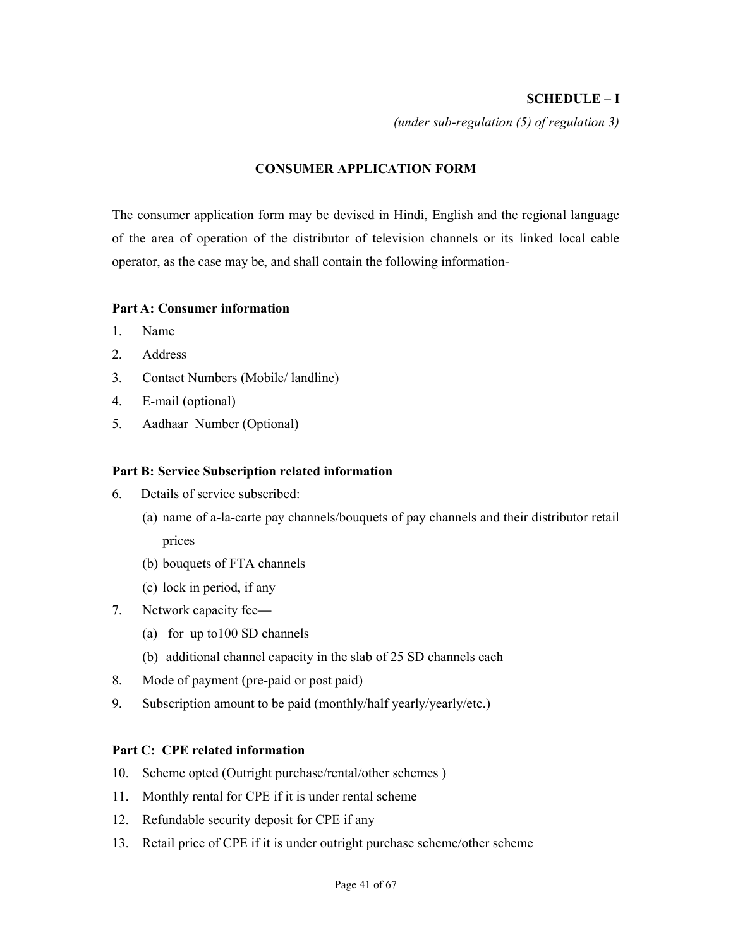#### SCHEDULE – I

(under sub-regulation (5) of regulation 3)

#### CONSUMER APPLICATION FORM

The consumer application form may be devised in Hindi, English and the regional language of the area of operation of the distributor of television channels or its linked local cable operator, as the case may be, and shall contain the following information-

#### Part A: Consumer information

- 1. Name
- 2. Address
- 3. Contact Numbers (Mobile/ landline)
- 4. E-mail (optional)
- 5. Aadhaar Number (Optional)

#### Part B: Service Subscription related information

- 6. Details of service subscribed:
	- (a) name of a-la-carte pay channels/bouquets of pay channels and their distributor retail prices
	- (b) bouquets of FTA channels
	- (c) lock in period, if any
- 7. Network capacity fee—
	- (a) for up to100 SD channels
	- (b) additional channel capacity in the slab of 25 SD channels each
- 8. Mode of payment (pre-paid or post paid)
- 9. Subscription amount to be paid (monthly/half yearly/yearly/etc.)

#### Part C: CPE related information

- 10. Scheme opted (Outright purchase/rental/other schemes )
- 11. Monthly rental for CPE if it is under rental scheme
- 12. Refundable security deposit for CPE if any
- 13. Retail price of CPE if it is under outright purchase scheme/other scheme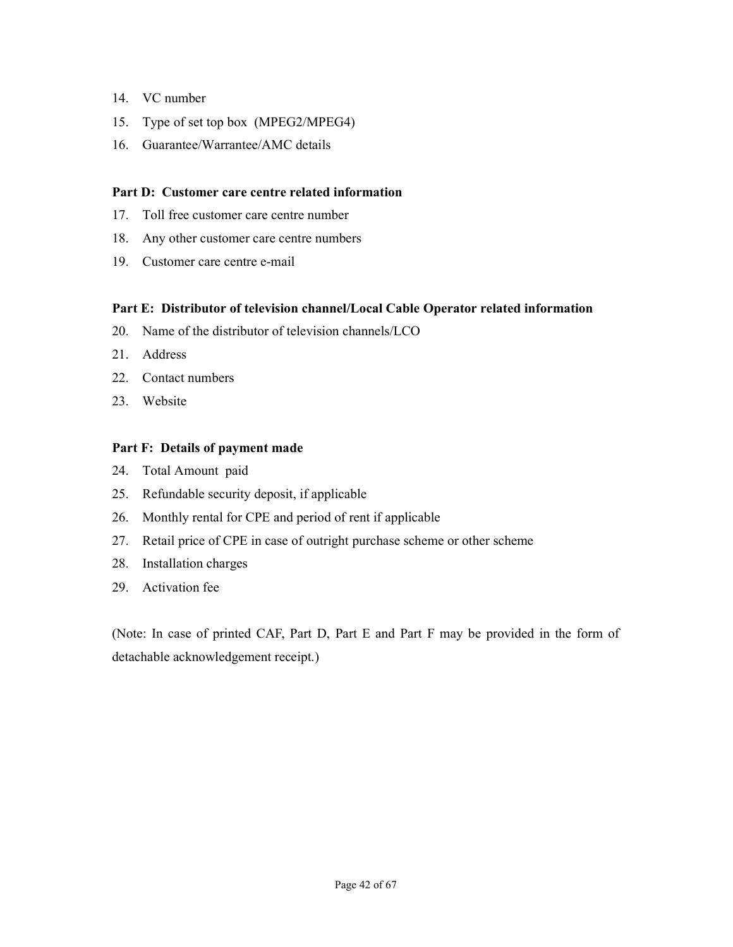- 14. VC number
- 15. Type of set top box (MPEG2/MPEG4)
- 16. Guarantee/Warrantee/AMC details

#### Part D: Customer care centre related information

- 17. Toll free customer care centre number
- 18. Any other customer care centre numbers
- 19. Customer care centre e-mail

#### Part E: Distributor of television channel/Local Cable Operator related information

- 20. Name of the distributor of television channels/LCO
- 21. Address
- 22. Contact numbers
- 23. Website

#### Part F: Details of payment made

- 24. Total Amount paid
- 25. Refundable security deposit, if applicable
- 26. Monthly rental for CPE and period of rent if applicable
- 27. Retail price of CPE in case of outright purchase scheme or other scheme
- 28. Installation charges
- 29. Activation fee

(Note: In case of printed CAF, Part D, Part E and Part F may be provided in the form of detachable acknowledgement receipt.)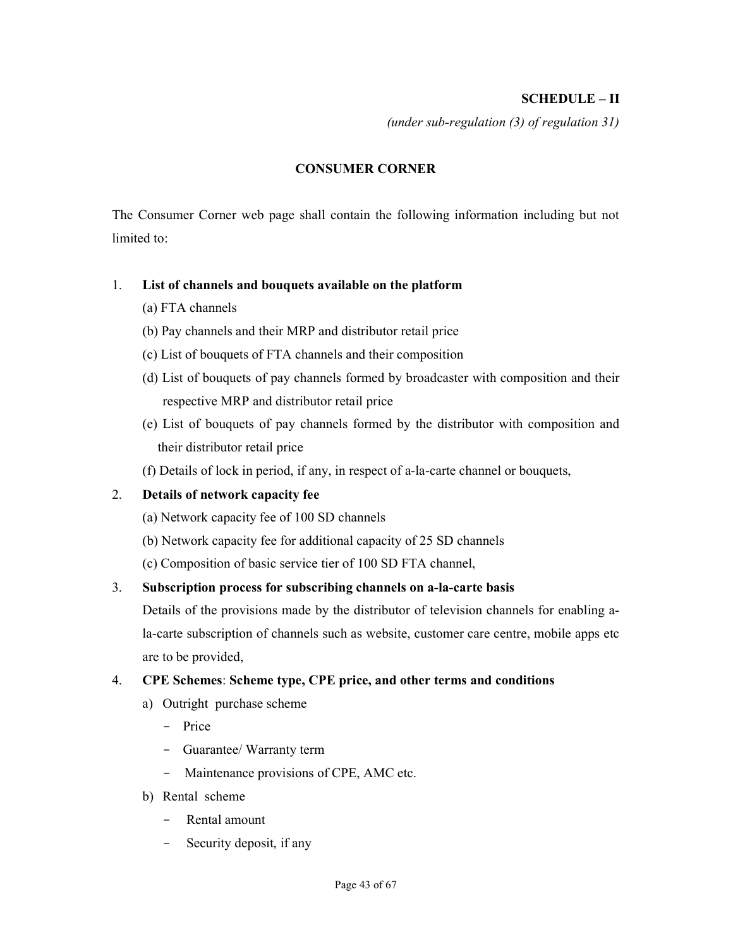#### SCHEDULE – II

(under sub-regulation (3) of regulation 31)

#### CONSUMER CORNER

The Consumer Corner web page shall contain the following information including but not limited to:

#### 1. List of channels and bouquets available on the platform

- (a) FTA channels
- (b) Pay channels and their MRP and distributor retail price
- (c) List of bouquets of FTA channels and their composition
- (d) List of bouquets of pay channels formed by broadcaster with composition and their respective MRP and distributor retail price
- (e) List of bouquets of pay channels formed by the distributor with composition and their distributor retail price
- (f) Details of lock in period, if any, in respect of a-la-carte channel or bouquets,

#### 2. Details of network capacity fee

- (a) Network capacity fee of 100 SD channels
- (b) Network capacity fee for additional capacity of 25 SD channels
- (c) Composition of basic service tier of 100 SD FTA channel,

#### 3. Subscription process for subscribing channels on a-la-carte basis

Details of the provisions made by the distributor of television channels for enabling ala-carte subscription of channels such as website, customer care centre, mobile apps etc are to be provided,

#### 4. CPE Schemes: Scheme type, CPE price, and other terms and conditions

- a) Outright purchase scheme
	- Price
	- Guarantee/ Warranty term
	- Maintenance provisions of CPE, AMC etc.
- b) Rental scheme
	- Rental amount
	- Security deposit, if any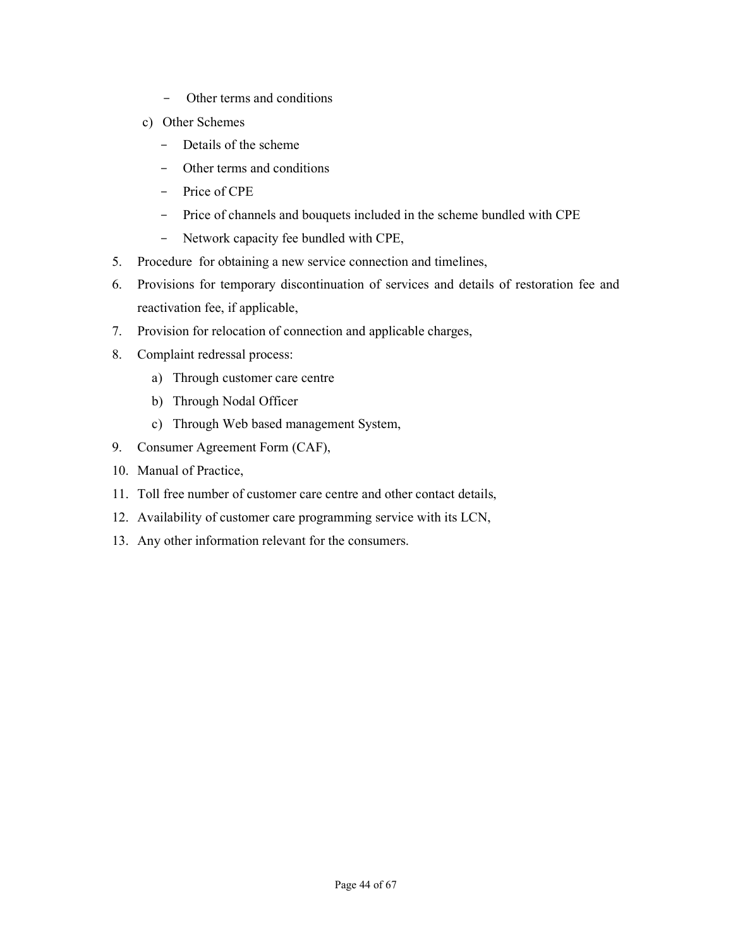- Other terms and conditions
- c) Other Schemes
	- Details of the scheme
	- Other terms and conditions
	- Price of CPE
	- Price of channels and bouquets included in the scheme bundled with CPE
	- Network capacity fee bundled with CPE,
- 5. Procedure for obtaining a new service connection and timelines,
- 6. Provisions for temporary discontinuation of services and details of restoration fee and reactivation fee, if applicable,
- 7. Provision for relocation of connection and applicable charges,
- 8. Complaint redressal process:
	- a) Through customer care centre
	- b) Through Nodal Officer
	- c) Through Web based management System,
- 9. Consumer Agreement Form (CAF),
- 10. Manual of Practice,
- 11. Toll free number of customer care centre and other contact details,
- 12. Availability of customer care programming service with its LCN,
- 13. Any other information relevant for the consumers.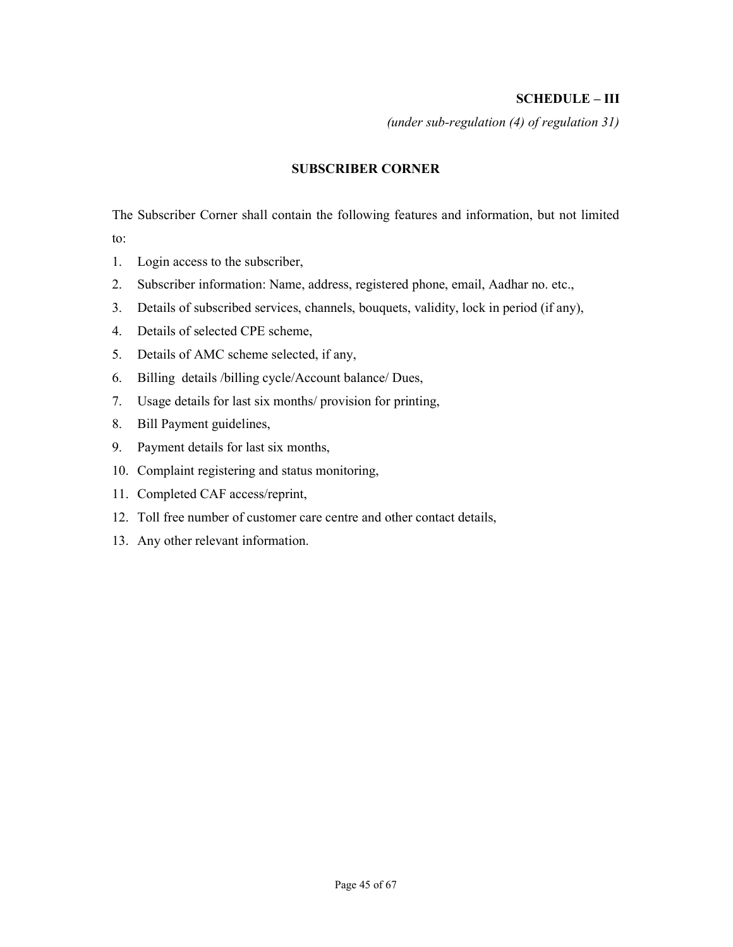#### SCHEDULE – III

(under sub-regulation (4) of regulation 31)

#### SUBSCRIBER CORNER

The Subscriber Corner shall contain the following features and information, but not limited to:

- 1. Login access to the subscriber,
- 2. Subscriber information: Name, address, registered phone, email, Aadhar no. etc.,
- 3. Details of subscribed services, channels, bouquets, validity, lock in period (if any),
- 4. Details of selected CPE scheme,
- 5. Details of AMC scheme selected, if any,
- 6. Billing details /billing cycle/Account balance/ Dues,
- 7. Usage details for last six months/ provision for printing,
- 8. Bill Payment guidelines,
- 9. Payment details for last six months,
- 10. Complaint registering and status monitoring,
- 11. Completed CAF access/reprint,
- 12. Toll free number of customer care centre and other contact details,
- 13. Any other relevant information.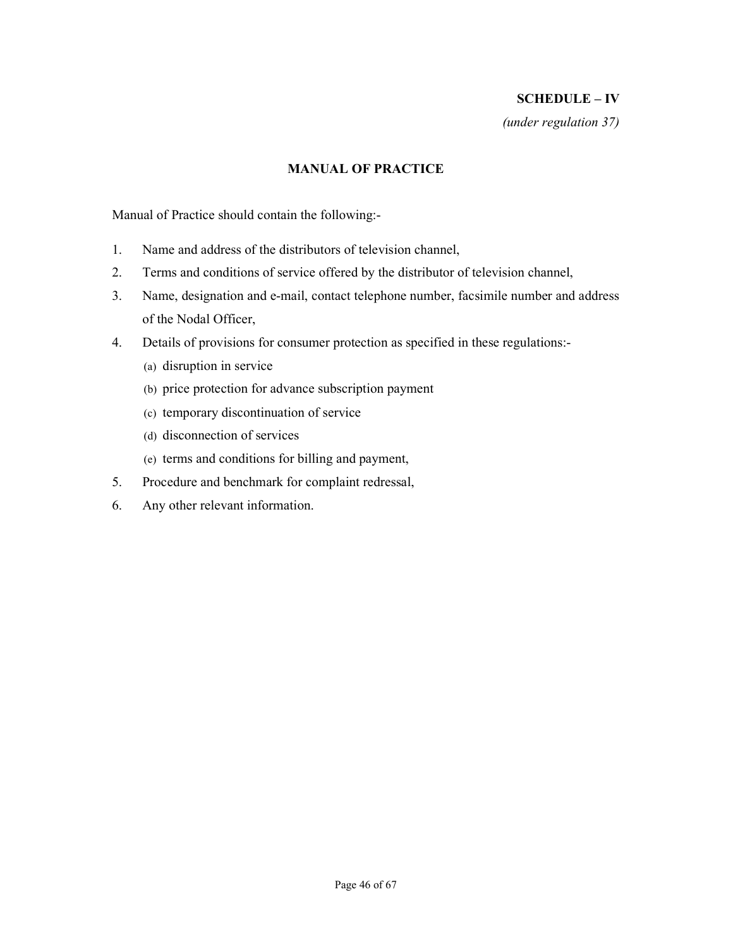## SCHEDULE – IV

(under regulation 37)

#### MANUAL OF PRACTICE

Manual of Practice should contain the following:-

- 1. Name and address of the distributors of television channel,
- 2. Terms and conditions of service offered by the distributor of television channel,
- 3. Name, designation and e-mail, contact telephone number, facsimile number and address of the Nodal Officer,
- 4. Details of provisions for consumer protection as specified in these regulations:-
	- (a) disruption in service
	- (b) price protection for advance subscription payment
	- (c) temporary discontinuation of service
	- (d) disconnection of services
	- (e) terms and conditions for billing and payment,
- 5. Procedure and benchmark for complaint redressal,
- 6. Any other relevant information.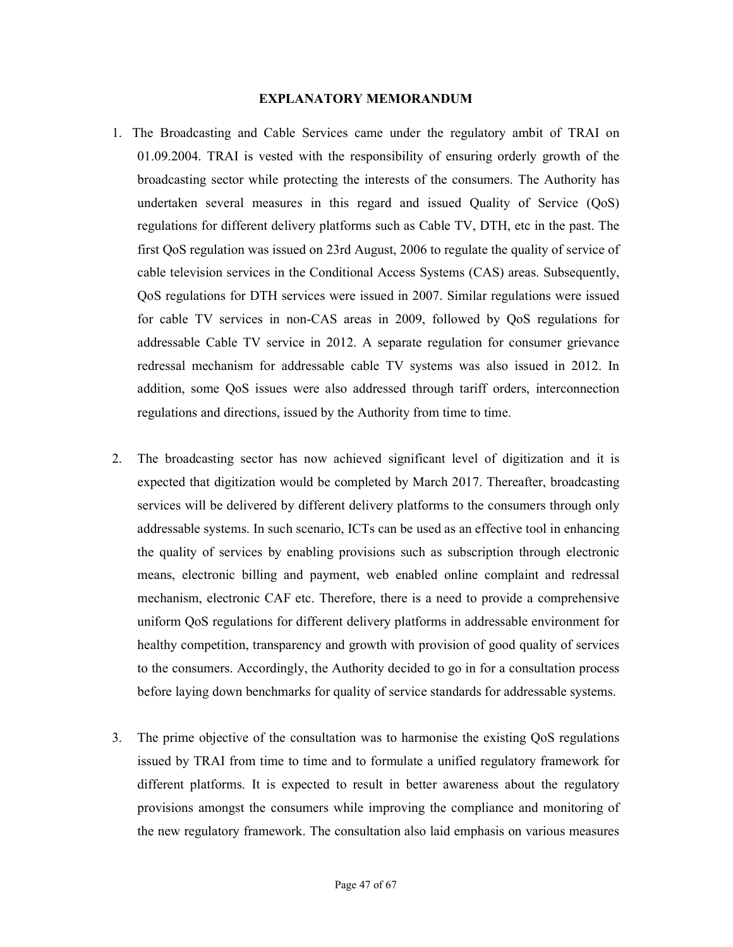#### EXPLANATORY MEMORANDUM

- 1. The Broadcasting and Cable Services came under the regulatory ambit of TRAI on 01.09.2004. TRAI is vested with the responsibility of ensuring orderly growth of the broadcasting sector while protecting the interests of the consumers. The Authority has undertaken several measures in this regard and issued Quality of Service (QoS) regulations for different delivery platforms such as Cable TV, DTH, etc in the past. The first QoS regulation was issued on 23rd August, 2006 to regulate the quality of service of cable television services in the Conditional Access Systems (CAS) areas. Subsequently, QoS regulations for DTH services were issued in 2007. Similar regulations were issued for cable TV services in non-CAS areas in 2009, followed by QoS regulations for addressable Cable TV service in 2012. A separate regulation for consumer grievance redressal mechanism for addressable cable TV systems was also issued in 2012. In addition, some QoS issues were also addressed through tariff orders, interconnection regulations and directions, issued by the Authority from time to time.
- 2. The broadcasting sector has now achieved significant level of digitization and it is expected that digitization would be completed by March 2017. Thereafter, broadcasting services will be delivered by different delivery platforms to the consumers through only addressable systems. In such scenario, ICTs can be used as an effective tool in enhancing the quality of services by enabling provisions such as subscription through electronic means, electronic billing and payment, web enabled online complaint and redressal mechanism, electronic CAF etc. Therefore, there is a need to provide a comprehensive uniform QoS regulations for different delivery platforms in addressable environment for healthy competition, transparency and growth with provision of good quality of services to the consumers. Accordingly, the Authority decided to go in for a consultation process before laying down benchmarks for quality of service standards for addressable systems.
- 3. The prime objective of the consultation was to harmonise the existing QoS regulations issued by TRAI from time to time and to formulate a unified regulatory framework for different platforms. It is expected to result in better awareness about the regulatory provisions amongst the consumers while improving the compliance and monitoring of the new regulatory framework. The consultation also laid emphasis on various measures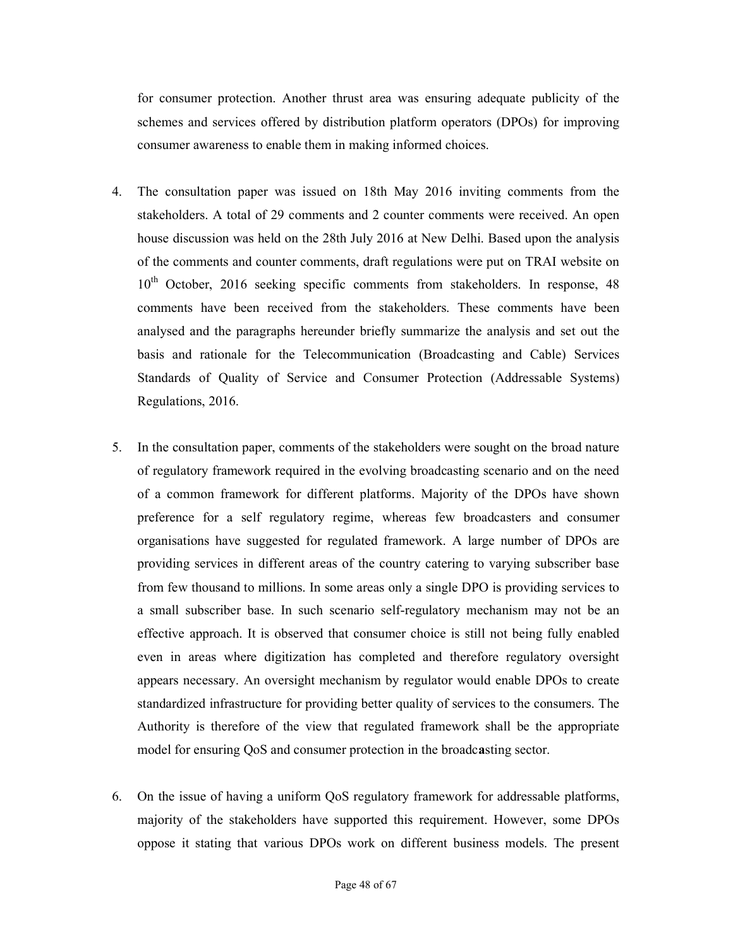for consumer protection. Another thrust area was ensuring adequate publicity of the schemes and services offered by distribution platform operators (DPOs) for improving consumer awareness to enable them in making informed choices.

- 4. The consultation paper was issued on 18th May 2016 inviting comments from the stakeholders. A total of 29 comments and 2 counter comments were received. An open house discussion was held on the 28th July 2016 at New Delhi. Based upon the analysis of the comments and counter comments, draft regulations were put on TRAI website on 10<sup>th</sup> October, 2016 seeking specific comments from stakeholders. In response, 48 comments have been received from the stakeholders. These comments have been analysed and the paragraphs hereunder briefly summarize the analysis and set out the basis and rationale for the Telecommunication (Broadcasting and Cable) Services Standards of Quality of Service and Consumer Protection (Addressable Systems) Regulations, 2016.
- 5. In the consultation paper, comments of the stakeholders were sought on the broad nature of regulatory framework required in the evolving broadcasting scenario and on the need of a common framework for different platforms. Majority of the DPOs have shown preference for a self regulatory regime, whereas few broadcasters and consumer organisations have suggested for regulated framework. A large number of DPOs are providing services in different areas of the country catering to varying subscriber base from few thousand to millions. In some areas only a single DPO is providing services to a small subscriber base. In such scenario self-regulatory mechanism may not be an effective approach. It is observed that consumer choice is still not being fully enabled even in areas where digitization has completed and therefore regulatory oversight appears necessary. An oversight mechanism by regulator would enable DPOs to create standardized infrastructure for providing better quality of services to the consumers. The Authority is therefore of the view that regulated framework shall be the appropriate model for ensuring QoS and consumer protection in the broadcasting sector.
- 6. On the issue of having a uniform QoS regulatory framework for addressable platforms, majority of the stakeholders have supported this requirement. However, some DPOs oppose it stating that various DPOs work on different business models. The present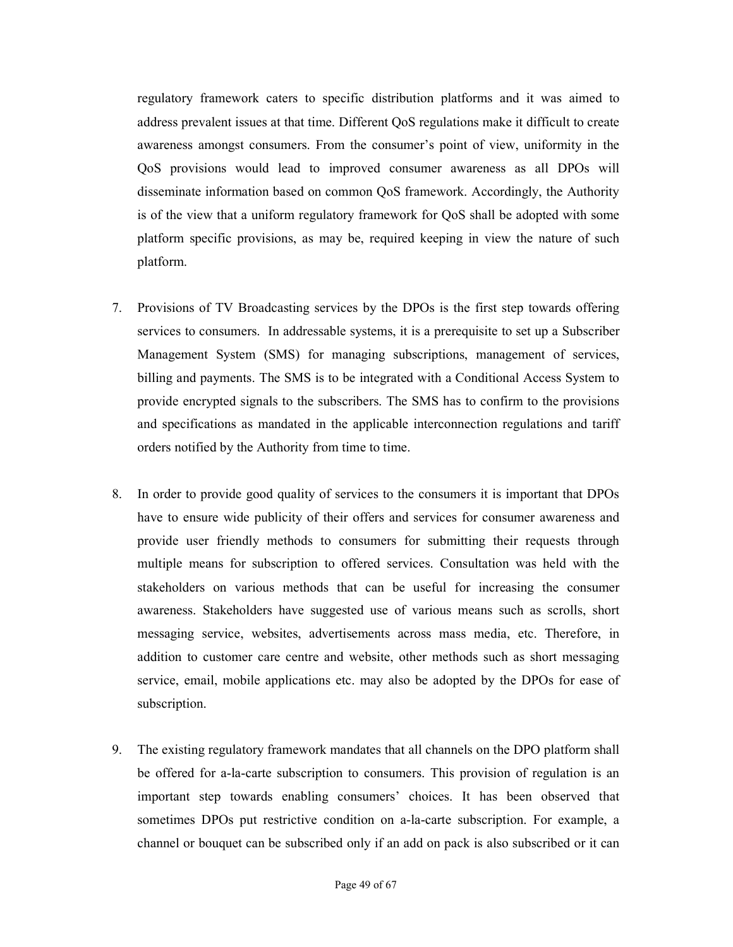regulatory framework caters to specific distribution platforms and it was aimed to address prevalent issues at that time. Different QoS regulations make it difficult to create awareness amongst consumers. From the consumer's point of view, uniformity in the QoS provisions would lead to improved consumer awareness as all DPOs will disseminate information based on common QoS framework. Accordingly, the Authority is of the view that a uniform regulatory framework for QoS shall be adopted with some platform specific provisions, as may be, required keeping in view the nature of such platform.

- 7. Provisions of TV Broadcasting services by the DPOs is the first step towards offering services to consumers. In addressable systems, it is a prerequisite to set up a Subscriber Management System (SMS) for managing subscriptions, management of services, billing and payments. The SMS is to be integrated with a Conditional Access System to provide encrypted signals to the subscribers. The SMS has to confirm to the provisions and specifications as mandated in the applicable interconnection regulations and tariff orders notified by the Authority from time to time.
- 8. In order to provide good quality of services to the consumers it is important that DPOs have to ensure wide publicity of their offers and services for consumer awareness and provide user friendly methods to consumers for submitting their requests through multiple means for subscription to offered services. Consultation was held with the stakeholders on various methods that can be useful for increasing the consumer awareness. Stakeholders have suggested use of various means such as scrolls, short messaging service, websites, advertisements across mass media, etc. Therefore, in addition to customer care centre and website, other methods such as short messaging service, email, mobile applications etc. may also be adopted by the DPOs for ease of subscription.
- 9. The existing regulatory framework mandates that all channels on the DPO platform shall be offered for a-la-carte subscription to consumers. This provision of regulation is an important step towards enabling consumers' choices. It has been observed that sometimes DPOs put restrictive condition on a-la-carte subscription. For example, a channel or bouquet can be subscribed only if an add on pack is also subscribed or it can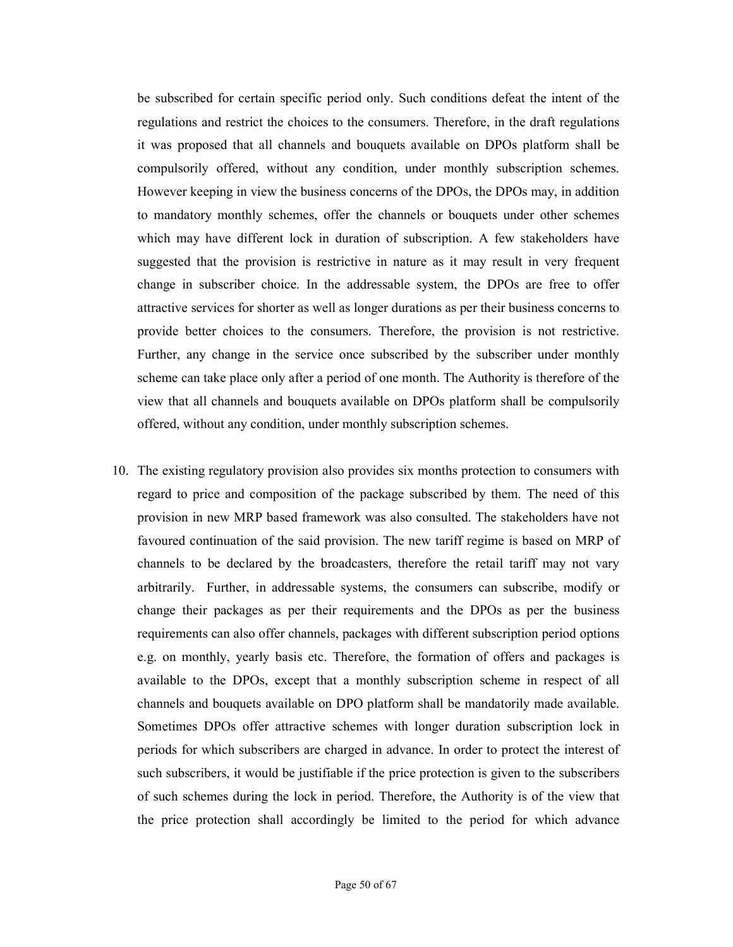be subscribed for certain specific period only. Such conditions defeat the intent of the regulations and restrict the choices to the consumers. Therefore, in the draft regulations it was proposed that all channels and bouquets available on DPOs platform shall be compulsorily offered, without any condition, under monthly subscription schemes. However keeping in view the business concerns of the DPOs, the DPOs may, in addition to mandatory monthly schemes, offer the channels or bouquets under other schemes which may have different lock in duration of subscription. A few stakeholders have suggested that the provision is restrictive in nature as it may result in very frequent change in subscriber choice. In the addressable system, the DPOs are free to offer attractive services for shorter as well as longer durations as per their business concerns to provide better choices to the consumers. Therefore, the provision is not restrictive. Further, any change in the service once subscribed by the subscriber under monthly scheme can take place only after a period of one month. The Authority is therefore of the view that all channels and bouquets available on DPOs platform shall be compulsorily offered, without any condition, under monthly subscription schemes.

10. The existing regulatory provision also provides six months protection to consumers with regard to price and composition of the package subscribed by them. The need of this provision in new MRP based framework was also consulted. The stakeholders have not favoured continuation of the said provision. The new tariff regime is based on MRP of channels to be declared by the broadcasters, therefore the retail tariff may not vary arbitrarily. Further, in addressable systems, the consumers can subscribe, modify or change their packages as per their requirements and the DPOs as per the business requirements can also offer channels, packages with different subscription period options e.g. on monthly, yearly basis etc. Therefore, the formation of offers and packages is available to the DPOs, except that a monthly subscription scheme in respect of all channels and bouquets available on DPO platform shall be mandatorily made available. Sometimes DPOs offer attractive schemes with longer duration subscription lock in periods for which subscribers are charged in advance. In order to protect the interest of such subscribers, it would be justifiable if the price protection is given to the subscribers of such schemes during the lock in period. Therefore, the Authority is of the view that the price protection shall accordingly be limited to the period for which advance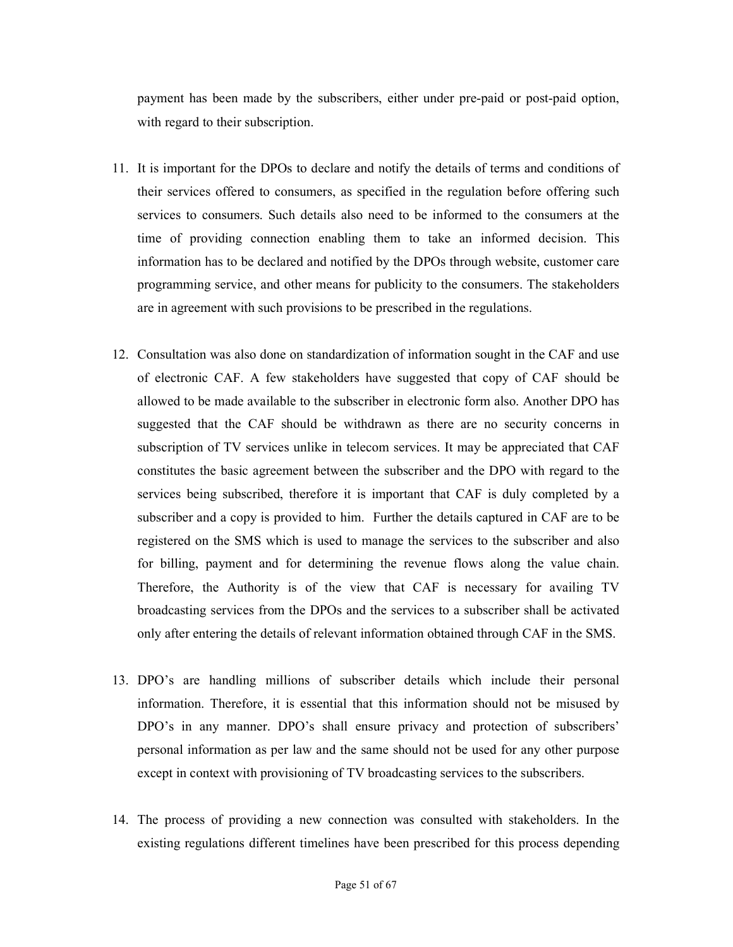payment has been made by the subscribers, either under pre-paid or post-paid option, with regard to their subscription.

- 11. It is important for the DPOs to declare and notify the details of terms and conditions of their services offered to consumers, as specified in the regulation before offering such services to consumers. Such details also need to be informed to the consumers at the time of providing connection enabling them to take an informed decision. This information has to be declared and notified by the DPOs through website, customer care programming service, and other means for publicity to the consumers. The stakeholders are in agreement with such provisions to be prescribed in the regulations.
- 12. Consultation was also done on standardization of information sought in the CAF and use of electronic CAF. A few stakeholders have suggested that copy of CAF should be allowed to be made available to the subscriber in electronic form also. Another DPO has suggested that the CAF should be withdrawn as there are no security concerns in subscription of TV services unlike in telecom services. It may be appreciated that CAF constitutes the basic agreement between the subscriber and the DPO with regard to the services being subscribed, therefore it is important that CAF is duly completed by a subscriber and a copy is provided to him. Further the details captured in CAF are to be registered on the SMS which is used to manage the services to the subscriber and also for billing, payment and for determining the revenue flows along the value chain. Therefore, the Authority is of the view that CAF is necessary for availing TV broadcasting services from the DPOs and the services to a subscriber shall be activated only after entering the details of relevant information obtained through CAF in the SMS.
- 13. DPO's are handling millions of subscriber details which include their personal information. Therefore, it is essential that this information should not be misused by DPO's in any manner. DPO's shall ensure privacy and protection of subscribers' personal information as per law and the same should not be used for any other purpose except in context with provisioning of TV broadcasting services to the subscribers.
- 14. The process of providing a new connection was consulted with stakeholders. In the existing regulations different timelines have been prescribed for this process depending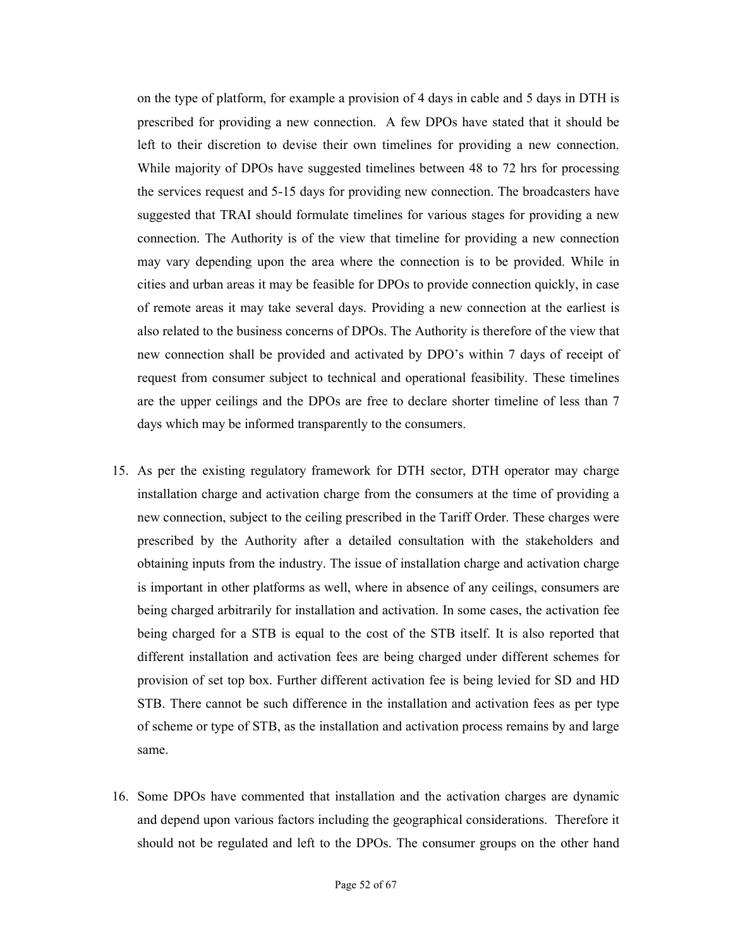on the type of platform, for example a provision of 4 days in cable and 5 days in DTH is prescribed for providing a new connection. A few DPOs have stated that it should be left to their discretion to devise their own timelines for providing a new connection. While majority of DPOs have suggested timelines between 48 to 72 hrs for processing the services request and 5-15 days for providing new connection. The broadcasters have suggested that TRAI should formulate timelines for various stages for providing a new connection. The Authority is of the view that timeline for providing a new connection may vary depending upon the area where the connection is to be provided. While in cities and urban areas it may be feasible for DPOs to provide connection quickly, in case of remote areas it may take several days. Providing a new connection at the earliest is also related to the business concerns of DPOs. The Authority is therefore of the view that new connection shall be provided and activated by DPO's within 7 days of receipt of request from consumer subject to technical and operational feasibility. These timelines are the upper ceilings and the DPOs are free to declare shorter timeline of less than 7 days which may be informed transparently to the consumers.

- 15. As per the existing regulatory framework for DTH sector, DTH operator may charge installation charge and activation charge from the consumers at the time of providing a new connection, subject to the ceiling prescribed in the Tariff Order. These charges were prescribed by the Authority after a detailed consultation with the stakeholders and obtaining inputs from the industry. The issue of installation charge and activation charge is important in other platforms as well, where in absence of any ceilings, consumers are being charged arbitrarily for installation and activation. In some cases, the activation fee being charged for a STB is equal to the cost of the STB itself. It is also reported that different installation and activation fees are being charged under different schemes for provision of set top box. Further different activation fee is being levied for SD and HD STB. There cannot be such difference in the installation and activation fees as per type of scheme or type of STB, as the installation and activation process remains by and large same.
- 16. Some DPOs have commented that installation and the activation charges are dynamic and depend upon various factors including the geographical considerations. Therefore it should not be regulated and left to the DPOs. The consumer groups on the other hand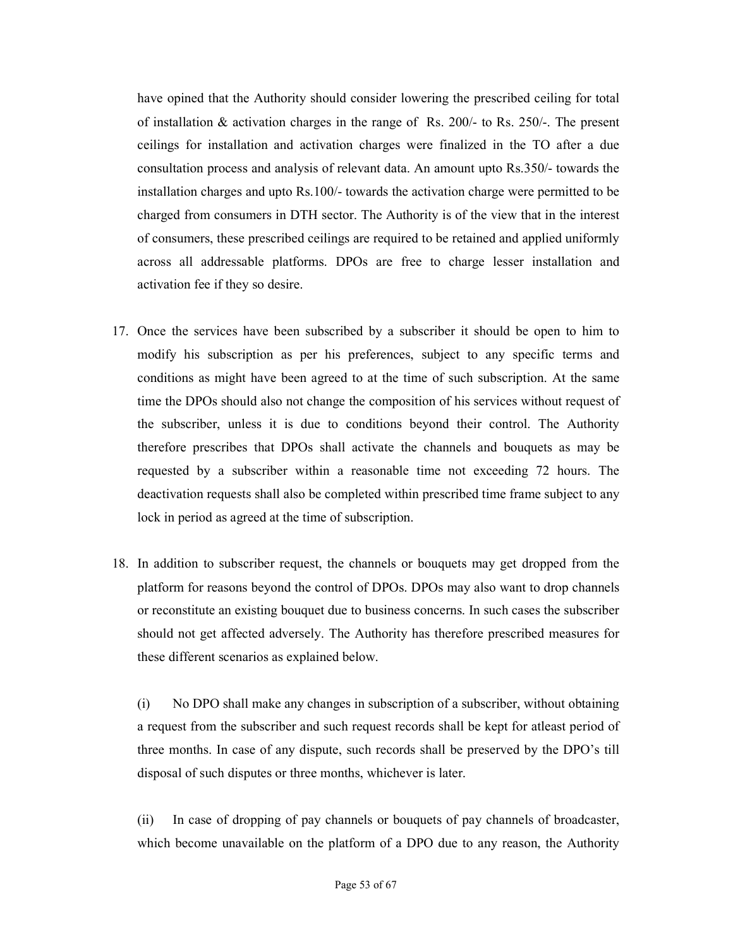have opined that the Authority should consider lowering the prescribed ceiling for total of installation  $\&$  activation charges in the range of Rs. 200/- to Rs. 250/-. The present ceilings for installation and activation charges were finalized in the TO after a due consultation process and analysis of relevant data. An amount upto Rs.350/- towards the installation charges and upto Rs.100/- towards the activation charge were permitted to be charged from consumers in DTH sector. The Authority is of the view that in the interest of consumers, these prescribed ceilings are required to be retained and applied uniformly across all addressable platforms. DPOs are free to charge lesser installation and activation fee if they so desire.

- 17. Once the services have been subscribed by a subscriber it should be open to him to modify his subscription as per his preferences, subject to any specific terms and conditions as might have been agreed to at the time of such subscription. At the same time the DPOs should also not change the composition of his services without request of the subscriber, unless it is due to conditions beyond their control. The Authority therefore prescribes that DPOs shall activate the channels and bouquets as may be requested by a subscriber within a reasonable time not exceeding 72 hours. The deactivation requests shall also be completed within prescribed time frame subject to any lock in period as agreed at the time of subscription.
- 18. In addition to subscriber request, the channels or bouquets may get dropped from the platform for reasons beyond the control of DPOs. DPOs may also want to drop channels or reconstitute an existing bouquet due to business concerns. In such cases the subscriber should not get affected adversely. The Authority has therefore prescribed measures for these different scenarios as explained below.

(i) No DPO shall make any changes in subscription of a subscriber, without obtaining a request from the subscriber and such request records shall be kept for atleast period of three months. In case of any dispute, such records shall be preserved by the DPO's till disposal of such disputes or three months, whichever is later.

(ii) In case of dropping of pay channels or bouquets of pay channels of broadcaster, which become unavailable on the platform of a DPO due to any reason, the Authority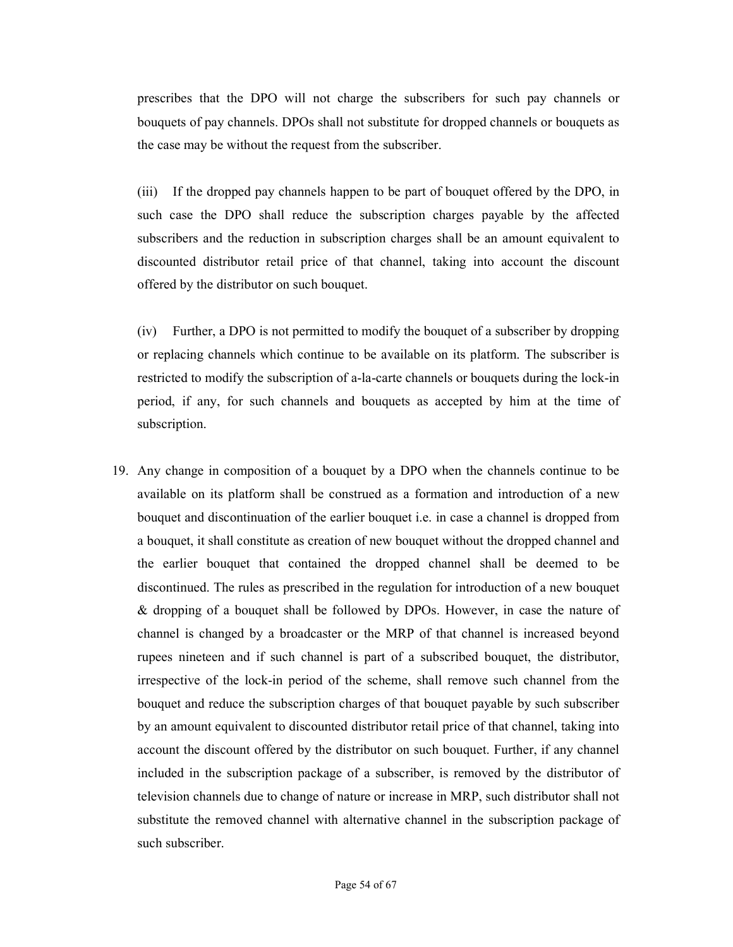prescribes that the DPO will not charge the subscribers for such pay channels or bouquets of pay channels. DPOs shall not substitute for dropped channels or bouquets as the case may be without the request from the subscriber.

(iii) If the dropped pay channels happen to be part of bouquet offered by the DPO, in such case the DPO shall reduce the subscription charges payable by the affected subscribers and the reduction in subscription charges shall be an amount equivalent to discounted distributor retail price of that channel, taking into account the discount offered by the distributor on such bouquet.

(iv) Further, a DPO is not permitted to modify the bouquet of a subscriber by dropping or replacing channels which continue to be available on its platform. The subscriber is restricted to modify the subscription of a-la-carte channels or bouquets during the lock-in period, if any, for such channels and bouquets as accepted by him at the time of subscription.

19. Any change in composition of a bouquet by a DPO when the channels continue to be available on its platform shall be construed as a formation and introduction of a new bouquet and discontinuation of the earlier bouquet i.e. in case a channel is dropped from a bouquet, it shall constitute as creation of new bouquet without the dropped channel and the earlier bouquet that contained the dropped channel shall be deemed to be discontinued. The rules as prescribed in the regulation for introduction of a new bouquet & dropping of a bouquet shall be followed by DPOs. However, in case the nature of channel is changed by a broadcaster or the MRP of that channel is increased beyond rupees nineteen and if such channel is part of a subscribed bouquet, the distributor, irrespective of the lock-in period of the scheme, shall remove such channel from the bouquet and reduce the subscription charges of that bouquet payable by such subscriber by an amount equivalent to discounted distributor retail price of that channel, taking into account the discount offered by the distributor on such bouquet. Further, if any channel included in the subscription package of a subscriber, is removed by the distributor of television channels due to change of nature or increase in MRP, such distributor shall not substitute the removed channel with alternative channel in the subscription package of such subscriber.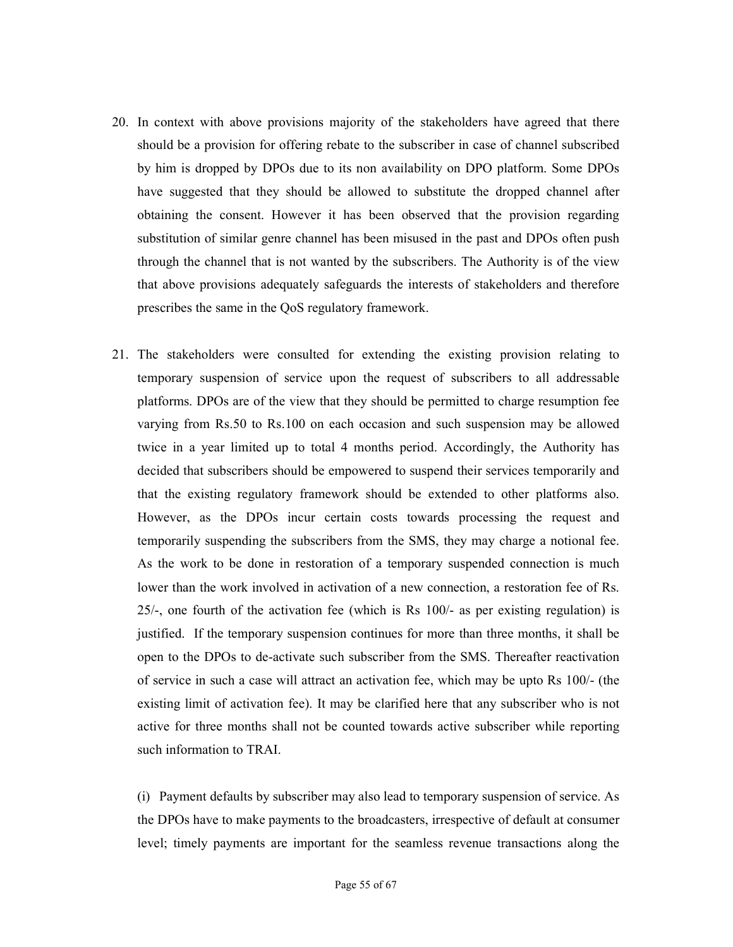- 20. In context with above provisions majority of the stakeholders have agreed that there should be a provision for offering rebate to the subscriber in case of channel subscribed by him is dropped by DPOs due to its non availability on DPO platform. Some DPOs have suggested that they should be allowed to substitute the dropped channel after obtaining the consent. However it has been observed that the provision regarding substitution of similar genre channel has been misused in the past and DPOs often push through the channel that is not wanted by the subscribers. The Authority is of the view that above provisions adequately safeguards the interests of stakeholders and therefore prescribes the same in the QoS regulatory framework.
- 21. The stakeholders were consulted for extending the existing provision relating to temporary suspension of service upon the request of subscribers to all addressable platforms. DPOs are of the view that they should be permitted to charge resumption fee varying from Rs.50 to Rs.100 on each occasion and such suspension may be allowed twice in a year limited up to total 4 months period. Accordingly, the Authority has decided that subscribers should be empowered to suspend their services temporarily and that the existing regulatory framework should be extended to other platforms also. However, as the DPOs incur certain costs towards processing the request and temporarily suspending the subscribers from the SMS, they may charge a notional fee. As the work to be done in restoration of a temporary suspended connection is much lower than the work involved in activation of a new connection, a restoration fee of Rs. 25/-, one fourth of the activation fee (which is Rs 100/- as per existing regulation) is justified. If the temporary suspension continues for more than three months, it shall be open to the DPOs to de-activate such subscriber from the SMS. Thereafter reactivation of service in such a case will attract an activation fee, which may be upto Rs 100/- (the existing limit of activation fee). It may be clarified here that any subscriber who is not active for three months shall not be counted towards active subscriber while reporting such information to TRAI.

(i) Payment defaults by subscriber may also lead to temporary suspension of service. As the DPOs have to make payments to the broadcasters, irrespective of default at consumer level; timely payments are important for the seamless revenue transactions along the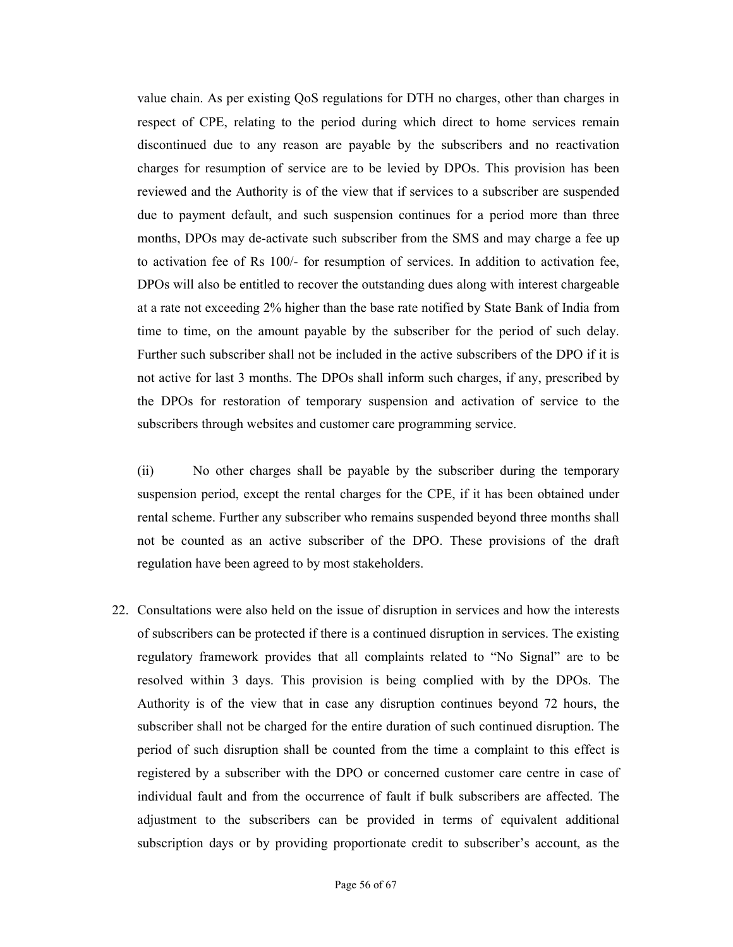value chain. As per existing QoS regulations for DTH no charges, other than charges in respect of CPE, relating to the period during which direct to home services remain discontinued due to any reason are payable by the subscribers and no reactivation charges for resumption of service are to be levied by DPOs. This provision has been reviewed and the Authority is of the view that if services to a subscriber are suspended due to payment default, and such suspension continues for a period more than three months, DPOs may de-activate such subscriber from the SMS and may charge a fee up to activation fee of Rs 100/- for resumption of services. In addition to activation fee, DPOs will also be entitled to recover the outstanding dues along with interest chargeable at a rate not exceeding 2% higher than the base rate notified by State Bank of India from time to time, on the amount payable by the subscriber for the period of such delay. Further such subscriber shall not be included in the active subscribers of the DPO if it is not active for last 3 months. The DPOs shall inform such charges, if any, prescribed by the DPOs for restoration of temporary suspension and activation of service to the subscribers through websites and customer care programming service.

(ii) No other charges shall be payable by the subscriber during the temporary suspension period, except the rental charges for the CPE, if it has been obtained under rental scheme. Further any subscriber who remains suspended beyond three months shall not be counted as an active subscriber of the DPO. These provisions of the draft regulation have been agreed to by most stakeholders.

22. Consultations were also held on the issue of disruption in services and how the interests of subscribers can be protected if there is a continued disruption in services. The existing regulatory framework provides that all complaints related to "No Signal" are to be resolved within 3 days. This provision is being complied with by the DPOs. The Authority is of the view that in case any disruption continues beyond 72 hours, the subscriber shall not be charged for the entire duration of such continued disruption. The period of such disruption shall be counted from the time a complaint to this effect is registered by a subscriber with the DPO or concerned customer care centre in case of individual fault and from the occurrence of fault if bulk subscribers are affected. The adjustment to the subscribers can be provided in terms of equivalent additional subscription days or by providing proportionate credit to subscriber's account, as the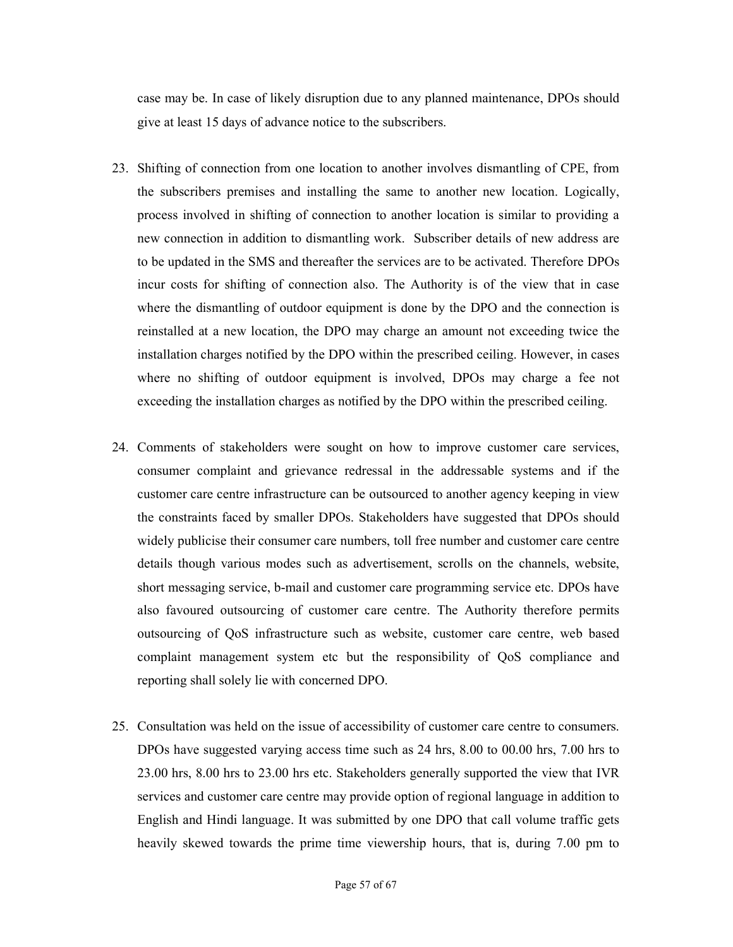case may be. In case of likely disruption due to any planned maintenance, DPOs should give at least 15 days of advance notice to the subscribers.

- 23. Shifting of connection from one location to another involves dismantling of CPE, from the subscribers premises and installing the same to another new location. Logically, process involved in shifting of connection to another location is similar to providing a new connection in addition to dismantling work. Subscriber details of new address are to be updated in the SMS and thereafter the services are to be activated. Therefore DPOs incur costs for shifting of connection also. The Authority is of the view that in case where the dismantling of outdoor equipment is done by the DPO and the connection is reinstalled at a new location, the DPO may charge an amount not exceeding twice the installation charges notified by the DPO within the prescribed ceiling. However, in cases where no shifting of outdoor equipment is involved, DPOs may charge a fee not exceeding the installation charges as notified by the DPO within the prescribed ceiling.
- 24. Comments of stakeholders were sought on how to improve customer care services, consumer complaint and grievance redressal in the addressable systems and if the customer care centre infrastructure can be outsourced to another agency keeping in view the constraints faced by smaller DPOs. Stakeholders have suggested that DPOs should widely publicise their consumer care numbers, toll free number and customer care centre details though various modes such as advertisement, scrolls on the channels, website, short messaging service, b-mail and customer care programming service etc. DPOs have also favoured outsourcing of customer care centre. The Authority therefore permits outsourcing of QoS infrastructure such as website, customer care centre, web based complaint management system etc but the responsibility of QoS compliance and reporting shall solely lie with concerned DPO.
- 25. Consultation was held on the issue of accessibility of customer care centre to consumers. DPOs have suggested varying access time such as 24 hrs, 8.00 to 00.00 hrs, 7.00 hrs to 23.00 hrs, 8.00 hrs to 23.00 hrs etc. Stakeholders generally supported the view that IVR services and customer care centre may provide option of regional language in addition to English and Hindi language. It was submitted by one DPO that call volume traffic gets heavily skewed towards the prime time viewership hours, that is, during 7.00 pm to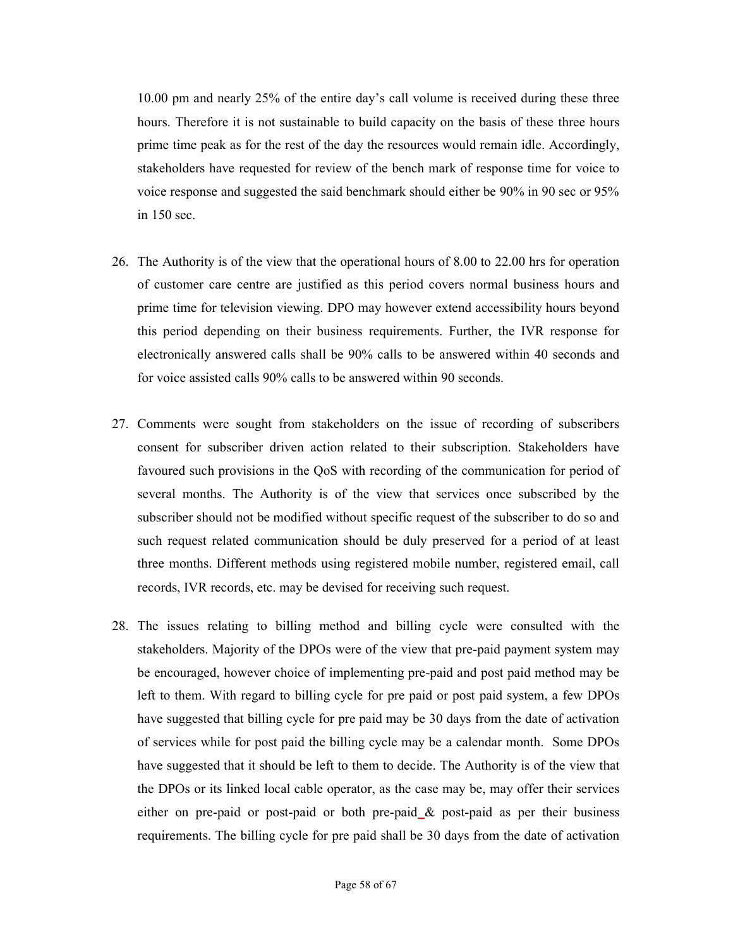10.00 pm and nearly 25% of the entire day's call volume is received during these three hours. Therefore it is not sustainable to build capacity on the basis of these three hours prime time peak as for the rest of the day the resources would remain idle. Accordingly, stakeholders have requested for review of the bench mark of response time for voice to voice response and suggested the said benchmark should either be 90% in 90 sec or 95% in 150 sec.

- 26. The Authority is of the view that the operational hours of 8.00 to 22.00 hrs for operation of customer care centre are justified as this period covers normal business hours and prime time for television viewing. DPO may however extend accessibility hours beyond this period depending on their business requirements. Further, the IVR response for electronically answered calls shall be 90% calls to be answered within 40 seconds and for voice assisted calls 90% calls to be answered within 90 seconds.
- 27. Comments were sought from stakeholders on the issue of recording of subscribers consent for subscriber driven action related to their subscription. Stakeholders have favoured such provisions in the QoS with recording of the communication for period of several months. The Authority is of the view that services once subscribed by the subscriber should not be modified without specific request of the subscriber to do so and such request related communication should be duly preserved for a period of at least three months. Different methods using registered mobile number, registered email, call records, IVR records, etc. may be devised for receiving such request.
- 28. The issues relating to billing method and billing cycle were consulted with the stakeholders. Majority of the DPOs were of the view that pre-paid payment system may be encouraged, however choice of implementing pre-paid and post paid method may be left to them. With regard to billing cycle for pre paid or post paid system, a few DPOs have suggested that billing cycle for pre paid may be 30 days from the date of activation of services while for post paid the billing cycle may be a calendar month. Some DPOs have suggested that it should be left to them to decide. The Authority is of the view that the DPOs or its linked local cable operator, as the case may be, may offer their services either on pre-paid or post-paid or both pre-paid & post-paid as per their business requirements. The billing cycle for pre paid shall be 30 days from the date of activation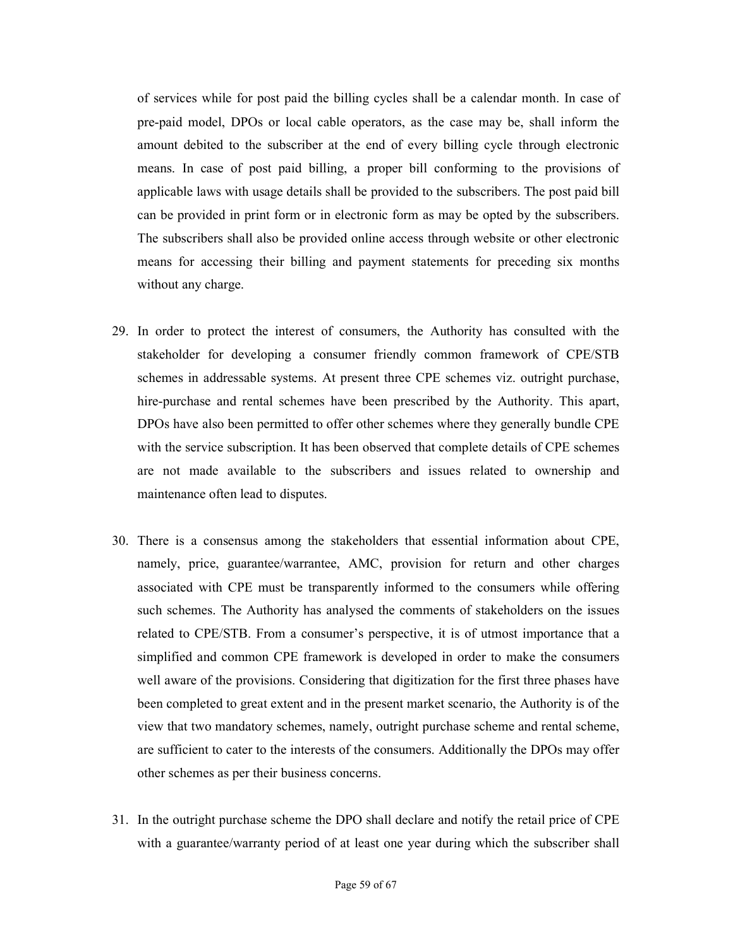of services while for post paid the billing cycles shall be a calendar month. In case of pre-paid model, DPOs or local cable operators, as the case may be, shall inform the amount debited to the subscriber at the end of every billing cycle through electronic means. In case of post paid billing, a proper bill conforming to the provisions of applicable laws with usage details shall be provided to the subscribers. The post paid bill can be provided in print form or in electronic form as may be opted by the subscribers. The subscribers shall also be provided online access through website or other electronic means for accessing their billing and payment statements for preceding six months without any charge.

- 29. In order to protect the interest of consumers, the Authority has consulted with the stakeholder for developing a consumer friendly common framework of CPE/STB schemes in addressable systems. At present three CPE schemes viz. outright purchase, hire-purchase and rental schemes have been prescribed by the Authority. This apart, DPOs have also been permitted to offer other schemes where they generally bundle CPE with the service subscription. It has been observed that complete details of CPE schemes are not made available to the subscribers and issues related to ownership and maintenance often lead to disputes.
- 30. There is a consensus among the stakeholders that essential information about CPE, namely, price, guarantee/warrantee, AMC, provision for return and other charges associated with CPE must be transparently informed to the consumers while offering such schemes. The Authority has analysed the comments of stakeholders on the issues related to CPE/STB. From a consumer's perspective, it is of utmost importance that a simplified and common CPE framework is developed in order to make the consumers well aware of the provisions. Considering that digitization for the first three phases have been completed to great extent and in the present market scenario, the Authority is of the view that two mandatory schemes, namely, outright purchase scheme and rental scheme, are sufficient to cater to the interests of the consumers. Additionally the DPOs may offer other schemes as per their business concerns.
- 31. In the outright purchase scheme the DPO shall declare and notify the retail price of CPE with a guarantee/warranty period of at least one year during which the subscriber shall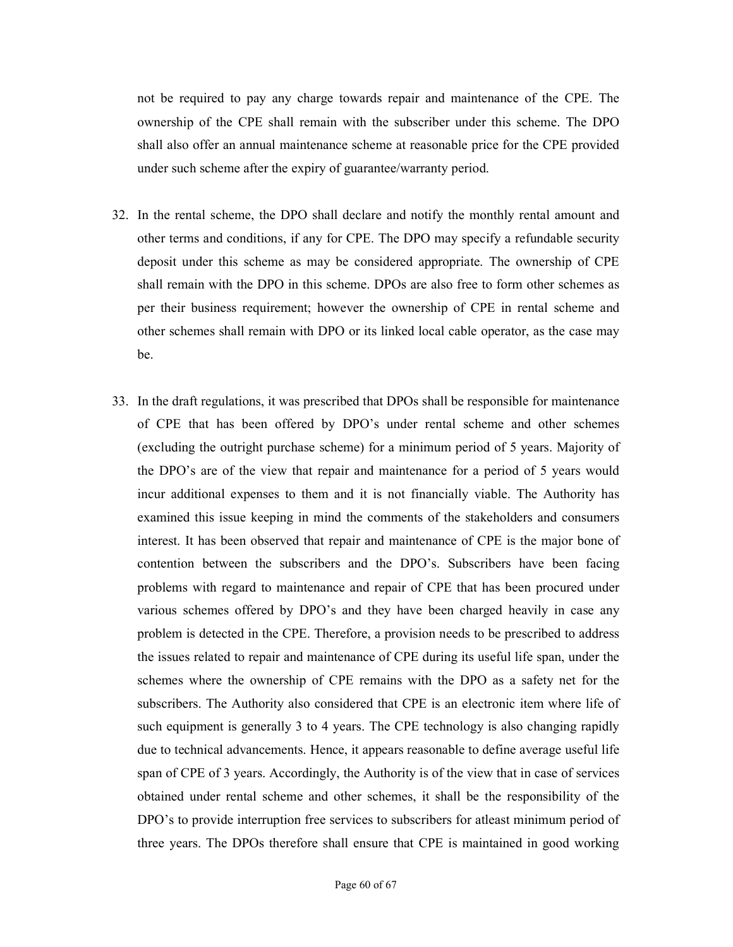not be required to pay any charge towards repair and maintenance of the CPE. The ownership of the CPE shall remain with the subscriber under this scheme. The DPO shall also offer an annual maintenance scheme at reasonable price for the CPE provided under such scheme after the expiry of guarantee/warranty period.

- 32. In the rental scheme, the DPO shall declare and notify the monthly rental amount and other terms and conditions, if any for CPE. The DPO may specify a refundable security deposit under this scheme as may be considered appropriate. The ownership of CPE shall remain with the DPO in this scheme. DPOs are also free to form other schemes as per their business requirement; however the ownership of CPE in rental scheme and other schemes shall remain with DPO or its linked local cable operator, as the case may be.
- 33. In the draft regulations, it was prescribed that DPOs shall be responsible for maintenance of CPE that has been offered by DPO's under rental scheme and other schemes (excluding the outright purchase scheme) for a minimum period of 5 years. Majority of the DPO's are of the view that repair and maintenance for a period of 5 years would incur additional expenses to them and it is not financially viable. The Authority has examined this issue keeping in mind the comments of the stakeholders and consumers interest. It has been observed that repair and maintenance of CPE is the major bone of contention between the subscribers and the DPO's. Subscribers have been facing problems with regard to maintenance and repair of CPE that has been procured under various schemes offered by DPO's and they have been charged heavily in case any problem is detected in the CPE. Therefore, a provision needs to be prescribed to address the issues related to repair and maintenance of CPE during its useful life span, under the schemes where the ownership of CPE remains with the DPO as a safety net for the subscribers. The Authority also considered that CPE is an electronic item where life of such equipment is generally 3 to 4 years. The CPE technology is also changing rapidly due to technical advancements. Hence, it appears reasonable to define average useful life span of CPE of 3 years. Accordingly, the Authority is of the view that in case of services obtained under rental scheme and other schemes, it shall be the responsibility of the DPO's to provide interruption free services to subscribers for atleast minimum period of three years. The DPOs therefore shall ensure that CPE is maintained in good working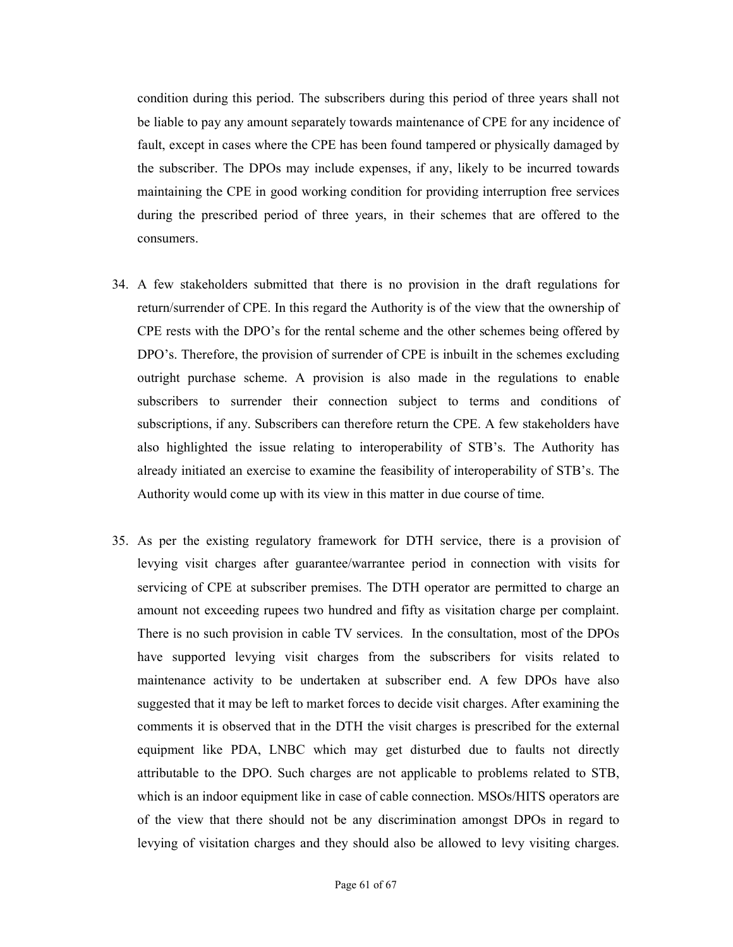condition during this period. The subscribers during this period of three years shall not be liable to pay any amount separately towards maintenance of CPE for any incidence of fault, except in cases where the CPE has been found tampered or physically damaged by the subscriber. The DPOs may include expenses, if any, likely to be incurred towards maintaining the CPE in good working condition for providing interruption free services during the prescribed period of three years, in their schemes that are offered to the consumers.

- 34. A few stakeholders submitted that there is no provision in the draft regulations for return/surrender of CPE. In this regard the Authority is of the view that the ownership of CPE rests with the DPO's for the rental scheme and the other schemes being offered by DPO's. Therefore, the provision of surrender of CPE is inbuilt in the schemes excluding outright purchase scheme. A provision is also made in the regulations to enable subscribers to surrender their connection subject to terms and conditions of subscriptions, if any. Subscribers can therefore return the CPE. A few stakeholders have also highlighted the issue relating to interoperability of STB's. The Authority has already initiated an exercise to examine the feasibility of interoperability of STB's. The Authority would come up with its view in this matter in due course of time.
- 35. As per the existing regulatory framework for DTH service, there is a provision of levying visit charges after guarantee/warrantee period in connection with visits for servicing of CPE at subscriber premises. The DTH operator are permitted to charge an amount not exceeding rupees two hundred and fifty as visitation charge per complaint. There is no such provision in cable TV services. In the consultation, most of the DPOs have supported levying visit charges from the subscribers for visits related to maintenance activity to be undertaken at subscriber end. A few DPOs have also suggested that it may be left to market forces to decide visit charges. After examining the comments it is observed that in the DTH the visit charges is prescribed for the external equipment like PDA, LNBC which may get disturbed due to faults not directly attributable to the DPO. Such charges are not applicable to problems related to STB, which is an indoor equipment like in case of cable connection. MSOs/HITS operators are of the view that there should not be any discrimination amongst DPOs in regard to levying of visitation charges and they should also be allowed to levy visiting charges.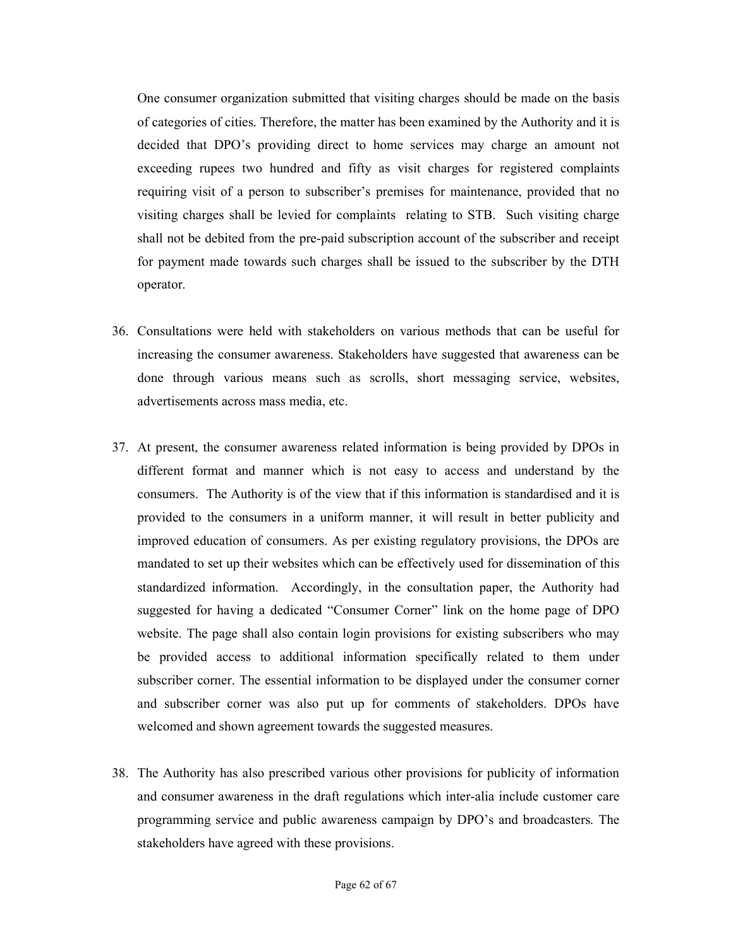One consumer organization submitted that visiting charges should be made on the basis of categories of cities. Therefore, the matter has been examined by the Authority and it is decided that DPO's providing direct to home services may charge an amount not exceeding rupees two hundred and fifty as visit charges for registered complaints requiring visit of a person to subscriber's premises for maintenance, provided that no visiting charges shall be levied for complaints relating to STB. Such visiting charge shall not be debited from the pre-paid subscription account of the subscriber and receipt for payment made towards such charges shall be issued to the subscriber by the DTH operator.

- 36. Consultations were held with stakeholders on various methods that can be useful for increasing the consumer awareness. Stakeholders have suggested that awareness can be done through various means such as scrolls, short messaging service, websites, advertisements across mass media, etc.
- 37. At present, the consumer awareness related information is being provided by DPOs in different format and manner which is not easy to access and understand by the consumers. The Authority is of the view that if this information is standardised and it is provided to the consumers in a uniform manner, it will result in better publicity and improved education of consumers. As per existing regulatory provisions, the DPOs are mandated to set up their websites which can be effectively used for dissemination of this standardized information. Accordingly, in the consultation paper, the Authority had suggested for having a dedicated "Consumer Corner" link on the home page of DPO website. The page shall also contain login provisions for existing subscribers who may be provided access to additional information specifically related to them under subscriber corner. The essential information to be displayed under the consumer corner and subscriber corner was also put up for comments of stakeholders. DPOs have welcomed and shown agreement towards the suggested measures.
- 38. The Authority has also prescribed various other provisions for publicity of information and consumer awareness in the draft regulations which inter-alia include customer care programming service and public awareness campaign by DPO's and broadcasters. The stakeholders have agreed with these provisions.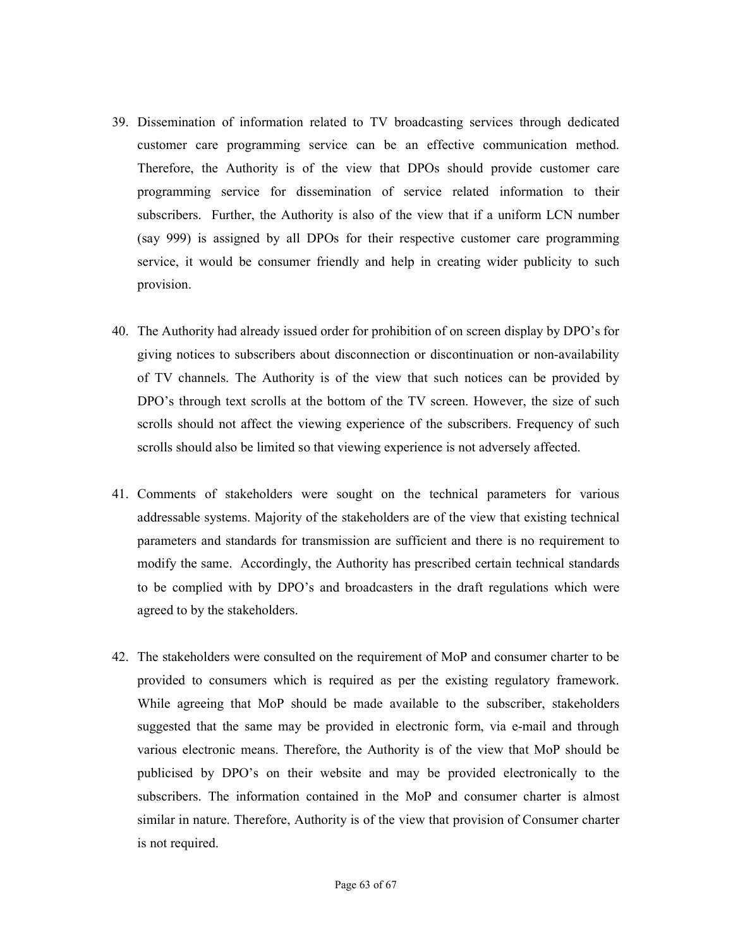- 39. Dissemination of information related to TV broadcasting services through dedicated customer care programming service can be an effective communication method. Therefore, the Authority is of the view that DPOs should provide customer care programming service for dissemination of service related information to their subscribers. Further, the Authority is also of the view that if a uniform LCN number (say 999) is assigned by all DPOs for their respective customer care programming service, it would be consumer friendly and help in creating wider publicity to such provision.
- 40. The Authority had already issued order for prohibition of on screen display by DPO's for giving notices to subscribers about disconnection or discontinuation or non-availability of TV channels. The Authority is of the view that such notices can be provided by DPO's through text scrolls at the bottom of the TV screen. However, the size of such scrolls should not affect the viewing experience of the subscribers. Frequency of such scrolls should also be limited so that viewing experience is not adversely affected.
- 41. Comments of stakeholders were sought on the technical parameters for various addressable systems. Majority of the stakeholders are of the view that existing technical parameters and standards for transmission are sufficient and there is no requirement to modify the same. Accordingly, the Authority has prescribed certain technical standards to be complied with by DPO's and broadcasters in the draft regulations which were agreed to by the stakeholders.
- 42. The stakeholders were consulted on the requirement of MoP and consumer charter to be provided to consumers which is required as per the existing regulatory framework. While agreeing that MoP should be made available to the subscriber, stakeholders suggested that the same may be provided in electronic form, via e-mail and through various electronic means. Therefore, the Authority is of the view that MoP should be publicised by DPO's on their website and may be provided electronically to the subscribers. The information contained in the MoP and consumer charter is almost similar in nature. Therefore, Authority is of the view that provision of Consumer charter is not required.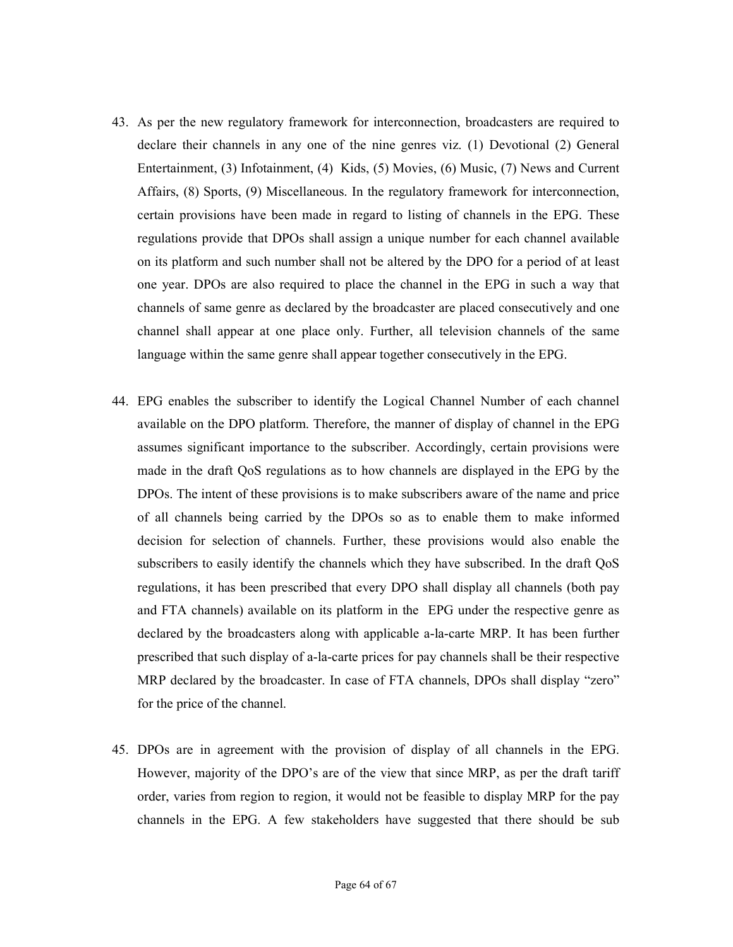- 43. As per the new regulatory framework for interconnection, broadcasters are required to declare their channels in any one of the nine genres viz. (1) Devotional (2) General Entertainment, (3) Infotainment, (4) Kids, (5) Movies, (6) Music, (7) News and Current Affairs, (8) Sports, (9) Miscellaneous. In the regulatory framework for interconnection, certain provisions have been made in regard to listing of channels in the EPG. These regulations provide that DPOs shall assign a unique number for each channel available on its platform and such number shall not be altered by the DPO for a period of at least one year. DPOs are also required to place the channel in the EPG in such a way that channels of same genre as declared by the broadcaster are placed consecutively and one channel shall appear at one place only. Further, all television channels of the same language within the same genre shall appear together consecutively in the EPG.
- 44. EPG enables the subscriber to identify the Logical Channel Number of each channel available on the DPO platform. Therefore, the manner of display of channel in the EPG assumes significant importance to the subscriber. Accordingly, certain provisions were made in the draft QoS regulations as to how channels are displayed in the EPG by the DPOs. The intent of these provisions is to make subscribers aware of the name and price of all channels being carried by the DPOs so as to enable them to make informed decision for selection of channels. Further, these provisions would also enable the subscribers to easily identify the channels which they have subscribed. In the draft QoS regulations, it has been prescribed that every DPO shall display all channels (both pay and FTA channels) available on its platform in the EPG under the respective genre as declared by the broadcasters along with applicable a-la-carte MRP. It has been further prescribed that such display of a-la-carte prices for pay channels shall be their respective MRP declared by the broadcaster. In case of FTA channels, DPOs shall display "zero" for the price of the channel.
- 45. DPOs are in agreement with the provision of display of all channels in the EPG. However, majority of the DPO's are of the view that since MRP, as per the draft tariff order, varies from region to region, it would not be feasible to display MRP for the pay channels in the EPG. A few stakeholders have suggested that there should be sub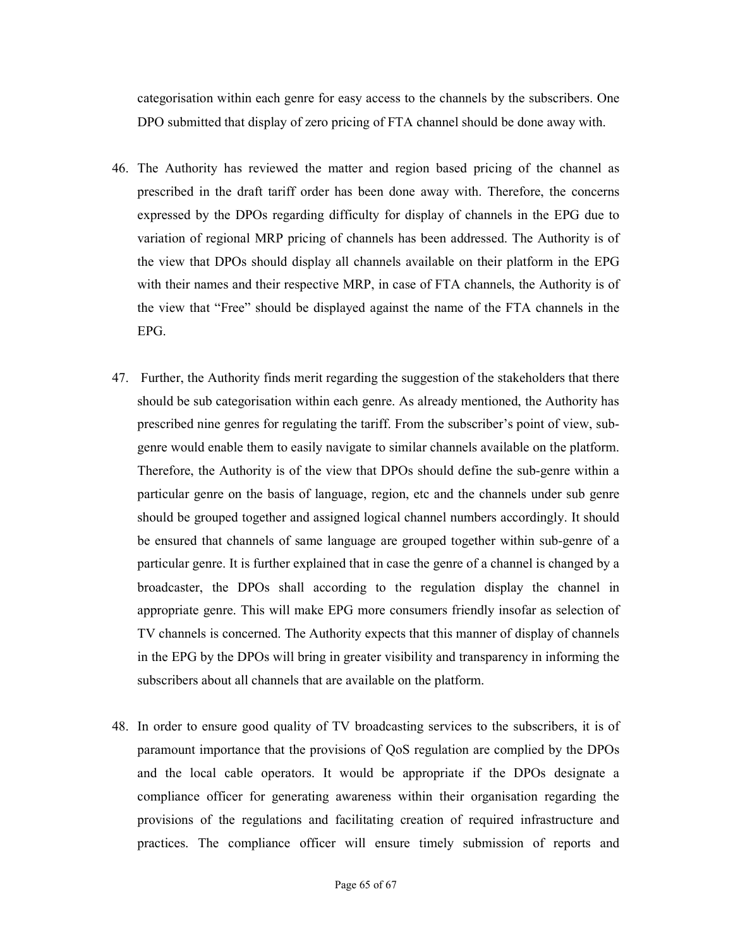categorisation within each genre for easy access to the channels by the subscribers. One DPO submitted that display of zero pricing of FTA channel should be done away with.

- 46. The Authority has reviewed the matter and region based pricing of the channel as prescribed in the draft tariff order has been done away with. Therefore, the concerns expressed by the DPOs regarding difficulty for display of channels in the EPG due to variation of regional MRP pricing of channels has been addressed. The Authority is of the view that DPOs should display all channels available on their platform in the EPG with their names and their respective MRP, in case of FTA channels, the Authority is of the view that "Free" should be displayed against the name of the FTA channels in the EPG.
- 47. Further, the Authority finds merit regarding the suggestion of the stakeholders that there should be sub categorisation within each genre. As already mentioned, the Authority has prescribed nine genres for regulating the tariff. From the subscriber's point of view, subgenre would enable them to easily navigate to similar channels available on the platform. Therefore, the Authority is of the view that DPOs should define the sub-genre within a particular genre on the basis of language, region, etc and the channels under sub genre should be grouped together and assigned logical channel numbers accordingly. It should be ensured that channels of same language are grouped together within sub-genre of a particular genre. It is further explained that in case the genre of a channel is changed by a broadcaster, the DPOs shall according to the regulation display the channel in appropriate genre. This will make EPG more consumers friendly insofar as selection of TV channels is concerned. The Authority expects that this manner of display of channels in the EPG by the DPOs will bring in greater visibility and transparency in informing the subscribers about all channels that are available on the platform.
- 48. In order to ensure good quality of TV broadcasting services to the subscribers, it is of paramount importance that the provisions of QoS regulation are complied by the DPOs and the local cable operators. It would be appropriate if the DPOs designate a compliance officer for generating awareness within their organisation regarding the provisions of the regulations and facilitating creation of required infrastructure and practices. The compliance officer will ensure timely submission of reports and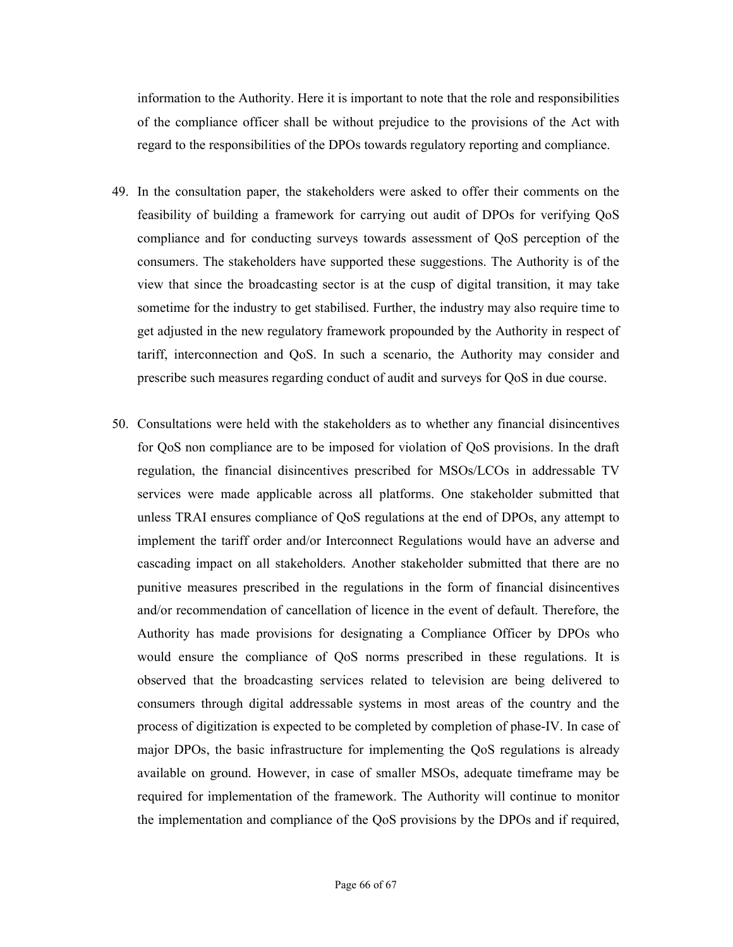information to the Authority. Here it is important to note that the role and responsibilities of the compliance officer shall be without prejudice to the provisions of the Act with regard to the responsibilities of the DPOs towards regulatory reporting and compliance.

- 49. In the consultation paper, the stakeholders were asked to offer their comments on the feasibility of building a framework for carrying out audit of DPOs for verifying QoS compliance and for conducting surveys towards assessment of QoS perception of the consumers. The stakeholders have supported these suggestions. The Authority is of the view that since the broadcasting sector is at the cusp of digital transition, it may take sometime for the industry to get stabilised. Further, the industry may also require time to get adjusted in the new regulatory framework propounded by the Authority in respect of tariff, interconnection and QoS. In such a scenario, the Authority may consider and prescribe such measures regarding conduct of audit and surveys for QoS in due course.
- 50. Consultations were held with the stakeholders as to whether any financial disincentives for QoS non compliance are to be imposed for violation of QoS provisions. In the draft regulation, the financial disincentives prescribed for MSOs/LCOs in addressable TV services were made applicable across all platforms. One stakeholder submitted that unless TRAI ensures compliance of QoS regulations at the end of DPOs, any attempt to implement the tariff order and/or Interconnect Regulations would have an adverse and cascading impact on all stakeholders. Another stakeholder submitted that there are no punitive measures prescribed in the regulations in the form of financial disincentives and/or recommendation of cancellation of licence in the event of default. Therefore, the Authority has made provisions for designating a Compliance Officer by DPOs who would ensure the compliance of QoS norms prescribed in these regulations. It is observed that the broadcasting services related to television are being delivered to consumers through digital addressable systems in most areas of the country and the process of digitization is expected to be completed by completion of phase-IV. In case of major DPOs, the basic infrastructure for implementing the QoS regulations is already available on ground. However, in case of smaller MSOs, adequate timeframe may be required for implementation of the framework. The Authority will continue to monitor the implementation and compliance of the QoS provisions by the DPOs and if required,